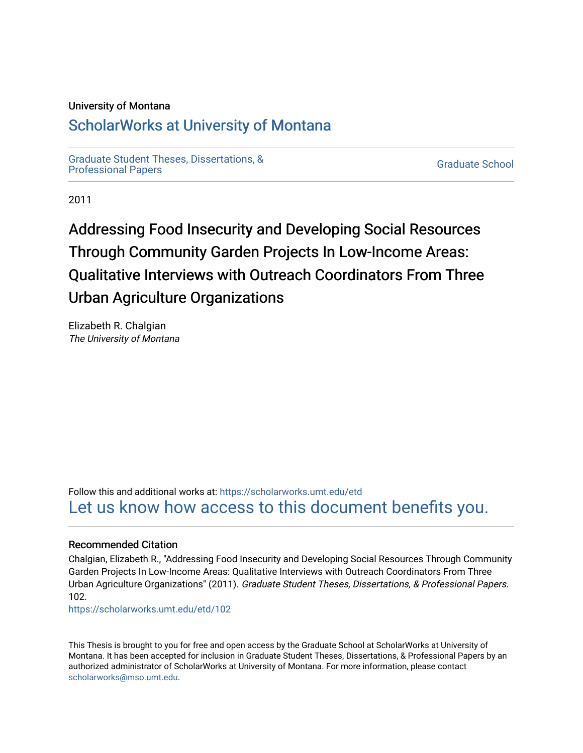#### University of Montana

## [ScholarWorks at University of Montana](https://scholarworks.umt.edu/)

[Graduate Student Theses, Dissertations, &](https://scholarworks.umt.edu/etd) Graduate Student Theses, Dissertations, & Contract Control of the Graduate School [Professional Papers](https://scholarworks.umt.edu/etd) Contract Control of the Contract Control of the Contract Control of the Contract Contract Contract Control of the Contra

2011

# Addressing Food Insecurity and Developing Social Resources Through Community Garden Projects In Low-Income Areas: Qualitative Interviews with Outreach Coordinators From Three Urban Agriculture Organizations

Elizabeth R. Chalgian The University of Montana

Follow this and additional works at: [https://scholarworks.umt.edu/etd](https://scholarworks.umt.edu/etd?utm_source=scholarworks.umt.edu%2Fetd%2F102&utm_medium=PDF&utm_campaign=PDFCoverPages)  [Let us know how access to this document benefits you.](https://goo.gl/forms/s2rGfXOLzz71qgsB2) 

#### Recommended Citation

Chalgian, Elizabeth R., "Addressing Food Insecurity and Developing Social Resources Through Community Garden Projects In Low-Income Areas: Qualitative Interviews with Outreach Coordinators From Three Urban Agriculture Organizations" (2011). Graduate Student Theses, Dissertations, & Professional Papers. 102.

[https://scholarworks.umt.edu/etd/102](https://scholarworks.umt.edu/etd/102?utm_source=scholarworks.umt.edu%2Fetd%2F102&utm_medium=PDF&utm_campaign=PDFCoverPages) 

This Thesis is brought to you for free and open access by the Graduate School at ScholarWorks at University of Montana. It has been accepted for inclusion in Graduate Student Theses, Dissertations, & Professional Papers by an authorized administrator of ScholarWorks at University of Montana. For more information, please contact [scholarworks@mso.umt.edu.](mailto:scholarworks@mso.umt.edu)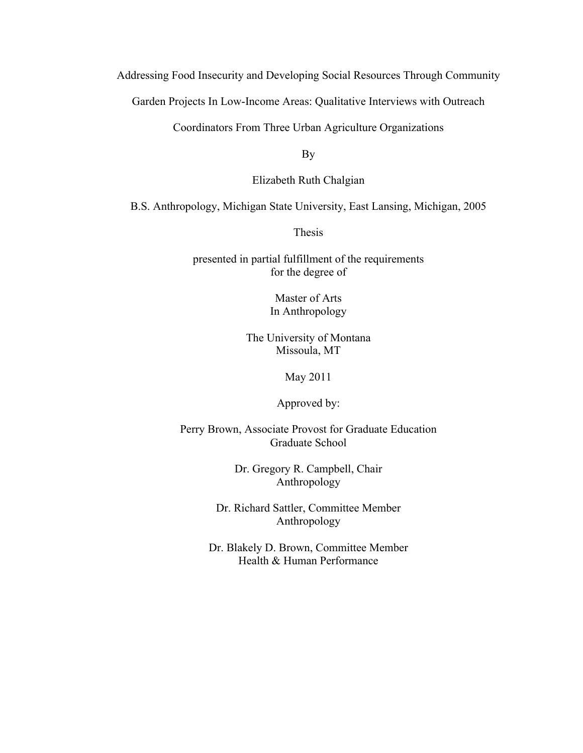Addressing Food Insecurity and Developing Social Resources Through Community

Garden Projects In Low-Income Areas: Qualitative Interviews with Outreach

Coordinators From Three Urban Agriculture Organizations

By

Elizabeth Ruth Chalgian

B.S. Anthropology, Michigan State University, East Lansing, Michigan, 2005

Thesis

presented in partial fulfillment of the requirements for the degree of

> Master of Arts In Anthropology

The University of Montana Missoula, MT

May 2011

Approved by:

Perry Brown, Associate Provost for Graduate Education Graduate School

> Dr. Gregory R. Campbell, Chair Anthropology

Dr. Richard Sattler, Committee Member Anthropology

Dr. Blakely D. Brown, Committee Member Health & Human Performance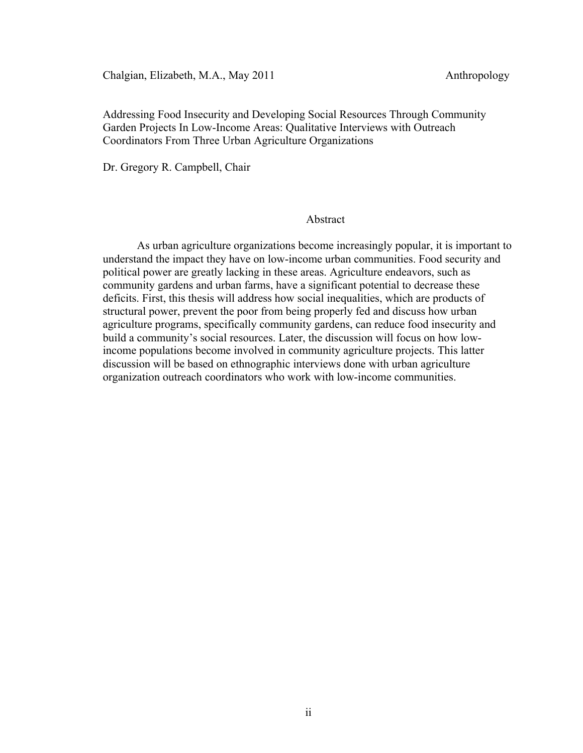Chalgian, Elizabeth, M.A., May 2011 Anthropology

Addressing Food Insecurity and Developing Social Resources Through Community Garden Projects In Low-Income Areas: Qualitative Interviews with Outreach Coordinators From Three Urban Agriculture Organizations

Dr. Gregory R. Campbell, Chair

#### Abstract

As urban agriculture organizations become increasingly popular, it is important to understand the impact they have on low-income urban communities. Food security and political power are greatly lacking in these areas. Agriculture endeavors, such as community gardens and urban farms, have a significant potential to decrease these deficits. First, this thesis will address how social inequalities, which are products of structural power, prevent the poor from being properly fed and discuss how urban agriculture programs, specifically community gardens, can reduce food insecurity and build a community's social resources. Later, the discussion will focus on how lowincome populations become involved in community agriculture projects. This latter discussion will be based on ethnographic interviews done with urban agriculture organization outreach coordinators who work with low-income communities.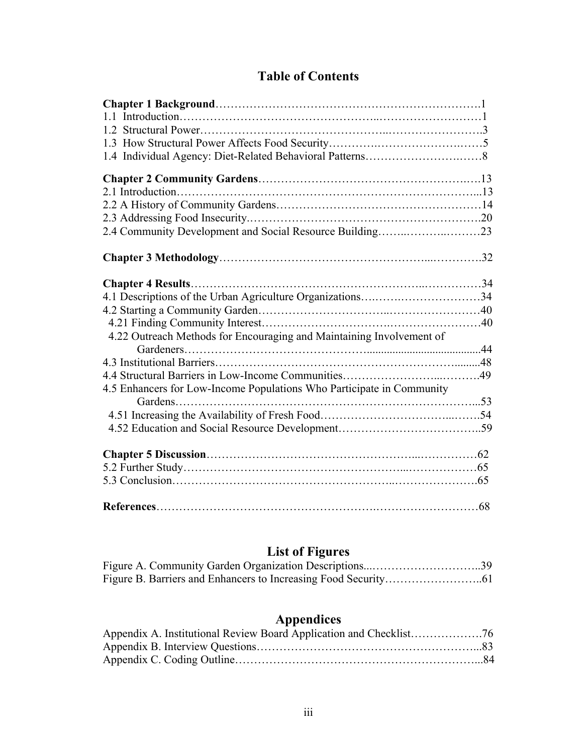## **Table of Contents**

| 2.4 Community Development and Social Resource Building23              |  |
|-----------------------------------------------------------------------|--|
|                                                                       |  |
|                                                                       |  |
| 4.1 Descriptions of the Urban Agriculture Organizations34             |  |
|                                                                       |  |
|                                                                       |  |
| 4.22 Outreach Methods for Encouraging and Maintaining Involvement of  |  |
|                                                                       |  |
|                                                                       |  |
|                                                                       |  |
| 4.5 Enhancers for Low-Income Populations Who Participate in Community |  |
| Gardens                                                               |  |
|                                                                       |  |
|                                                                       |  |
|                                                                       |  |
|                                                                       |  |
|                                                                       |  |
|                                                                       |  |

## **List of Figures**

## **Appendices**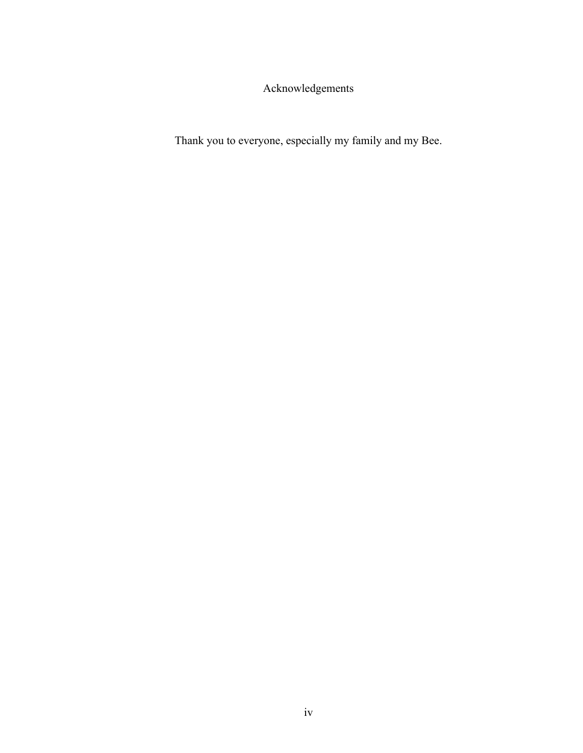Acknowledgements

Thank you to everyone, especially my family and my Bee.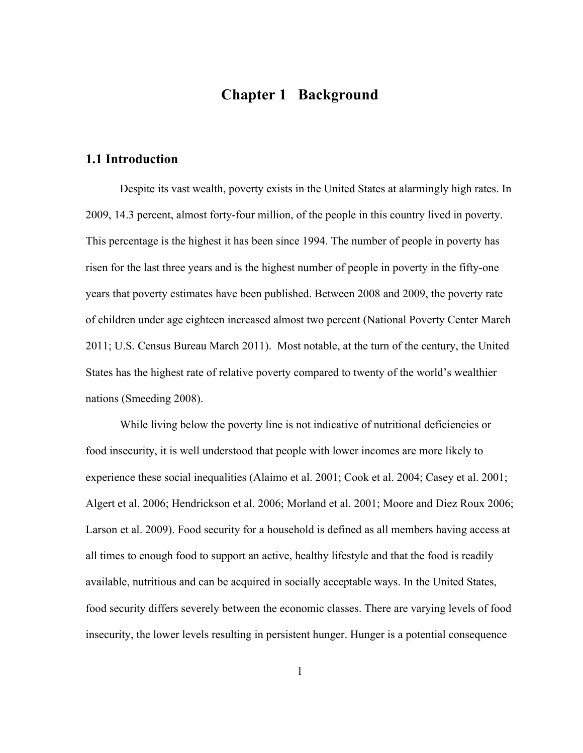### **Chapter 1 Background**

#### **1.1 Introduction**

Despite its vast wealth, poverty exists in the United States at alarmingly high rates. In 2009, 14.3 percent, almost forty-four million, of the people in this country lived in poverty. This percentage is the highest it has been since 1994. The number of people in poverty has risen for the last three years and is the highest number of people in poverty in the fifty-one years that poverty estimates have been published. Between 2008 and 2009, the poverty rate of children under age eighteen increased almost two percent (National Poverty Center March 2011; U.S. Census Bureau March 2011). Most notable, at the turn of the century, the United States has the highest rate of relative poverty compared to twenty of the world's wealthier nations (Smeeding 2008).

While living below the poverty line is not indicative of nutritional deficiencies or food insecurity, it is well understood that people with lower incomes are more likely to experience these social inequalities (Alaimo et al. 2001; Cook et al. 2004; Casey et al. 2001; Algert et al. 2006; Hendrickson et al. 2006; Morland et al. 2001; Moore and Diez Roux 2006; Larson et al. 2009). Food security for a household is defined as all members having access at all times to enough food to support an active, healthy lifestyle and that the food is readily available, nutritious and can be acquired in socially acceptable ways. In the United States, food security differs severely between the economic classes. There are varying levels of food insecurity, the lower levels resulting in persistent hunger. Hunger is a potential consequence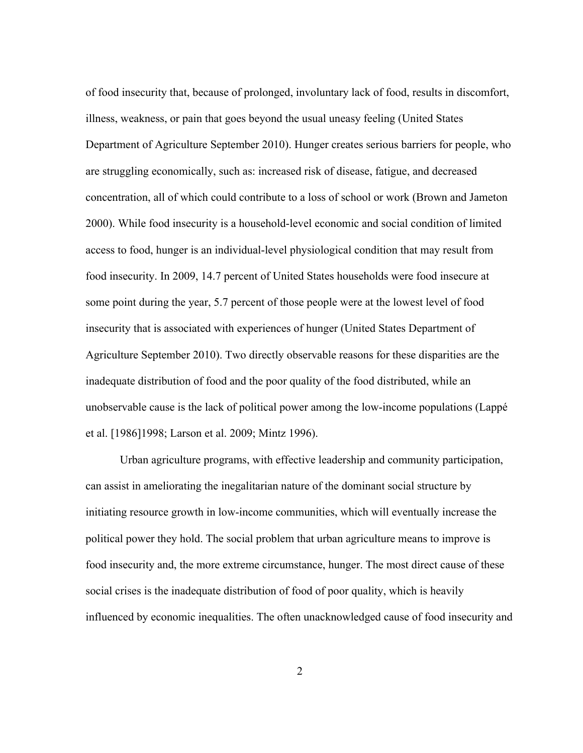of food insecurity that, because of prolonged, involuntary lack of food, results in discomfort, illness, weakness, or pain that goes beyond the usual uneasy feeling (United States Department of Agriculture September 2010). Hunger creates serious barriers for people, who are struggling economically, such as: increased risk of disease, fatigue, and decreased concentration, all of which could contribute to a loss of school or work (Brown and Jameton 2000). While food insecurity is a household-level economic and social condition of limited access to food, hunger is an individual-level physiological condition that may result from food insecurity. In 2009, 14.7 percent of United States households were food insecure at some point during the year, 5.7 percent of those people were at the lowest level of food insecurity that is associated with experiences of hunger (United States Department of Agriculture September 2010). Two directly observable reasons for these disparities are the inadequate distribution of food and the poor quality of the food distributed, while an unobservable cause is the lack of political power among the low-income populations (Lappé et al. [1986]1998; Larson et al. 2009; Mintz 1996).

Urban agriculture programs, with effective leadership and community participation, can assist in ameliorating the inegalitarian nature of the dominant social structure by initiating resource growth in low-income communities, which will eventually increase the political power they hold. The social problem that urban agriculture means to improve is food insecurity and, the more extreme circumstance, hunger. The most direct cause of these social crises is the inadequate distribution of food of poor quality, which is heavily influenced by economic inequalities. The often unacknowledged cause of food insecurity and

2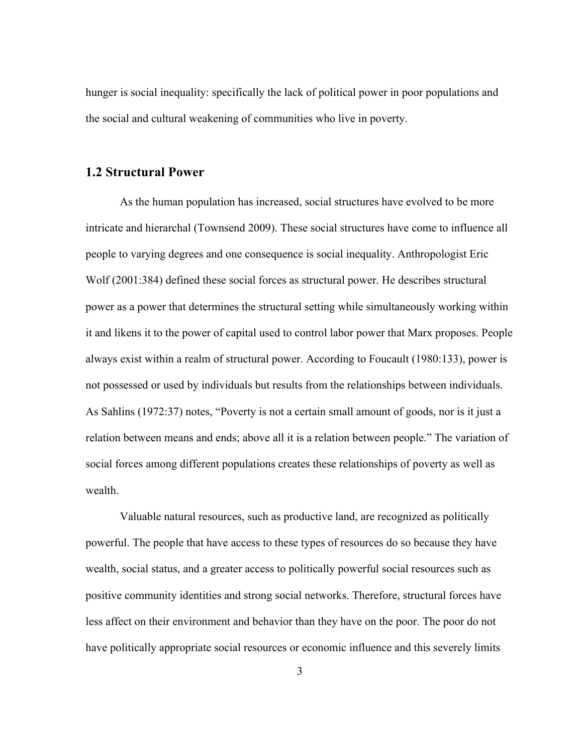hunger is social inequality: specifically the lack of political power in poor populations and the social and cultural weakening of communities who live in poverty.

#### **1.2 Structural Power**

As the human population has increased, social structures have evolved to be more intricate and hierarchal (Townsend 2009). These social structures have come to influence all people to varying degrees and one consequence is social inequality. Anthropologist Eric Wolf (2001:384) defined these social forces as structural power. He describes structural power as a power that determines the structural setting while simultaneously working within it and likens it to the power of capital used to control labor power that Marx proposes. People always exist within a realm of structural power. According to Foucault (1980:133), power is not possessed or used by individuals but results from the relationships between individuals. As Sahlins (1972:37) notes, "Poverty is not a certain small amount of goods, nor is it just a relation between means and ends; above all it is a relation between people." The variation of social forces among different populations creates these relationships of poverty as well as wealth.

Valuable natural resources, such as productive land, are recognized as politically powerful. The people that have access to these types of resources do so because they have wealth, social status, and a greater access to politically powerful social resources such as positive community identities and strong social networks. Therefore, structural forces have less affect on their environment and behavior than they have on the poor. The poor do not have politically appropriate social resources or economic influence and this severely limits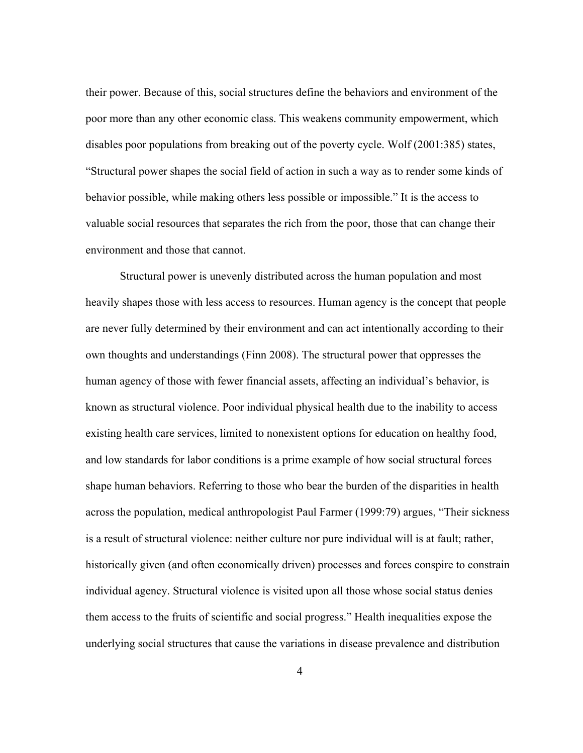their power. Because of this, social structures define the behaviors and environment of the poor more than any other economic class. This weakens community empowerment, which disables poor populations from breaking out of the poverty cycle. Wolf (2001:385) states, "Structural power shapes the social field of action in such a way as to render some kinds of behavior possible, while making others less possible or impossible." It is the access to valuable social resources that separates the rich from the poor, those that can change their environment and those that cannot.

Structural power is unevenly distributed across the human population and most heavily shapes those with less access to resources. Human agency is the concept that people are never fully determined by their environment and can act intentionally according to their own thoughts and understandings (Finn 2008). The structural power that oppresses the human agency of those with fewer financial assets, affecting an individual's behavior, is known as structural violence. Poor individual physical health due to the inability to access existing health care services, limited to nonexistent options for education on healthy food, and low standards for labor conditions is a prime example of how social structural forces shape human behaviors. Referring to those who bear the burden of the disparities in health across the population, medical anthropologist Paul Farmer (1999:79) argues, "Their sickness is a result of structural violence: neither culture nor pure individual will is at fault; rather, historically given (and often economically driven) processes and forces conspire to constrain individual agency. Structural violence is visited upon all those whose social status denies them access to the fruits of scientific and social progress." Health inequalities expose the underlying social structures that cause the variations in disease prevalence and distribution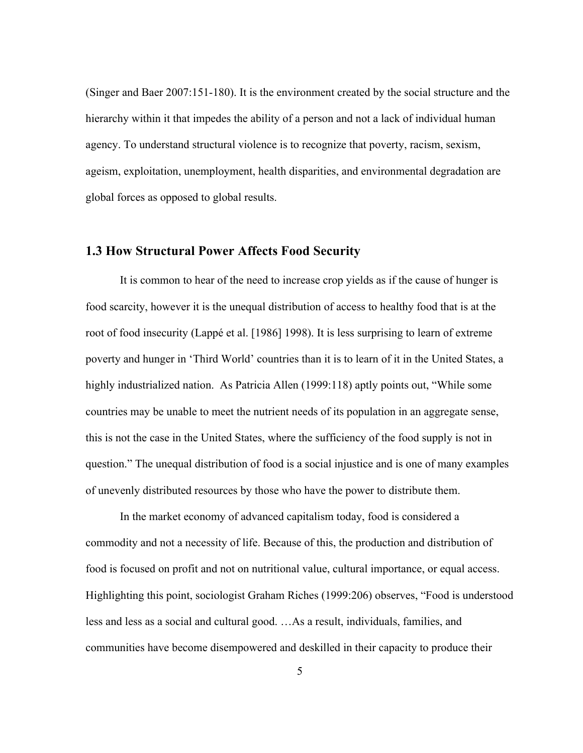(Singer and Baer 2007:151-180). It is the environment created by the social structure and the hierarchy within it that impedes the ability of a person and not a lack of individual human agency. To understand structural violence is to recognize that poverty, racism, sexism, ageism, exploitation, unemployment, health disparities, and environmental degradation are global forces as opposed to global results.

#### **1.3 How Structural Power Affects Food Security**

It is common to hear of the need to increase crop yields as if the cause of hunger is food scarcity, however it is the unequal distribution of access to healthy food that is at the root of food insecurity (Lappé et al. [1986] 1998). It is less surprising to learn of extreme poverty and hunger in 'Third World' countries than it is to learn of it in the United States, a highly industrialized nation. As Patricia Allen (1999:118) aptly points out, "While some countries may be unable to meet the nutrient needs of its population in an aggregate sense, this is not the case in the United States, where the sufficiency of the food supply is not in question." The unequal distribution of food is a social injustice and is one of many examples of unevenly distributed resources by those who have the power to distribute them.

In the market economy of advanced capitalism today, food is considered a commodity and not a necessity of life. Because of this, the production and distribution of food is focused on profit and not on nutritional value, cultural importance, or equal access. Highlighting this point, sociologist Graham Riches (1999:206) observes, "Food is understood less and less as a social and cultural good. …As a result, individuals, families, and communities have become disempowered and deskilled in their capacity to produce their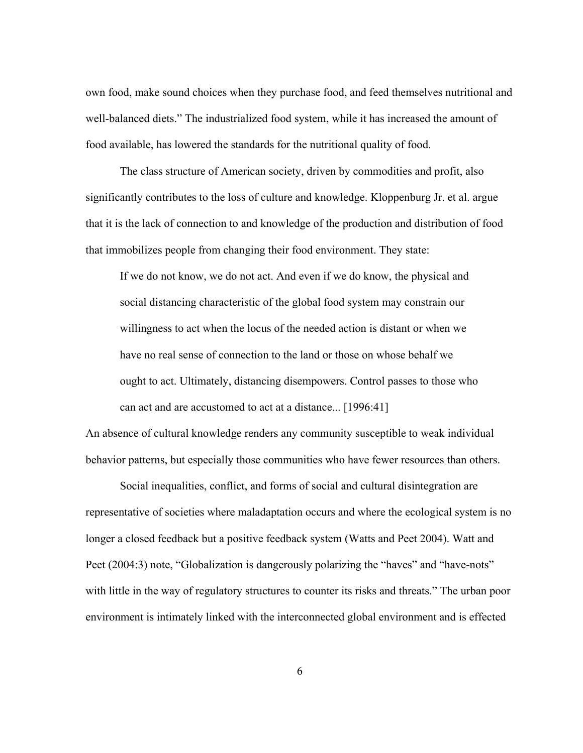own food, make sound choices when they purchase food, and feed themselves nutritional and well-balanced diets." The industrialized food system, while it has increased the amount of food available, has lowered the standards for the nutritional quality of food.

The class structure of American society, driven by commodities and profit, also significantly contributes to the loss of culture and knowledge. Kloppenburg Jr. et al. argue that it is the lack of connection to and knowledge of the production and distribution of food that immobilizes people from changing their food environment. They state:

If we do not know, we do not act. And even if we do know, the physical and social distancing characteristic of the global food system may constrain our willingness to act when the locus of the needed action is distant or when we have no real sense of connection to the land or those on whose behalf we ought to act. Ultimately, distancing disempowers. Control passes to those who can act and are accustomed to act at a distance... [1996:41]

An absence of cultural knowledge renders any community susceptible to weak individual behavior patterns, but especially those communities who have fewer resources than others.

Social inequalities, conflict, and forms of social and cultural disintegration are representative of societies where maladaptation occurs and where the ecological system is no longer a closed feedback but a positive feedback system (Watts and Peet 2004). Watt and Peet (2004:3) note, "Globalization is dangerously polarizing the "haves" and "have-nots" with little in the way of regulatory structures to counter its risks and threats." The urban poor environment is intimately linked with the interconnected global environment and is effected

6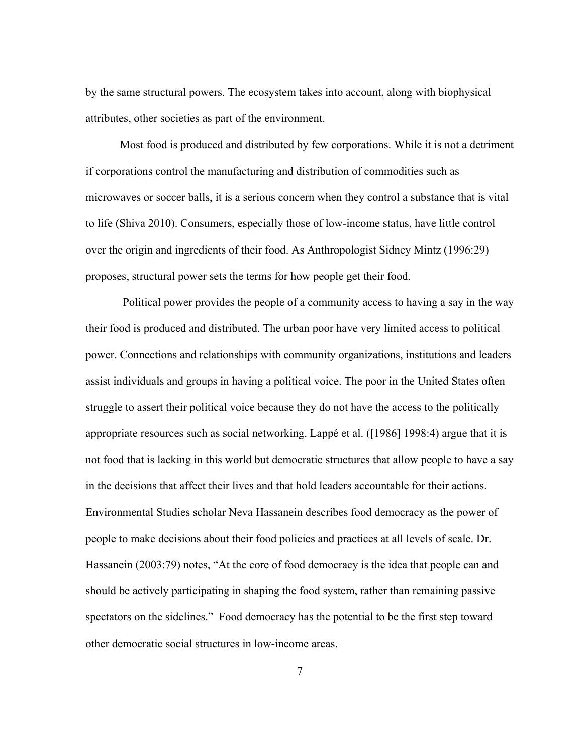by the same structural powers. The ecosystem takes into account, along with biophysical attributes, other societies as part of the environment.

Most food is produced and distributed by few corporations. While it is not a detriment if corporations control the manufacturing and distribution of commodities such as microwaves or soccer balls, it is a serious concern when they control a substance that is vital to life (Shiva 2010). Consumers, especially those of low-income status, have little control over the origin and ingredients of their food. As Anthropologist Sidney Mintz (1996:29) proposes, structural power sets the terms for how people get their food.

 Political power provides the people of a community access to having a say in the way their food is produced and distributed. The urban poor have very limited access to political power. Connections and relationships with community organizations, institutions and leaders assist individuals and groups in having a political voice. The poor in the United States often struggle to assert their political voice because they do not have the access to the politically appropriate resources such as social networking. Lappé et al. ([1986] 1998:4) argue that it is not food that is lacking in this world but democratic structures that allow people to have a say in the decisions that affect their lives and that hold leaders accountable for their actions. Environmental Studies scholar Neva Hassanein describes food democracy as the power of people to make decisions about their food policies and practices at all levels of scale. Dr. Hassanein (2003:79) notes, "At the core of food democracy is the idea that people can and should be actively participating in shaping the food system, rather than remaining passive spectators on the sidelines." Food democracy has the potential to be the first step toward other democratic social structures in low-income areas.

7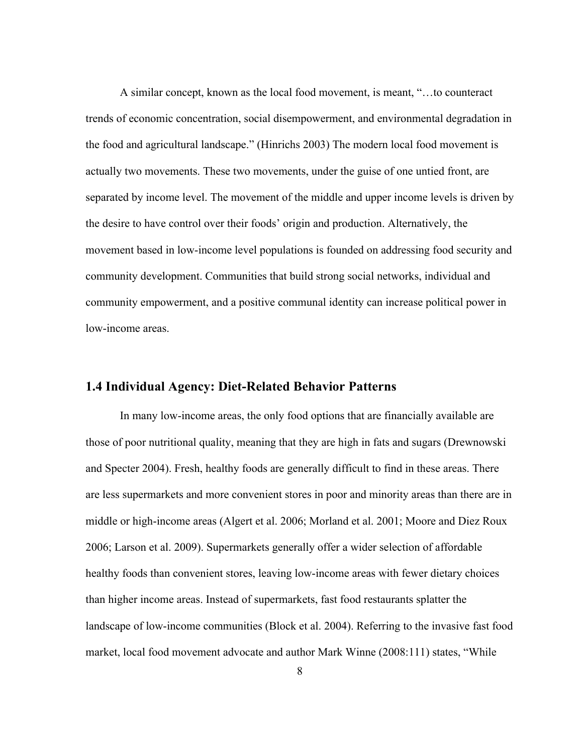A similar concept, known as the local food movement, is meant, "…to counteract trends of economic concentration, social disempowerment, and environmental degradation in the food and agricultural landscape." (Hinrichs 2003) The modern local food movement is actually two movements. These two movements, under the guise of one untied front, are separated by income level. The movement of the middle and upper income levels is driven by the desire to have control over their foods' origin and production. Alternatively, the movement based in low-income level populations is founded on addressing food security and community development. Communities that build strong social networks, individual and community empowerment, and a positive communal identity can increase political power in low-income areas.

#### **1.4 Individual Agency: Diet-Related Behavior Patterns**

In many low-income areas, the only food options that are financially available are those of poor nutritional quality, meaning that they are high in fats and sugars (Drewnowski and Specter 2004). Fresh, healthy foods are generally difficult to find in these areas. There are less supermarkets and more convenient stores in poor and minority areas than there are in middle or high-income areas (Algert et al. 2006; Morland et al. 2001; Moore and Diez Roux 2006; Larson et al. 2009). Supermarkets generally offer a wider selection of affordable healthy foods than convenient stores, leaving low-income areas with fewer dietary choices than higher income areas. Instead of supermarkets, fast food restaurants splatter the landscape of low-income communities (Block et al. 2004). Referring to the invasive fast food market, local food movement advocate and author Mark Winne (2008:111) states, "While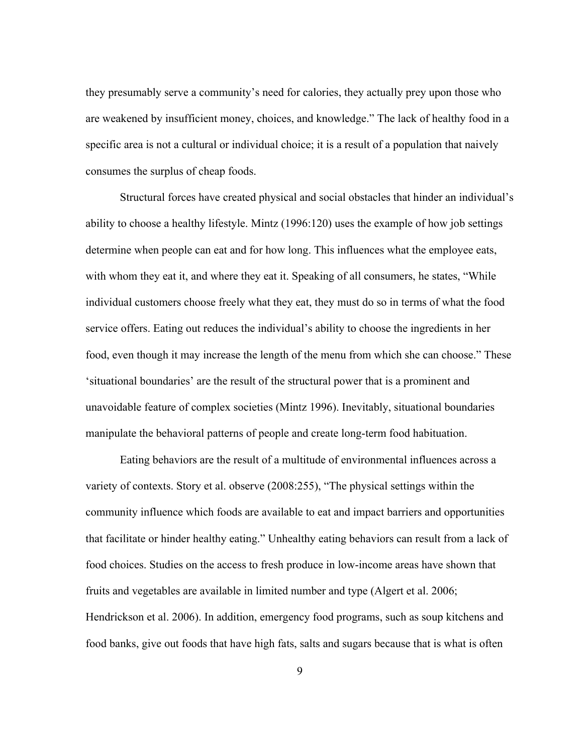they presumably serve a community's need for calories, they actually prey upon those who are weakened by insufficient money, choices, and knowledge." The lack of healthy food in a specific area is not a cultural or individual choice; it is a result of a population that naively consumes the surplus of cheap foods.

Structural forces have created physical and social obstacles that hinder an individual's ability to choose a healthy lifestyle. Mintz (1996:120) uses the example of how job settings determine when people can eat and for how long. This influences what the employee eats, with whom they eat it, and where they eat it. Speaking of all consumers, he states, "While individual customers choose freely what they eat, they must do so in terms of what the food service offers. Eating out reduces the individual's ability to choose the ingredients in her food, even though it may increase the length of the menu from which she can choose." These 'situational boundaries' are the result of the structural power that is a prominent and unavoidable feature of complex societies (Mintz 1996). Inevitably, situational boundaries manipulate the behavioral patterns of people and create long-term food habituation.

Eating behaviors are the result of a multitude of environmental influences across a variety of contexts. Story et al. observe (2008:255), "The physical settings within the community influence which foods are available to eat and impact barriers and opportunities that facilitate or hinder healthy eating." Unhealthy eating behaviors can result from a lack of food choices. Studies on the access to fresh produce in low-income areas have shown that fruits and vegetables are available in limited number and type (Algert et al. 2006; Hendrickson et al. 2006). In addition, emergency food programs, such as soup kitchens and food banks, give out foods that have high fats, salts and sugars because that is what is often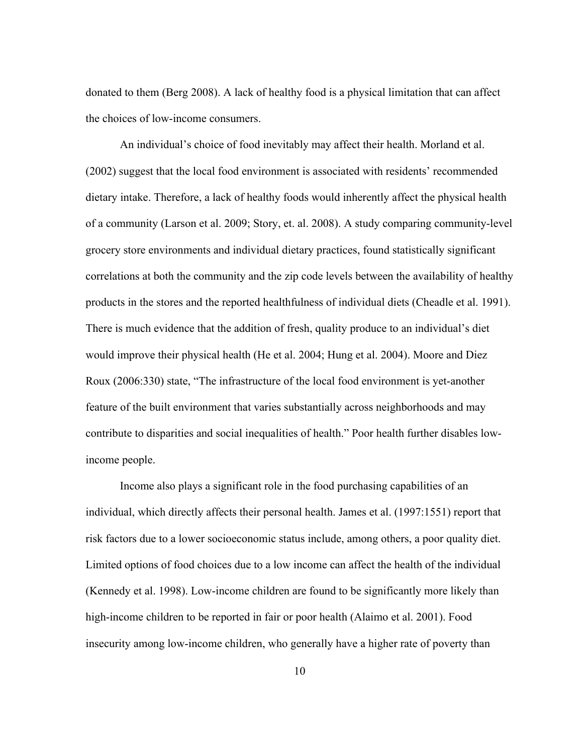donated to them (Berg 2008). A lack of healthy food is a physical limitation that can affect the choices of low-income consumers.

An individual's choice of food inevitably may affect their health. Morland et al. (2002) suggest that the local food environment is associated with residents' recommended dietary intake. Therefore, a lack of healthy foods would inherently affect the physical health of a community (Larson et al. 2009; Story, et. al. 2008). A study comparing community-level grocery store environments and individual dietary practices, found statistically significant correlations at both the community and the zip code levels between the availability of healthy products in the stores and the reported healthfulness of individual diets (Cheadle et al. 1991). There is much evidence that the addition of fresh, quality produce to an individual's diet would improve their physical health (He et al. 2004; Hung et al. 2004). Moore and Diez Roux (2006:330) state, "The infrastructure of the local food environment is yet-another feature of the built environment that varies substantially across neighborhoods and may contribute to disparities and social inequalities of health." Poor health further disables lowincome people.

Income also plays a significant role in the food purchasing capabilities of an individual, which directly affects their personal health. James et al. (1997:1551) report that risk factors due to a lower socioeconomic status include, among others, a poor quality diet. Limited options of food choices due to a low income can affect the health of the individual (Kennedy et al. 1998). Low-income children are found to be significantly more likely than high-income children to be reported in fair or poor health (Alaimo et al. 2001). Food insecurity among low-income children, who generally have a higher rate of poverty than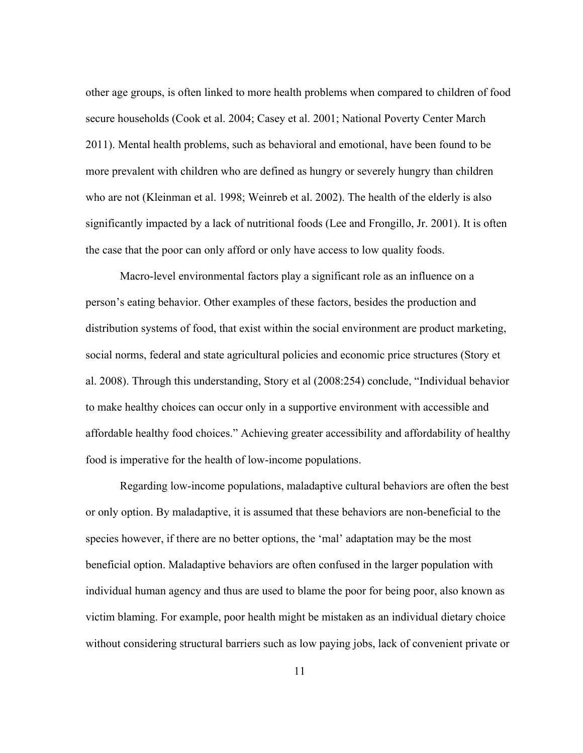other age groups, is often linked to more health problems when compared to children of food secure households (Cook et al. 2004; Casey et al. 2001; National Poverty Center March 2011). Mental health problems, such as behavioral and emotional, have been found to be more prevalent with children who are defined as hungry or severely hungry than children who are not (Kleinman et al. 1998; Weinreb et al. 2002). The health of the elderly is also significantly impacted by a lack of nutritional foods (Lee and Frongillo, Jr. 2001). It is often the case that the poor can only afford or only have access to low quality foods.

Macro-level environmental factors play a significant role as an influence on a person's eating behavior. Other examples of these factors, besides the production and distribution systems of food, that exist within the social environment are product marketing, social norms, federal and state agricultural policies and economic price structures (Story et al. 2008). Through this understanding, Story et al (2008:254) conclude, "Individual behavior to make healthy choices can occur only in a supportive environment with accessible and affordable healthy food choices." Achieving greater accessibility and affordability of healthy food is imperative for the health of low-income populations.

Regarding low-income populations, maladaptive cultural behaviors are often the best or only option. By maladaptive, it is assumed that these behaviors are non-beneficial to the species however, if there are no better options, the 'mal' adaptation may be the most beneficial option. Maladaptive behaviors are often confused in the larger population with individual human agency and thus are used to blame the poor for being poor, also known as victim blaming. For example, poor health might be mistaken as an individual dietary choice without considering structural barriers such as low paying jobs, lack of convenient private or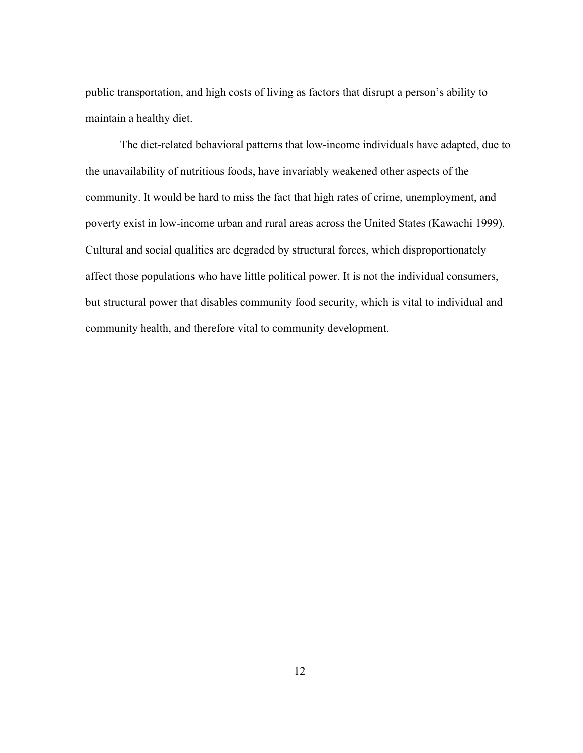public transportation, and high costs of living as factors that disrupt a person's ability to maintain a healthy diet.

The diet-related behavioral patterns that low-income individuals have adapted, due to the unavailability of nutritious foods, have invariably weakened other aspects of the community. It would be hard to miss the fact that high rates of crime, unemployment, and poverty exist in low-income urban and rural areas across the United States (Kawachi 1999). Cultural and social qualities are degraded by structural forces, which disproportionately affect those populations who have little political power. It is not the individual consumers, but structural power that disables community food security, which is vital to individual and community health, and therefore vital to community development.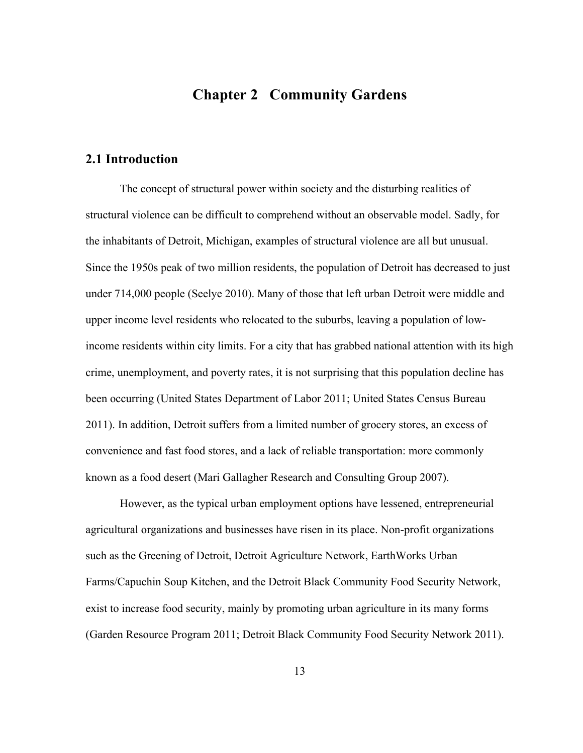### **Chapter 2 Community Gardens**

#### **2.1 Introduction**

The concept of structural power within society and the disturbing realities of structural violence can be difficult to comprehend without an observable model. Sadly, for the inhabitants of Detroit, Michigan, examples of structural violence are all but unusual. Since the 1950s peak of two million residents, the population of Detroit has decreased to just under 714,000 people (Seelye 2010). Many of those that left urban Detroit were middle and upper income level residents who relocated to the suburbs, leaving a population of lowincome residents within city limits. For a city that has grabbed national attention with its high crime, unemployment, and poverty rates, it is not surprising that this population decline has been occurring (United States Department of Labor 2011; United States Census Bureau 2011). In addition, Detroit suffers from a limited number of grocery stores, an excess of convenience and fast food stores, and a lack of reliable transportation: more commonly known as a food desert (Mari Gallagher Research and Consulting Group 2007).

However, as the typical urban employment options have lessened, entrepreneurial agricultural organizations and businesses have risen in its place. Non-profit organizations such as the Greening of Detroit, Detroit Agriculture Network, EarthWorks Urban Farms/Capuchin Soup Kitchen, and the Detroit Black Community Food Security Network, exist to increase food security, mainly by promoting urban agriculture in its many forms (Garden Resource Program 2011; Detroit Black Community Food Security Network 2011).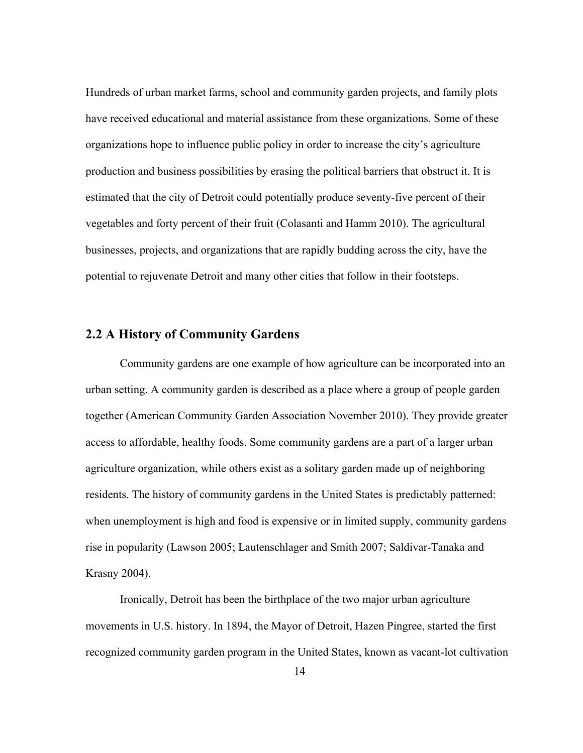Hundreds of urban market farms, school and community garden projects, and family plots have received educational and material assistance from these organizations. Some of these organizations hope to influence public policy in order to increase the city's agriculture production and business possibilities by erasing the political barriers that obstruct it. It is estimated that the city of Detroit could potentially produce seventy-five percent of their vegetables and forty percent of their fruit (Colasanti and Hamm 2010). The agricultural businesses, projects, and organizations that are rapidly budding across the city, have the potential to rejuvenate Detroit and many other cities that follow in their footsteps.

#### **2.2 A History of Community Gardens**

Community gardens are one example of how agriculture can be incorporated into an urban setting. A community garden is described as a place where a group of people garden together (American Community Garden Association November 2010). They provide greater access to affordable, healthy foods. Some community gardens are a part of a larger urban agriculture organization, while others exist as a solitary garden made up of neighboring residents. The history of community gardens in the United States is predictably patterned: when unemployment is high and food is expensive or in limited supply, community gardens rise in popularity (Lawson 2005; Lautenschlager and Smith 2007; Saldivar-Tanaka and Krasny 2004).

Ironically, Detroit has been the birthplace of the two major urban agriculture movements in U.S. history. In 1894, the Mayor of Detroit, Hazen Pingree, started the first recognized community garden program in the United States, known as vacant-lot cultivation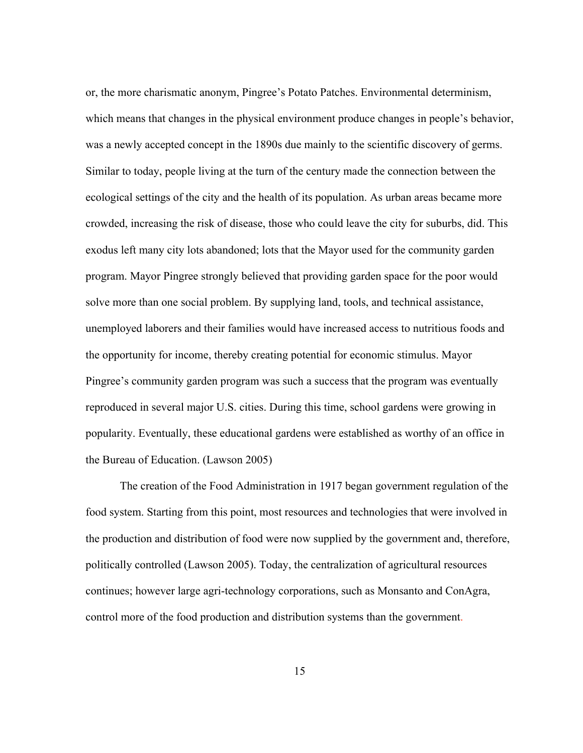or, the more charismatic anonym, Pingree's Potato Patches. Environmental determinism, which means that changes in the physical environment produce changes in people's behavior, was a newly accepted concept in the 1890s due mainly to the scientific discovery of germs. Similar to today, people living at the turn of the century made the connection between the ecological settings of the city and the health of its population. As urban areas became more crowded, increasing the risk of disease, those who could leave the city for suburbs, did. This exodus left many city lots abandoned; lots that the Mayor used for the community garden program. Mayor Pingree strongly believed that providing garden space for the poor would solve more than one social problem. By supplying land, tools, and technical assistance, unemployed laborers and their families would have increased access to nutritious foods and the opportunity for income, thereby creating potential for economic stimulus. Mayor Pingree's community garden program was such a success that the program was eventually reproduced in several major U.S. cities. During this time, school gardens were growing in popularity. Eventually, these educational gardens were established as worthy of an office in the Bureau of Education. (Lawson 2005)

The creation of the Food Administration in 1917 began government regulation of the food system. Starting from this point, most resources and technologies that were involved in the production and distribution of food were now supplied by the government and, therefore, politically controlled (Lawson 2005). Today, the centralization of agricultural resources continues; however large agri-technology corporations, such as Monsanto and ConAgra, control more of the food production and distribution systems than the government.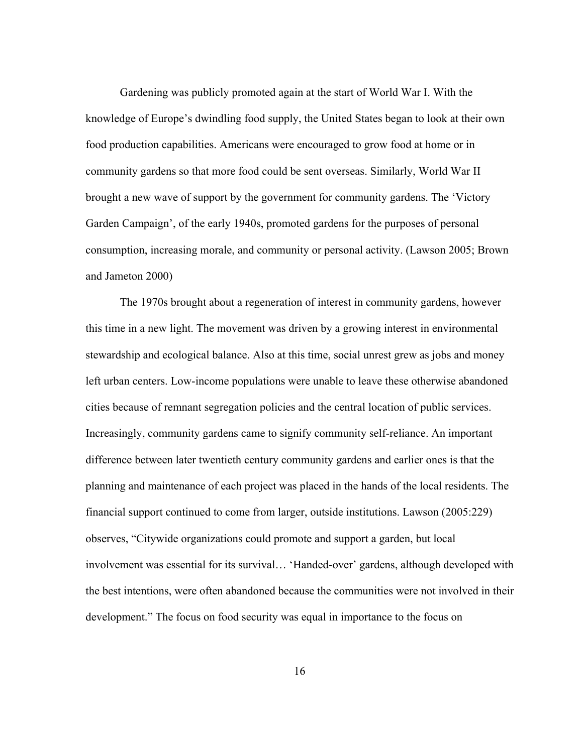Gardening was publicly promoted again at the start of World War I. With the knowledge of Europe's dwindling food supply, the United States began to look at their own food production capabilities. Americans were encouraged to grow food at home or in community gardens so that more food could be sent overseas. Similarly, World War II brought a new wave of support by the government for community gardens. The 'Victory Garden Campaign', of the early 1940s, promoted gardens for the purposes of personal consumption, increasing morale, and community or personal activity. (Lawson 2005; Brown and Jameton 2000)

The 1970s brought about a regeneration of interest in community gardens, however this time in a new light. The movement was driven by a growing interest in environmental stewardship and ecological balance. Also at this time, social unrest grew as jobs and money left urban centers. Low-income populations were unable to leave these otherwise abandoned cities because of remnant segregation policies and the central location of public services. Increasingly, community gardens came to signify community self-reliance. An important difference between later twentieth century community gardens and earlier ones is that the planning and maintenance of each project was placed in the hands of the local residents. The financial support continued to come from larger, outside institutions. Lawson (2005:229) observes, "Citywide organizations could promote and support a garden, but local involvement was essential for its survival… 'Handed-over' gardens, although developed with the best intentions, were often abandoned because the communities were not involved in their development." The focus on food security was equal in importance to the focus on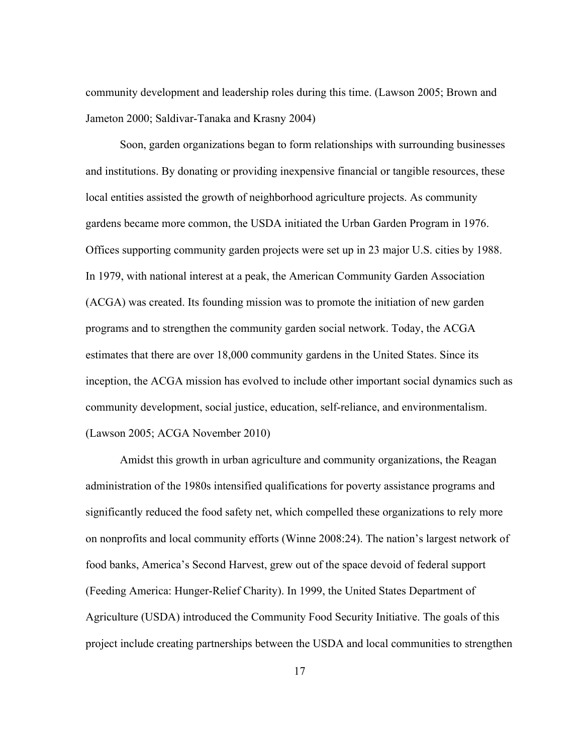community development and leadership roles during this time. (Lawson 2005; Brown and Jameton 2000; Saldivar-Tanaka and Krasny 2004)

Soon, garden organizations began to form relationships with surrounding businesses and institutions. By donating or providing inexpensive financial or tangible resources, these local entities assisted the growth of neighborhood agriculture projects. As community gardens became more common, the USDA initiated the Urban Garden Program in 1976. Offices supporting community garden projects were set up in 23 major U.S. cities by 1988. In 1979, with national interest at a peak, the American Community Garden Association (ACGA) was created. Its founding mission was to promote the initiation of new garden programs and to strengthen the community garden social network. Today, the ACGA estimates that there are over 18,000 community gardens in the United States. Since its inception, the ACGA mission has evolved to include other important social dynamics such as community development, social justice, education, self-reliance, and environmentalism. (Lawson 2005; ACGA November 2010)

Amidst this growth in urban agriculture and community organizations, the Reagan administration of the 1980s intensified qualifications for poverty assistance programs and significantly reduced the food safety net, which compelled these organizations to rely more on nonprofits and local community efforts (Winne 2008:24). The nation's largest network of food banks, America's Second Harvest, grew out of the space devoid of federal support (Feeding America: Hunger-Relief Charity). In 1999, the United States Department of Agriculture (USDA) introduced the Community Food Security Initiative. The goals of this project include creating partnerships between the USDA and local communities to strengthen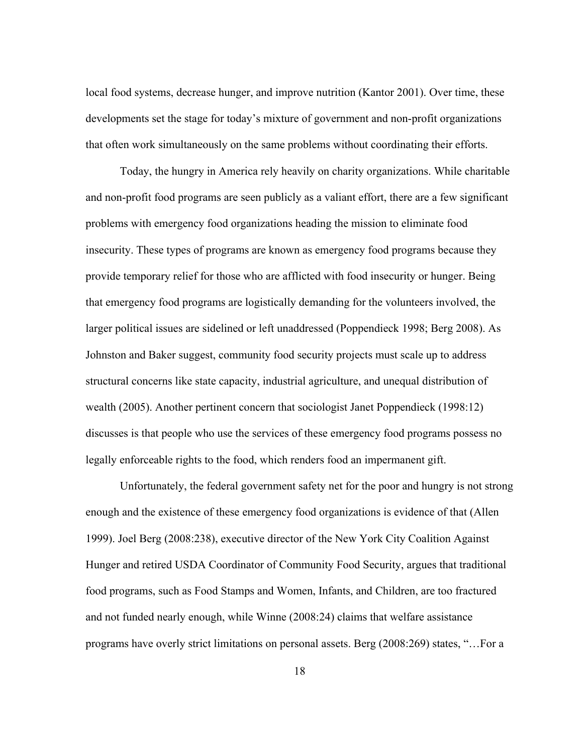local food systems, decrease hunger, and improve nutrition (Kantor 2001). Over time, these developments set the stage for today's mixture of government and non-profit organizations that often work simultaneously on the same problems without coordinating their efforts.

Today, the hungry in America rely heavily on charity organizations. While charitable and non-profit food programs are seen publicly as a valiant effort, there are a few significant problems with emergency food organizations heading the mission to eliminate food insecurity. These types of programs are known as emergency food programs because they provide temporary relief for those who are afflicted with food insecurity or hunger. Being that emergency food programs are logistically demanding for the volunteers involved, the larger political issues are sidelined or left unaddressed (Poppendieck 1998; Berg 2008). As Johnston and Baker suggest, community food security projects must scale up to address structural concerns like state capacity, industrial agriculture, and unequal distribution of wealth (2005). Another pertinent concern that sociologist Janet Poppendieck (1998:12) discusses is that people who use the services of these emergency food programs possess no legally enforceable rights to the food, which renders food an impermanent gift.

Unfortunately, the federal government safety net for the poor and hungry is not strong enough and the existence of these emergency food organizations is evidence of that (Allen 1999). Joel Berg (2008:238), executive director of the New York City Coalition Against Hunger and retired USDA Coordinator of Community Food Security, argues that traditional food programs, such as Food Stamps and Women, Infants, and Children, are too fractured and not funded nearly enough, while Winne (2008:24) claims that welfare assistance programs have overly strict limitations on personal assets. Berg (2008:269) states, "…For a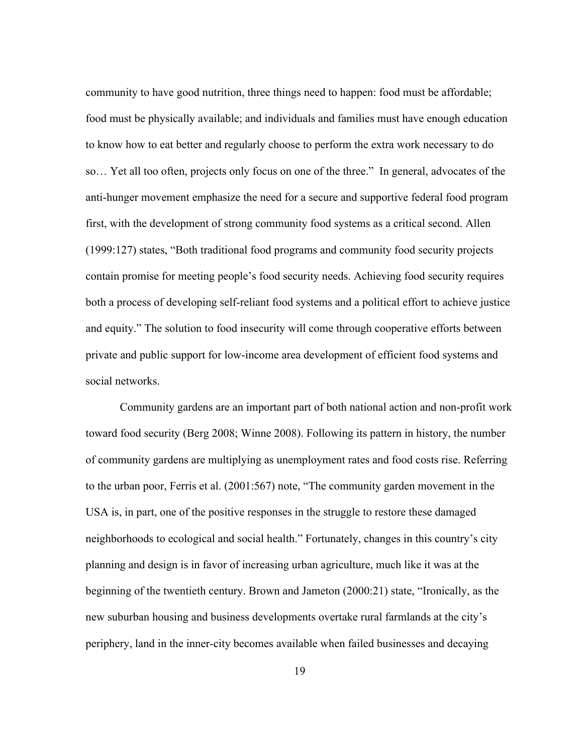community to have good nutrition, three things need to happen: food must be affordable; food must be physically available; and individuals and families must have enough education to know how to eat better and regularly choose to perform the extra work necessary to do so… Yet all too often, projects only focus on one of the three." In general, advocates of the anti-hunger movement emphasize the need for a secure and supportive federal food program first, with the development of strong community food systems as a critical second. Allen (1999:127) states, "Both traditional food programs and community food security projects contain promise for meeting people's food security needs. Achieving food security requires both a process of developing self-reliant food systems and a political effort to achieve justice and equity." The solution to food insecurity will come through cooperative efforts between private and public support for low-income area development of efficient food systems and social networks.

Community gardens are an important part of both national action and non-profit work toward food security (Berg 2008; Winne 2008). Following its pattern in history, the number of community gardens are multiplying as unemployment rates and food costs rise. Referring to the urban poor, Ferris et al. (2001:567) note, "The community garden movement in the USA is, in part, one of the positive responses in the struggle to restore these damaged neighborhoods to ecological and social health." Fortunately, changes in this country's city planning and design is in favor of increasing urban agriculture, much like it was at the beginning of the twentieth century. Brown and Jameton (2000:21) state, "Ironically, as the new suburban housing and business developments overtake rural farmlands at the city's periphery, land in the inner-city becomes available when failed businesses and decaying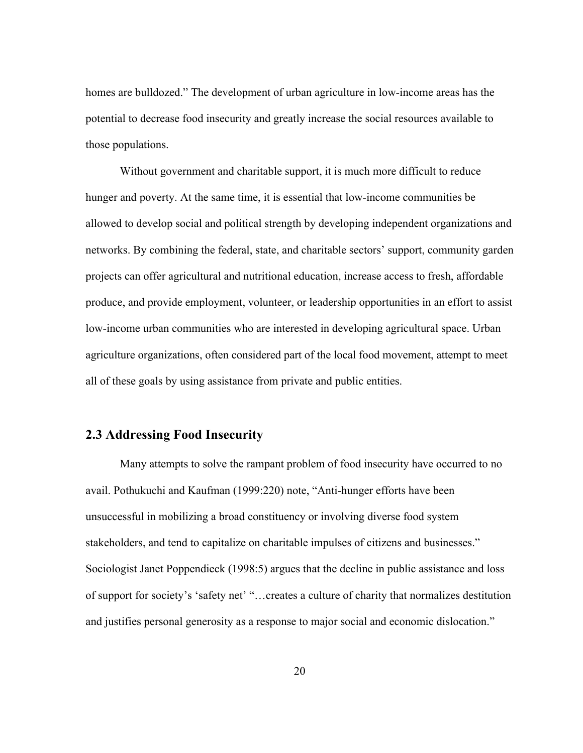homes are bulldozed." The development of urban agriculture in low-income areas has the potential to decrease food insecurity and greatly increase the social resources available to those populations.

Without government and charitable support, it is much more difficult to reduce hunger and poverty. At the same time, it is essential that low-income communities be allowed to develop social and political strength by developing independent organizations and networks. By combining the federal, state, and charitable sectors' support, community garden projects can offer agricultural and nutritional education, increase access to fresh, affordable produce, and provide employment, volunteer, or leadership opportunities in an effort to assist low-income urban communities who are interested in developing agricultural space. Urban agriculture organizations, often considered part of the local food movement, attempt to meet all of these goals by using assistance from private and public entities.

### **2.3 Addressing Food Insecurity**

Many attempts to solve the rampant problem of food insecurity have occurred to no avail. Pothukuchi and Kaufman (1999:220) note, "Anti-hunger efforts have been unsuccessful in mobilizing a broad constituency or involving diverse food system stakeholders, and tend to capitalize on charitable impulses of citizens and businesses." Sociologist Janet Poppendieck (1998:5) argues that the decline in public assistance and loss of support for society's 'safety net' "…creates a culture of charity that normalizes destitution and justifies personal generosity as a response to major social and economic dislocation."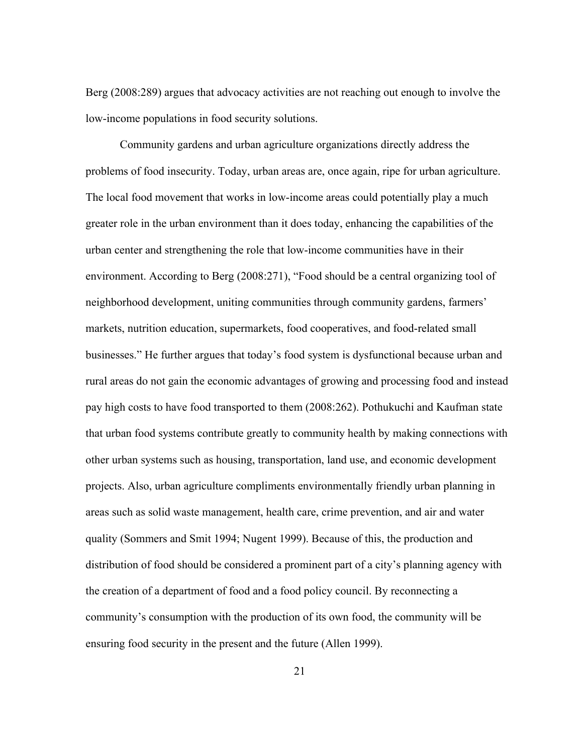Berg (2008:289) argues that advocacy activities are not reaching out enough to involve the low-income populations in food security solutions.

Community gardens and urban agriculture organizations directly address the problems of food insecurity. Today, urban areas are, once again, ripe for urban agriculture. The local food movement that works in low-income areas could potentially play a much greater role in the urban environment than it does today, enhancing the capabilities of the urban center and strengthening the role that low-income communities have in their environment. According to Berg (2008:271), "Food should be a central organizing tool of neighborhood development, uniting communities through community gardens, farmers' markets, nutrition education, supermarkets, food cooperatives, and food-related small businesses." He further argues that today's food system is dysfunctional because urban and rural areas do not gain the economic advantages of growing and processing food and instead pay high costs to have food transported to them (2008:262). Pothukuchi and Kaufman state that urban food systems contribute greatly to community health by making connections with other urban systems such as housing, transportation, land use, and economic development projects. Also, urban agriculture compliments environmentally friendly urban planning in areas such as solid waste management, health care, crime prevention, and air and water quality (Sommers and Smit 1994; Nugent 1999). Because of this, the production and distribution of food should be considered a prominent part of a city's planning agency with the creation of a department of food and a food policy council. By reconnecting a community's consumption with the production of its own food, the community will be ensuring food security in the present and the future (Allen 1999).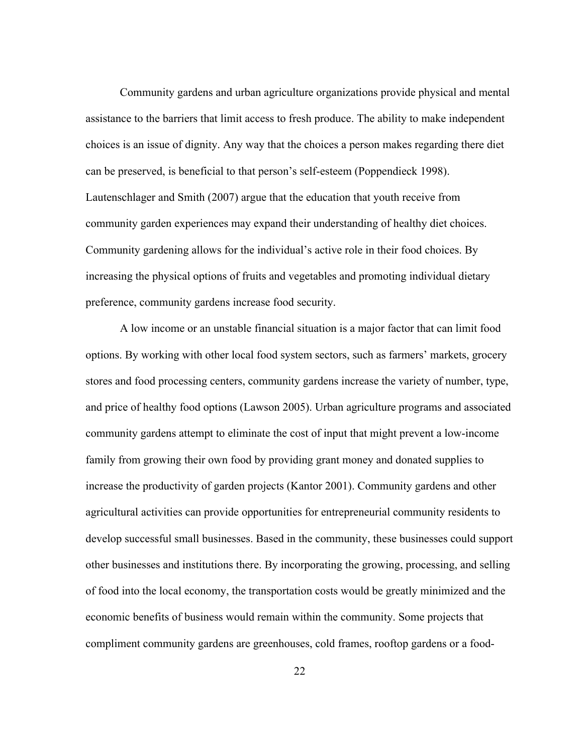Community gardens and urban agriculture organizations provide physical and mental assistance to the barriers that limit access to fresh produce. The ability to make independent choices is an issue of dignity. Any way that the choices a person makes regarding there diet can be preserved, is beneficial to that person's self-esteem (Poppendieck 1998). Lautenschlager and Smith (2007) argue that the education that youth receive from community garden experiences may expand their understanding of healthy diet choices. Community gardening allows for the individual's active role in their food choices. By increasing the physical options of fruits and vegetables and promoting individual dietary preference, community gardens increase food security.

A low income or an unstable financial situation is a major factor that can limit food options. By working with other local food system sectors, such as farmers' markets, grocery stores and food processing centers, community gardens increase the variety of number, type, and price of healthy food options (Lawson 2005). Urban agriculture programs and associated community gardens attempt to eliminate the cost of input that might prevent a low-income family from growing their own food by providing grant money and donated supplies to increase the productivity of garden projects (Kantor 2001). Community gardens and other agricultural activities can provide opportunities for entrepreneurial community residents to develop successful small businesses. Based in the community, these businesses could support other businesses and institutions there. By incorporating the growing, processing, and selling of food into the local economy, the transportation costs would be greatly minimized and the economic benefits of business would remain within the community. Some projects that compliment community gardens are greenhouses, cold frames, rooftop gardens or a food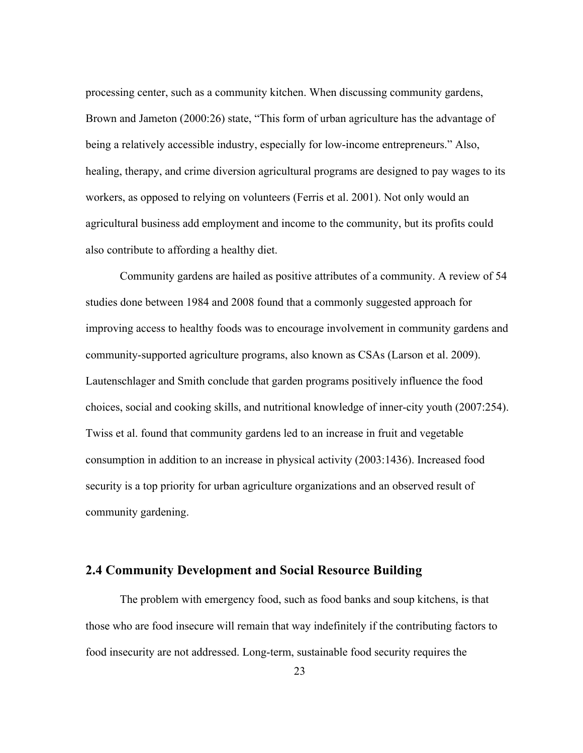processing center, such as a community kitchen. When discussing community gardens, Brown and Jameton (2000:26) state, "This form of urban agriculture has the advantage of being a relatively accessible industry, especially for low-income entrepreneurs." Also, healing, therapy, and crime diversion agricultural programs are designed to pay wages to its workers, as opposed to relying on volunteers (Ferris et al. 2001). Not only would an agricultural business add employment and income to the community, but its profits could also contribute to affording a healthy diet.

Community gardens are hailed as positive attributes of a community. A review of 54 studies done between 1984 and 2008 found that a commonly suggested approach for improving access to healthy foods was to encourage involvement in community gardens and community-supported agriculture programs, also known as CSAs (Larson et al. 2009). Lautenschlager and Smith conclude that garden programs positively influence the food choices, social and cooking skills, and nutritional knowledge of inner-city youth (2007:254). Twiss et al. found that community gardens led to an increase in fruit and vegetable consumption in addition to an increase in physical activity (2003:1436). Increased food security is a top priority for urban agriculture organizations and an observed result of community gardening.

#### **2.4 Community Development and Social Resource Building**

The problem with emergency food, such as food banks and soup kitchens, is that those who are food insecure will remain that way indefinitely if the contributing factors to food insecurity are not addressed. Long-term, sustainable food security requires the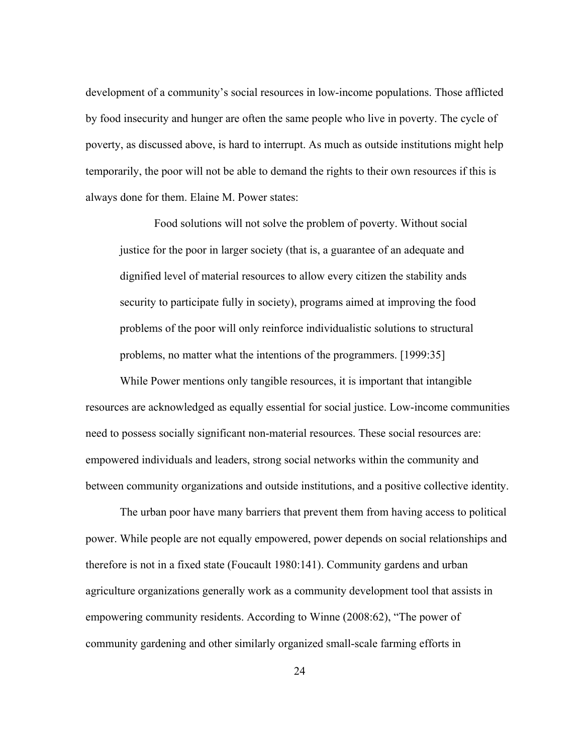development of a community's social resources in low-income populations. Those afflicted by food insecurity and hunger are often the same people who live in poverty. The cycle of poverty, as discussed above, is hard to interrupt. As much as outside institutions might help temporarily, the poor will not be able to demand the rights to their own resources if this is always done for them. Elaine M. Power states:

Food solutions will not solve the problem of poverty. Without social justice for the poor in larger society (that is, a guarantee of an adequate and dignified level of material resources to allow every citizen the stability ands security to participate fully in society), programs aimed at improving the food problems of the poor will only reinforce individualistic solutions to structural problems, no matter what the intentions of the programmers. [1999:35]

While Power mentions only tangible resources, it is important that intangible resources are acknowledged as equally essential for social justice. Low-income communities need to possess socially significant non-material resources. These social resources are: empowered individuals and leaders, strong social networks within the community and between community organizations and outside institutions, and a positive collective identity.

The urban poor have many barriers that prevent them from having access to political power. While people are not equally empowered, power depends on social relationships and therefore is not in a fixed state (Foucault 1980:141). Community gardens and urban agriculture organizations generally work as a community development tool that assists in empowering community residents. According to Winne (2008:62), "The power of community gardening and other similarly organized small-scale farming efforts in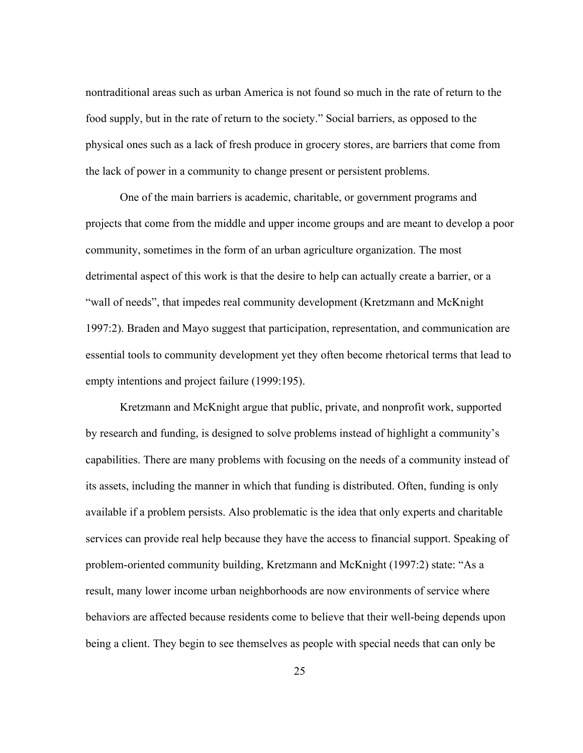nontraditional areas such as urban America is not found so much in the rate of return to the food supply, but in the rate of return to the society." Social barriers, as opposed to the physical ones such as a lack of fresh produce in grocery stores, are barriers that come from the lack of power in a community to change present or persistent problems.

One of the main barriers is academic, charitable, or government programs and projects that come from the middle and upper income groups and are meant to develop a poor community, sometimes in the form of an urban agriculture organization. The most detrimental aspect of this work is that the desire to help can actually create a barrier, or a "wall of needs", that impedes real community development (Kretzmann and McKnight 1997:2). Braden and Mayo suggest that participation, representation, and communication are essential tools to community development yet they often become rhetorical terms that lead to empty intentions and project failure (1999:195).

Kretzmann and McKnight argue that public, private, and nonprofit work, supported by research and funding, is designed to solve problems instead of highlight a community's capabilities. There are many problems with focusing on the needs of a community instead of its assets, including the manner in which that funding is distributed. Often, funding is only available if a problem persists. Also problematic is the idea that only experts and charitable services can provide real help because they have the access to financial support. Speaking of problem-oriented community building, Kretzmann and McKnight (1997:2) state: "As a result, many lower income urban neighborhoods are now environments of service where behaviors are affected because residents come to believe that their well-being depends upon being a client. They begin to see themselves as people with special needs that can only be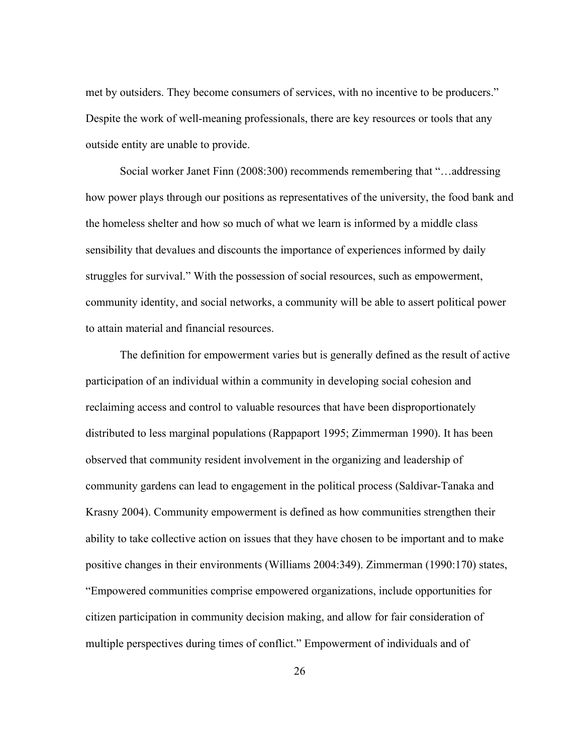met by outsiders. They become consumers of services, with no incentive to be producers." Despite the work of well-meaning professionals, there are key resources or tools that any outside entity are unable to provide.

Social worker Janet Finn (2008:300) recommends remembering that "…addressing how power plays through our positions as representatives of the university, the food bank and the homeless shelter and how so much of what we learn is informed by a middle class sensibility that devalues and discounts the importance of experiences informed by daily struggles for survival." With the possession of social resources, such as empowerment, community identity, and social networks, a community will be able to assert political power to attain material and financial resources.

The definition for empowerment varies but is generally defined as the result of active participation of an individual within a community in developing social cohesion and reclaiming access and control to valuable resources that have been disproportionately distributed to less marginal populations (Rappaport 1995; Zimmerman 1990). It has been observed that community resident involvement in the organizing and leadership of community gardens can lead to engagement in the political process (Saldivar-Tanaka and Krasny 2004). Community empowerment is defined as how communities strengthen their ability to take collective action on issues that they have chosen to be important and to make positive changes in their environments (Williams 2004:349). Zimmerman (1990:170) states, "Empowered communities comprise empowered organizations, include opportunities for citizen participation in community decision making, and allow for fair consideration of multiple perspectives during times of conflict." Empowerment of individuals and of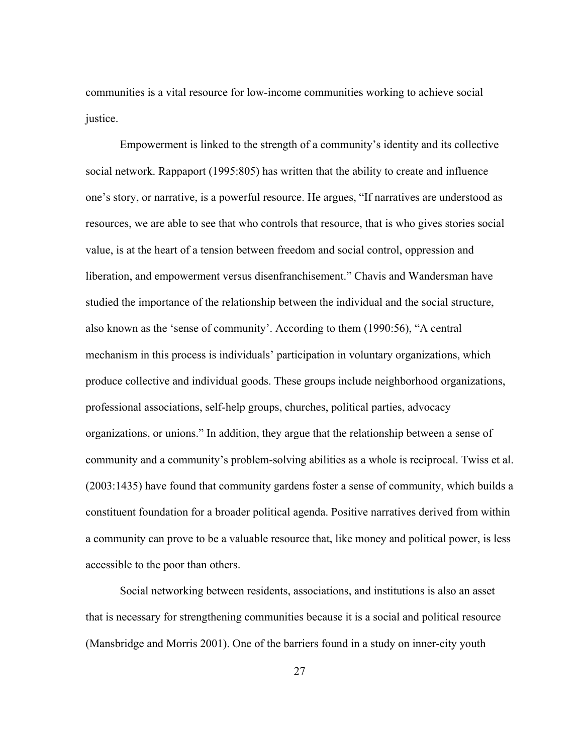communities is a vital resource for low-income communities working to achieve social justice.

Empowerment is linked to the strength of a community's identity and its collective social network. Rappaport (1995:805) has written that the ability to create and influence one's story, or narrative, is a powerful resource. He argues, "If narratives are understood as resources, we are able to see that who controls that resource, that is who gives stories social value, is at the heart of a tension between freedom and social control, oppression and liberation, and empowerment versus disenfranchisement." Chavis and Wandersman have studied the importance of the relationship between the individual and the social structure, also known as the 'sense of community'. According to them (1990:56), "A central mechanism in this process is individuals' participation in voluntary organizations, which produce collective and individual goods. These groups include neighborhood organizations, professional associations, self-help groups, churches, political parties, advocacy organizations, or unions." In addition, they argue that the relationship between a sense of community and a community's problem-solving abilities as a whole is reciprocal. Twiss et al. (2003:1435) have found that community gardens foster a sense of community, which builds a constituent foundation for a broader political agenda. Positive narratives derived from within a community can prove to be a valuable resource that, like money and political power, is less accessible to the poor than others.

Social networking between residents, associations, and institutions is also an asset that is necessary for strengthening communities because it is a social and political resource (Mansbridge and Morris 2001). One of the barriers found in a study on inner-city youth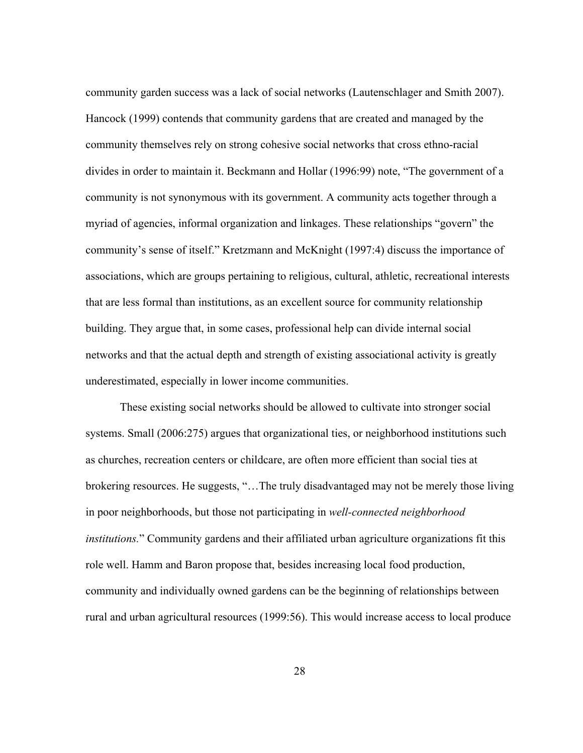community garden success was a lack of social networks (Lautenschlager and Smith 2007). Hancock (1999) contends that community gardens that are created and managed by the community themselves rely on strong cohesive social networks that cross ethno-racial divides in order to maintain it. Beckmann and Hollar (1996:99) note, "The government of a community is not synonymous with its government. A community acts together through a myriad of agencies, informal organization and linkages. These relationships "govern" the community's sense of itself." Kretzmann and McKnight (1997:4) discuss the importance of associations, which are groups pertaining to religious, cultural, athletic, recreational interests that are less formal than institutions, as an excellent source for community relationship building. They argue that, in some cases, professional help can divide internal social networks and that the actual depth and strength of existing associational activity is greatly underestimated, especially in lower income communities.

These existing social networks should be allowed to cultivate into stronger social systems. Small (2006:275) argues that organizational ties, or neighborhood institutions such as churches, recreation centers or childcare, are often more efficient than social ties at brokering resources. He suggests, "…The truly disadvantaged may not be merely those living in poor neighborhoods, but those not participating in *well-connected neighborhood institutions.*" Community gardens and their affiliated urban agriculture organizations fit this role well. Hamm and Baron propose that, besides increasing local food production, community and individually owned gardens can be the beginning of relationships between rural and urban agricultural resources (1999:56). This would increase access to local produce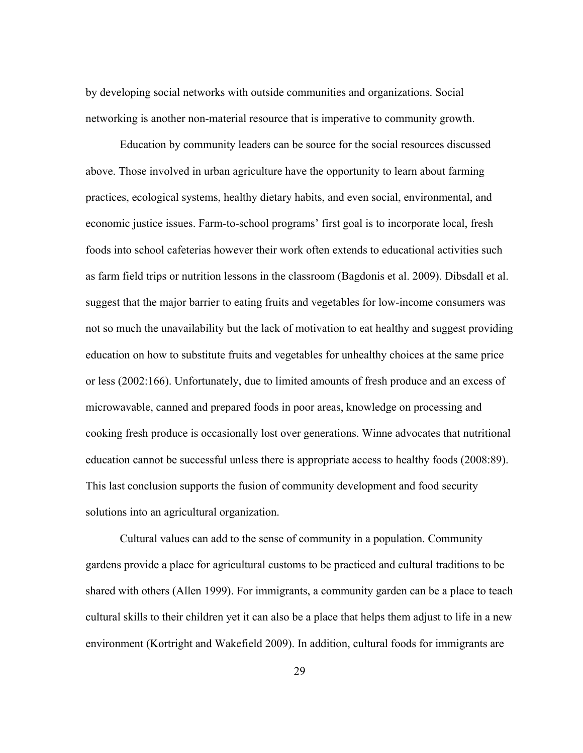by developing social networks with outside communities and organizations. Social networking is another non-material resource that is imperative to community growth.

Education by community leaders can be source for the social resources discussed above. Those involved in urban agriculture have the opportunity to learn about farming practices, ecological systems, healthy dietary habits, and even social, environmental, and economic justice issues. Farm-to-school programs' first goal is to incorporate local, fresh foods into school cafeterias however their work often extends to educational activities such as farm field trips or nutrition lessons in the classroom (Bagdonis et al. 2009). Dibsdall et al. suggest that the major barrier to eating fruits and vegetables for low-income consumers was not so much the unavailability but the lack of motivation to eat healthy and suggest providing education on how to substitute fruits and vegetables for unhealthy choices at the same price or less (2002:166). Unfortunately, due to limited amounts of fresh produce and an excess of microwavable, canned and prepared foods in poor areas, knowledge on processing and cooking fresh produce is occasionally lost over generations. Winne advocates that nutritional education cannot be successful unless there is appropriate access to healthy foods (2008:89). This last conclusion supports the fusion of community development and food security solutions into an agricultural organization.

Cultural values can add to the sense of community in a population. Community gardens provide a place for agricultural customs to be practiced and cultural traditions to be shared with others (Allen 1999). For immigrants, a community garden can be a place to teach cultural skills to their children yet it can also be a place that helps them adjust to life in a new environment (Kortright and Wakefield 2009). In addition, cultural foods for immigrants are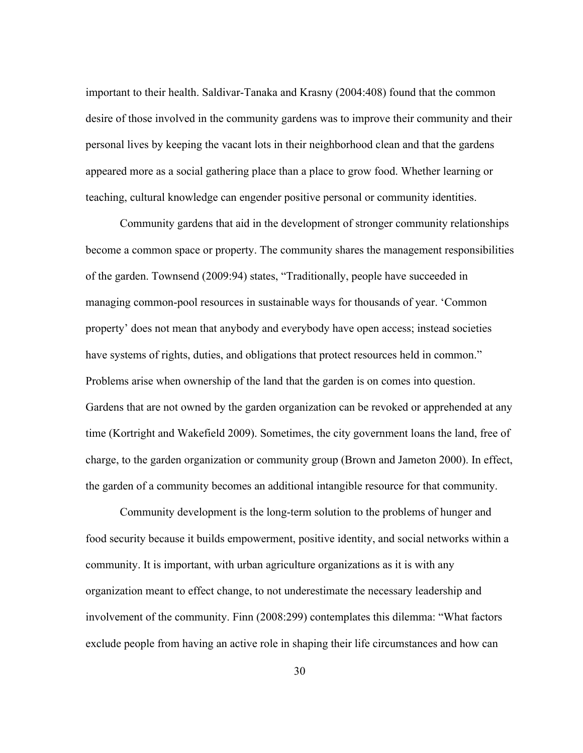important to their health. Saldivar-Tanaka and Krasny (2004:408) found that the common desire of those involved in the community gardens was to improve their community and their personal lives by keeping the vacant lots in their neighborhood clean and that the gardens appeared more as a social gathering place than a place to grow food. Whether learning or teaching, cultural knowledge can engender positive personal or community identities.

Community gardens that aid in the development of stronger community relationships become a common space or property. The community shares the management responsibilities of the garden. Townsend (2009:94) states, "Traditionally, people have succeeded in managing common-pool resources in sustainable ways for thousands of year. 'Common property' does not mean that anybody and everybody have open access; instead societies have systems of rights, duties, and obligations that protect resources held in common." Problems arise when ownership of the land that the garden is on comes into question. Gardens that are not owned by the garden organization can be revoked or apprehended at any time (Kortright and Wakefield 2009). Sometimes, the city government loans the land, free of charge, to the garden organization or community group (Brown and Jameton 2000). In effect, the garden of a community becomes an additional intangible resource for that community.

Community development is the long-term solution to the problems of hunger and food security because it builds empowerment, positive identity, and social networks within a community. It is important, with urban agriculture organizations as it is with any organization meant to effect change, to not underestimate the necessary leadership and involvement of the community. Finn (2008:299) contemplates this dilemma: "What factors exclude people from having an active role in shaping their life circumstances and how can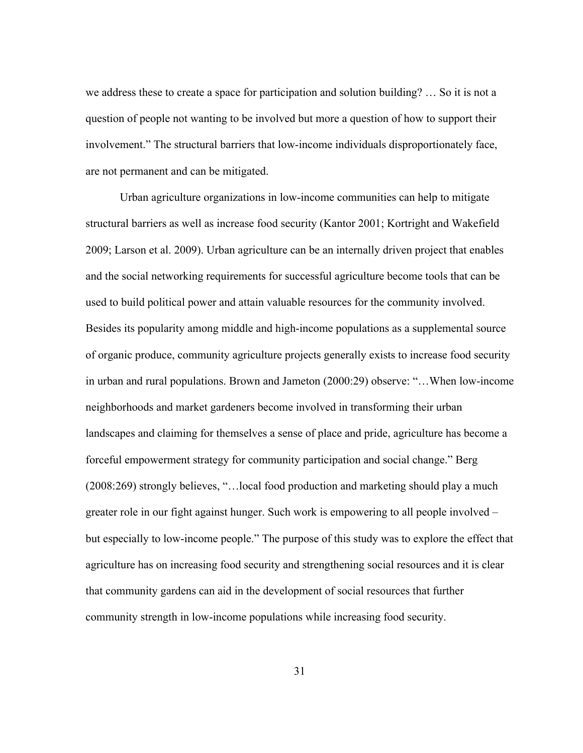we address these to create a space for participation and solution building? … So it is not a question of people not wanting to be involved but more a question of how to support their involvement." The structural barriers that low-income individuals disproportionately face, are not permanent and can be mitigated.

Urban agriculture organizations in low-income communities can help to mitigate structural barriers as well as increase food security (Kantor 2001; Kortright and Wakefield 2009; Larson et al. 2009). Urban agriculture can be an internally driven project that enables and the social networking requirements for successful agriculture become tools that can be used to build political power and attain valuable resources for the community involved. Besides its popularity among middle and high-income populations as a supplemental source of organic produce, community agriculture projects generally exists to increase food security in urban and rural populations. Brown and Jameton (2000:29) observe: "…When low-income neighborhoods and market gardeners become involved in transforming their urban landscapes and claiming for themselves a sense of place and pride, agriculture has become a forceful empowerment strategy for community participation and social change." Berg (2008:269) strongly believes, "…local food production and marketing should play a much greater role in our fight against hunger. Such work is empowering to all people involved – but especially to low-income people." The purpose of this study was to explore the effect that agriculture has on increasing food security and strengthening social resources and it is clear that community gardens can aid in the development of social resources that further community strength in low-income populations while increasing food security.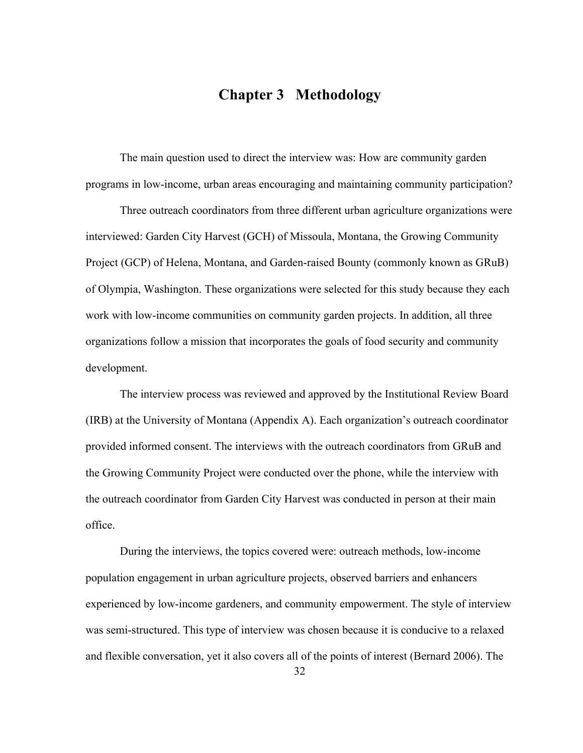# **Chapter 3 Methodology**

The main question used to direct the interview was: How are community garden programs in low-income, urban areas encouraging and maintaining community participation?

Three outreach coordinators from three different urban agriculture organizations were interviewed: Garden City Harvest (GCH) of Missoula, Montana, the Growing Community Project (GCP) of Helena, Montana, and Garden-raised Bounty (commonly known as GRuB) of Olympia, Washington. These organizations were selected for this study because they each work with low-income communities on community garden projects. In addition, all three organizations follow a mission that incorporates the goals of food security and community development.

The interview process was reviewed and approved by the Institutional Review Board (IRB) at the University of Montana (Appendix A). Each organization's outreach coordinator provided informed consent. The interviews with the outreach coordinators from GRuB and the Growing Community Project were conducted over the phone, while the interview with the outreach coordinator from Garden City Harvest was conducted in person at their main office.

During the interviews, the topics covered were: outreach methods, low-income population engagement in urban agriculture projects, observed barriers and enhancers experienced by low-income gardeners, and community empowerment. The style of interview was semi-structured. This type of interview was chosen because it is conducive to a relaxed and flexible conversation, yet it also covers all of the points of interest (Bernard 2006). The

32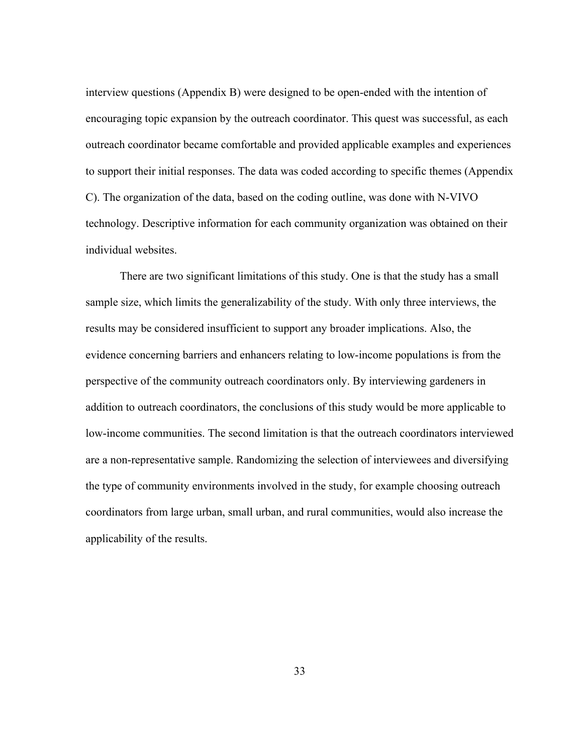interview questions (Appendix B) were designed to be open-ended with the intention of encouraging topic expansion by the outreach coordinator. This quest was successful, as each outreach coordinator became comfortable and provided applicable examples and experiences to support their initial responses. The data was coded according to specific themes (Appendix C). The organization of the data, based on the coding outline, was done with N-VIVO technology. Descriptive information for each community organization was obtained on their individual websites.

There are two significant limitations of this study. One is that the study has a small sample size, which limits the generalizability of the study. With only three interviews, the results may be considered insufficient to support any broader implications. Also, the evidence concerning barriers and enhancers relating to low-income populations is from the perspective of the community outreach coordinators only. By interviewing gardeners in addition to outreach coordinators, the conclusions of this study would be more applicable to low-income communities. The second limitation is that the outreach coordinators interviewed are a non-representative sample. Randomizing the selection of interviewees and diversifying the type of community environments involved in the study, for example choosing outreach coordinators from large urban, small urban, and rural communities, would also increase the applicability of the results.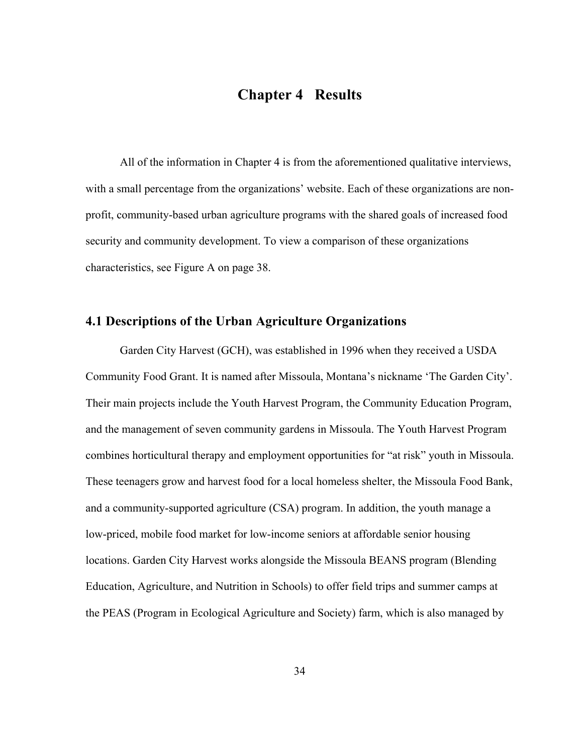# **Chapter 4 Results**

All of the information in Chapter 4 is from the aforementioned qualitative interviews, with a small percentage from the organizations' website. Each of these organizations are nonprofit, community-based urban agriculture programs with the shared goals of increased food security and community development. To view a comparison of these organizations characteristics, see Figure A on page 38.

### **4.1 Descriptions of the Urban Agriculture Organizations**

Garden City Harvest (GCH), was established in 1996 when they received a USDA Community Food Grant. It is named after Missoula, Montana's nickname 'The Garden City'. Their main projects include the Youth Harvest Program, the Community Education Program, and the management of seven community gardens in Missoula. The Youth Harvest Program combines horticultural therapy and employment opportunities for "at risk" youth in Missoula. These teenagers grow and harvest food for a local homeless shelter, the Missoula Food Bank, and a community-supported agriculture (CSA) program. In addition, the youth manage a low-priced, mobile food market for low-income seniors at affordable senior housing locations. Garden City Harvest works alongside the Missoula BEANS program (Blending Education, Agriculture, and Nutrition in Schools) to offer field trips and summer camps at the PEAS (Program in Ecological Agriculture and Society) farm, which is also managed by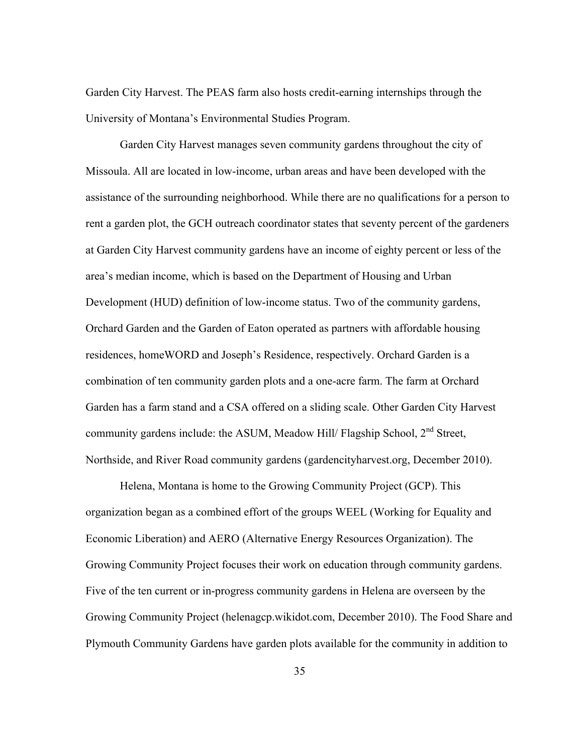Garden City Harvest. The PEAS farm also hosts credit-earning internships through the University of Montana's Environmental Studies Program.

Garden City Harvest manages seven community gardens throughout the city of Missoula. All are located in low-income, urban areas and have been developed with the assistance of the surrounding neighborhood. While there are no qualifications for a person to rent a garden plot, the GCH outreach coordinator states that seventy percent of the gardeners at Garden City Harvest community gardens have an income of eighty percent or less of the area's median income, which is based on the Department of Housing and Urban Development (HUD) definition of low-income status. Two of the community gardens, Orchard Garden and the Garden of Eaton operated as partners with affordable housing residences, homeWORD and Joseph's Residence, respectively. Orchard Garden is a combination of ten community garden plots and a one-acre farm. The farm at Orchard Garden has a farm stand and a CSA offered on a sliding scale. Other Garden City Harvest community gardens include: the ASUM, Meadow Hill/ Flagship School, 2<sup>nd</sup> Street, Northside, and River Road community gardens (gardencityharvest.org, December 2010).

Helena, Montana is home to the Growing Community Project (GCP). This organization began as a combined effort of the groups WEEL (Working for Equality and Economic Liberation) and AERO (Alternative Energy Resources Organization). The Growing Community Project focuses their work on education through community gardens. Five of the ten current or in-progress community gardens in Helena are overseen by the Growing Community Project (helenagcp.wikidot.com, December 2010). The Food Share and Plymouth Community Gardens have garden plots available for the community in addition to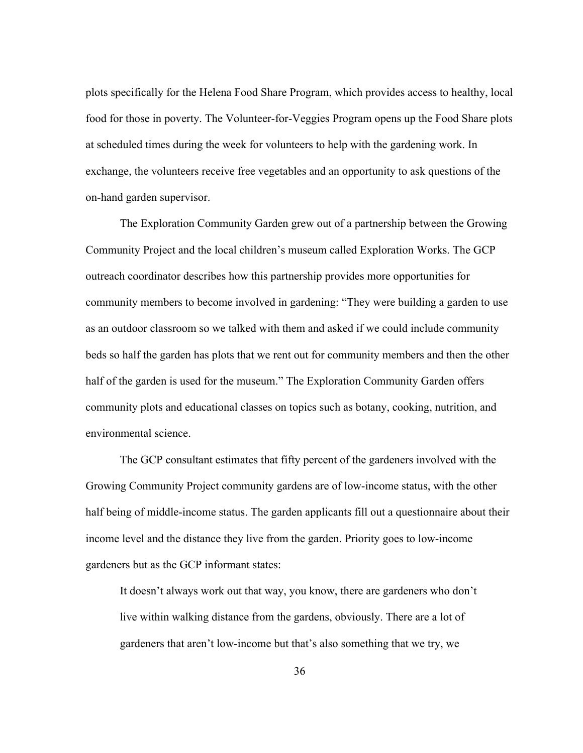plots specifically for the Helena Food Share Program, which provides access to healthy, local food for those in poverty. The Volunteer-for-Veggies Program opens up the Food Share plots at scheduled times during the week for volunteers to help with the gardening work. In exchange, the volunteers receive free vegetables and an opportunity to ask questions of the on-hand garden supervisor.

The Exploration Community Garden grew out of a partnership between the Growing Community Project and the local children's museum called Exploration Works. The GCP outreach coordinator describes how this partnership provides more opportunities for community members to become involved in gardening: "They were building a garden to use as an outdoor classroom so we talked with them and asked if we could include community beds so half the garden has plots that we rent out for community members and then the other half of the garden is used for the museum." The Exploration Community Garden offers community plots and educational classes on topics such as botany, cooking, nutrition, and environmental science.

The GCP consultant estimates that fifty percent of the gardeners involved with the Growing Community Project community gardens are of low-income status, with the other half being of middle-income status. The garden applicants fill out a questionnaire about their income level and the distance they live from the garden. Priority goes to low-income gardeners but as the GCP informant states:

It doesn't always work out that way, you know, there are gardeners who don't live within walking distance from the gardens, obviously. There are a lot of gardeners that aren't low-income but that's also something that we try, we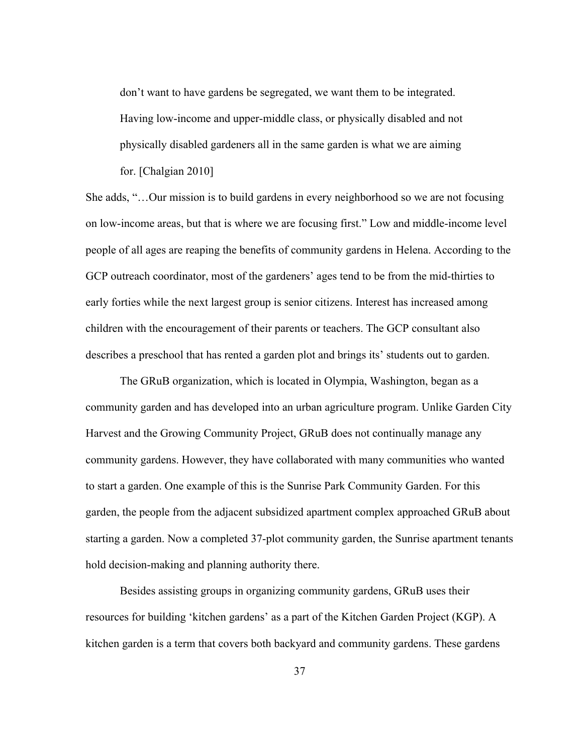don't want to have gardens be segregated, we want them to be integrated. Having low-income and upper-middle class, or physically disabled and not physically disabled gardeners all in the same garden is what we are aiming for. [Chalgian 2010]

She adds, "…Our mission is to build gardens in every neighborhood so we are not focusing on low-income areas, but that is where we are focusing first." Low and middle-income level people of all ages are reaping the benefits of community gardens in Helena. According to the GCP outreach coordinator, most of the gardeners' ages tend to be from the mid-thirties to early forties while the next largest group is senior citizens. Interest has increased among children with the encouragement of their parents or teachers. The GCP consultant also describes a preschool that has rented a garden plot and brings its' students out to garden.

The GRuB organization, which is located in Olympia, Washington, began as a community garden and has developed into an urban agriculture program. Unlike Garden City Harvest and the Growing Community Project, GRuB does not continually manage any community gardens. However, they have collaborated with many communities who wanted to start a garden. One example of this is the Sunrise Park Community Garden. For this garden, the people from the adjacent subsidized apartment complex approached GRuB about starting a garden. Now a completed 37-plot community garden, the Sunrise apartment tenants hold decision-making and planning authority there.

Besides assisting groups in organizing community gardens, GRuB uses their resources for building 'kitchen gardens' as a part of the Kitchen Garden Project (KGP). A kitchen garden is a term that covers both backyard and community gardens. These gardens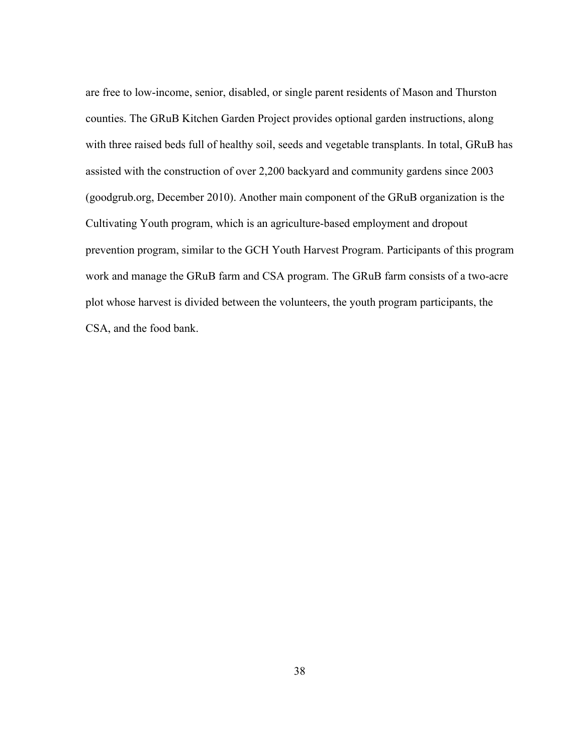are free to low-income, senior, disabled, or single parent residents of Mason and Thurston counties. The GRuB Kitchen Garden Project provides optional garden instructions, along with three raised beds full of healthy soil, seeds and vegetable transplants. In total, GRuB has assisted with the construction of over 2,200 backyard and community gardens since 2003 (goodgrub.org, December 2010). Another main component of the GRuB organization is the Cultivating Youth program, which is an agriculture-based employment and dropout prevention program, similar to the GCH Youth Harvest Program. Participants of this program work and manage the GRuB farm and CSA program. The GRuB farm consists of a two-acre plot whose harvest is divided between the volunteers, the youth program participants, the CSA, and the food bank.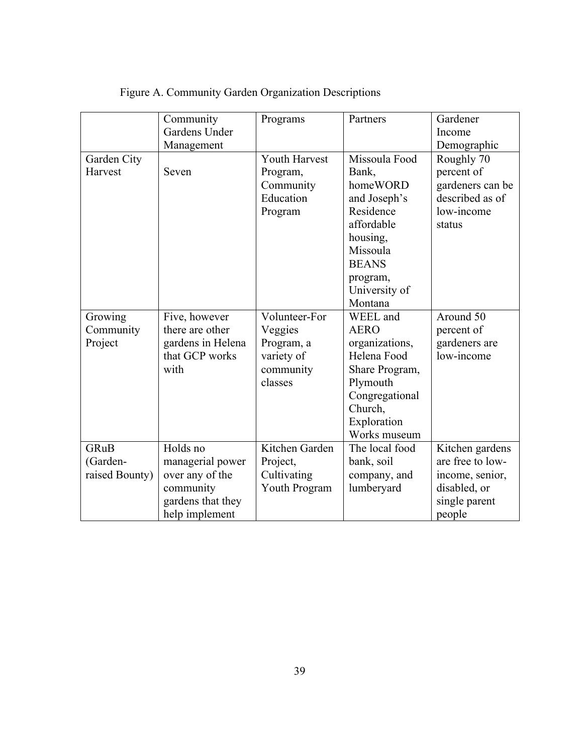|                | Community         | Programs       | Partners       | Gardener         |
|----------------|-------------------|----------------|----------------|------------------|
|                | Gardens Under     |                |                | Income           |
|                | Management        |                |                | Demographic      |
| Garden City    |                   | Youth Harvest  | Missoula Food  | Roughly 70       |
| Harvest        | Seven             | Program,       | Bank,          | percent of       |
|                |                   | Community      | homeWORD       | gardeners can be |
|                |                   | Education      | and Joseph's   | described as of  |
|                |                   | Program        | Residence      | low-income       |
|                |                   |                | affordable     | status           |
|                |                   |                | housing,       |                  |
|                |                   |                | Missoula       |                  |
|                |                   |                | <b>BEANS</b>   |                  |
|                |                   |                | program,       |                  |
|                |                   |                | University of  |                  |
|                |                   |                | Montana        |                  |
| Growing        | Five, however     | Volunteer-For  | WEEL and       | Around 50        |
| Community      | there are other   | Veggies        | <b>AERO</b>    | percent of       |
| Project        | gardens in Helena | Program, a     | organizations, | gardeners are    |
|                | that GCP works    | variety of     | Helena Food    | low-income       |
|                | with              | community      | Share Program, |                  |
|                |                   | classes        | Plymouth       |                  |
|                |                   |                | Congregational |                  |
|                |                   |                | Church,        |                  |
|                |                   |                | Exploration    |                  |
|                |                   |                | Works museum   |                  |
| <b>GRuB</b>    | Holds no          | Kitchen Garden | The local food | Kitchen gardens  |
| (Garden-       | managerial power  | Project,       | bank, soil     | are free to low- |
| raised Bounty) | over any of the   | Cultivating    | company, and   | income, senior,  |
|                | community         | Youth Program  | lumberyard     | disabled, or     |
|                | gardens that they |                |                | single parent    |
|                | help implement    |                |                | people           |

# Figure A. Community Garden Organization Descriptions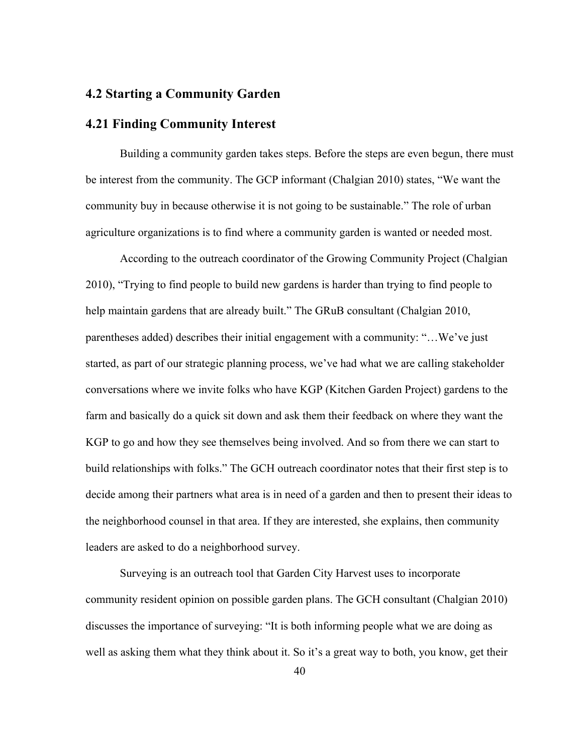## **4.2 Starting a Community Garden**

#### **4.21 Finding Community Interest**

Building a community garden takes steps. Before the steps are even begun, there must be interest from the community. The GCP informant (Chalgian 2010) states, "We want the community buy in because otherwise it is not going to be sustainable." The role of urban agriculture organizations is to find where a community garden is wanted or needed most.

According to the outreach coordinator of the Growing Community Project (Chalgian 2010), "Trying to find people to build new gardens is harder than trying to find people to help maintain gardens that are already built." The GRuB consultant (Chalgian 2010, parentheses added) describes their initial engagement with a community: "…We've just started, as part of our strategic planning process, we've had what we are calling stakeholder conversations where we invite folks who have KGP (Kitchen Garden Project) gardens to the farm and basically do a quick sit down and ask them their feedback on where they want the KGP to go and how they see themselves being involved. And so from there we can start to build relationships with folks." The GCH outreach coordinator notes that their first step is to decide among their partners what area is in need of a garden and then to present their ideas to the neighborhood counsel in that area. If they are interested, she explains, then community leaders are asked to do a neighborhood survey.

Surveying is an outreach tool that Garden City Harvest uses to incorporate community resident opinion on possible garden plans. The GCH consultant (Chalgian 2010) discusses the importance of surveying: "It is both informing people what we are doing as well as asking them what they think about it. So it's a great way to both, you know, get their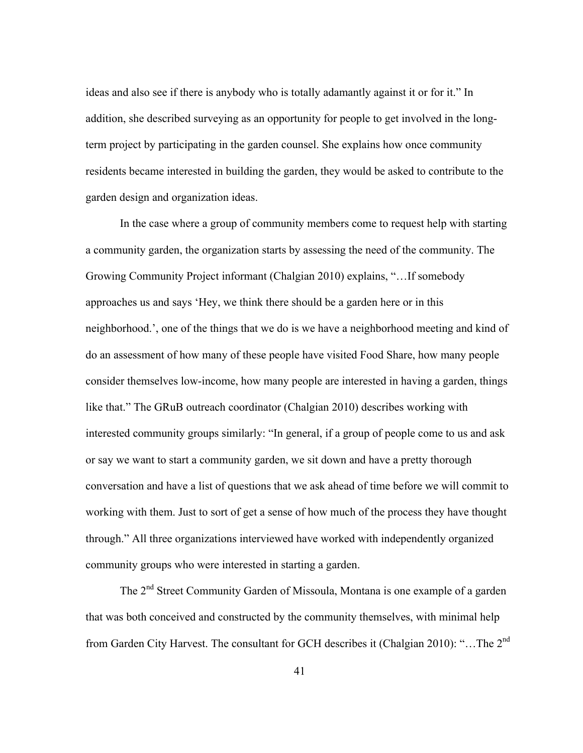ideas and also see if there is anybody who is totally adamantly against it or for it." In addition, she described surveying as an opportunity for people to get involved in the longterm project by participating in the garden counsel. She explains how once community residents became interested in building the garden, they would be asked to contribute to the garden design and organization ideas.

In the case where a group of community members come to request help with starting a community garden, the organization starts by assessing the need of the community. The Growing Community Project informant (Chalgian 2010) explains, "…If somebody approaches us and says 'Hey, we think there should be a garden here or in this neighborhood.', one of the things that we do is we have a neighborhood meeting and kind of do an assessment of how many of these people have visited Food Share, how many people consider themselves low-income, how many people are interested in having a garden, things like that." The GRuB outreach coordinator (Chalgian 2010) describes working with interested community groups similarly: "In general, if a group of people come to us and ask or say we want to start a community garden, we sit down and have a pretty thorough conversation and have a list of questions that we ask ahead of time before we will commit to working with them. Just to sort of get a sense of how much of the process they have thought through." All three organizations interviewed have worked with independently organized community groups who were interested in starting a garden.

The 2<sup>nd</sup> Street Community Garden of Missoula, Montana is one example of a garden that was both conceived and constructed by the community themselves, with minimal help from Garden City Harvest. The consultant for GCH describes it (Chalgian 2010): "...The 2<sup>nd</sup>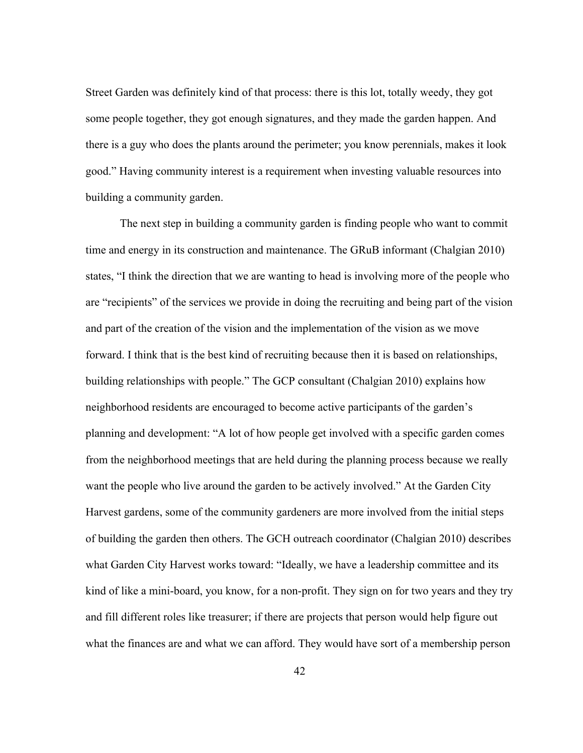Street Garden was definitely kind of that process: there is this lot, totally weedy, they got some people together, they got enough signatures, and they made the garden happen. And there is a guy who does the plants around the perimeter; you know perennials, makes it look good." Having community interest is a requirement when investing valuable resources into building a community garden.

The next step in building a community garden is finding people who want to commit time and energy in its construction and maintenance. The GRuB informant (Chalgian 2010) states, "I think the direction that we are wanting to head is involving more of the people who are "recipients" of the services we provide in doing the recruiting and being part of the vision and part of the creation of the vision and the implementation of the vision as we move forward. I think that is the best kind of recruiting because then it is based on relationships, building relationships with people." The GCP consultant (Chalgian 2010) explains how neighborhood residents are encouraged to become active participants of the garden's planning and development: "A lot of how people get involved with a specific garden comes from the neighborhood meetings that are held during the planning process because we really want the people who live around the garden to be actively involved." At the Garden City Harvest gardens, some of the community gardeners are more involved from the initial steps of building the garden then others. The GCH outreach coordinator (Chalgian 2010) describes what Garden City Harvest works toward: "Ideally, we have a leadership committee and its kind of like a mini-board, you know, for a non-profit. They sign on for two years and they try and fill different roles like treasurer; if there are projects that person would help figure out what the finances are and what we can afford. They would have sort of a membership person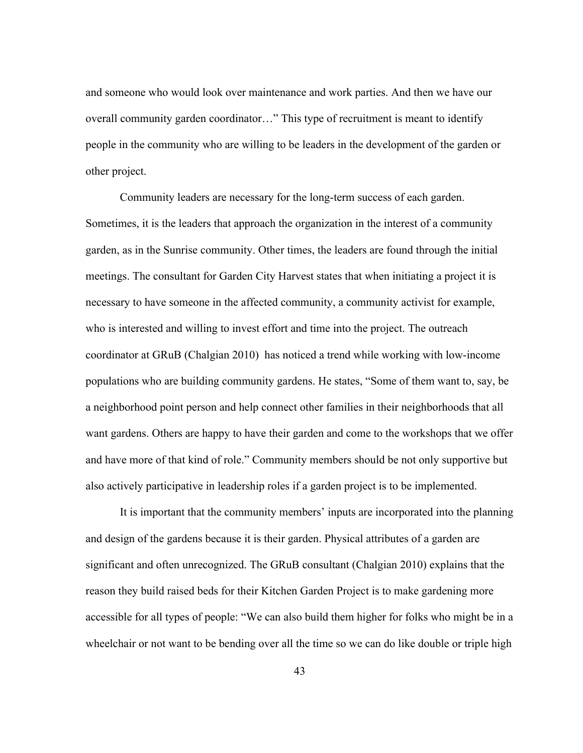and someone who would look over maintenance and work parties. And then we have our overall community garden coordinator…" This type of recruitment is meant to identify people in the community who are willing to be leaders in the development of the garden or other project.

Community leaders are necessary for the long-term success of each garden. Sometimes, it is the leaders that approach the organization in the interest of a community garden, as in the Sunrise community. Other times, the leaders are found through the initial meetings. The consultant for Garden City Harvest states that when initiating a project it is necessary to have someone in the affected community, a community activist for example, who is interested and willing to invest effort and time into the project. The outreach coordinator at GRuB (Chalgian 2010) has noticed a trend while working with low-income populations who are building community gardens. He states, "Some of them want to, say, be a neighborhood point person and help connect other families in their neighborhoods that all want gardens. Others are happy to have their garden and come to the workshops that we offer and have more of that kind of role." Community members should be not only supportive but also actively participative in leadership roles if a garden project is to be implemented.

It is important that the community members' inputs are incorporated into the planning and design of the gardens because it is their garden. Physical attributes of a garden are significant and often unrecognized. The GRuB consultant (Chalgian 2010) explains that the reason they build raised beds for their Kitchen Garden Project is to make gardening more accessible for all types of people: "We can also build them higher for folks who might be in a wheelchair or not want to be bending over all the time so we can do like double or triple high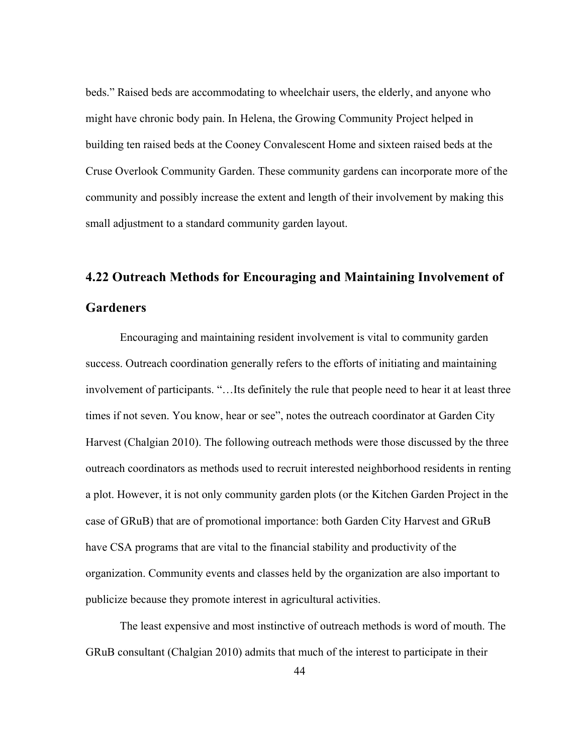beds." Raised beds are accommodating to wheelchair users, the elderly, and anyone who might have chronic body pain. In Helena, the Growing Community Project helped in building ten raised beds at the Cooney Convalescent Home and sixteen raised beds at the Cruse Overlook Community Garden. These community gardens can incorporate more of the community and possibly increase the extent and length of their involvement by making this small adjustment to a standard community garden layout.

# **4.22 Outreach Methods for Encouraging and Maintaining Involvement of Gardeners**

Encouraging and maintaining resident involvement is vital to community garden success. Outreach coordination generally refers to the efforts of initiating and maintaining involvement of participants. "…Its definitely the rule that people need to hear it at least three times if not seven. You know, hear or see", notes the outreach coordinator at Garden City Harvest (Chalgian 2010). The following outreach methods were those discussed by the three outreach coordinators as methods used to recruit interested neighborhood residents in renting a plot. However, it is not only community garden plots (or the Kitchen Garden Project in the case of GRuB) that are of promotional importance: both Garden City Harvest and GRuB have CSA programs that are vital to the financial stability and productivity of the organization. Community events and classes held by the organization are also important to publicize because they promote interest in agricultural activities.

The least expensive and most instinctive of outreach methods is word of mouth. The GRuB consultant (Chalgian 2010) admits that much of the interest to participate in their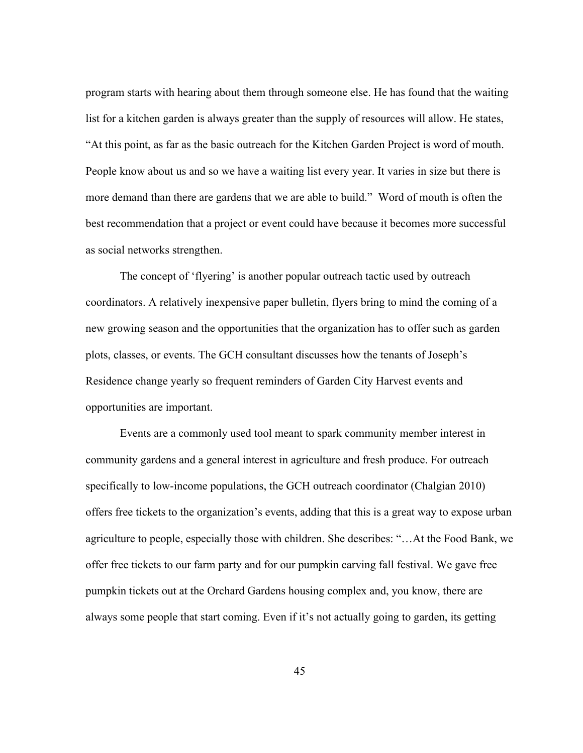program starts with hearing about them through someone else. He has found that the waiting list for a kitchen garden is always greater than the supply of resources will allow. He states, "At this point, as far as the basic outreach for the Kitchen Garden Project is word of mouth. People know about us and so we have a waiting list every year. It varies in size but there is more demand than there are gardens that we are able to build." Word of mouth is often the best recommendation that a project or event could have because it becomes more successful as social networks strengthen.

The concept of 'flyering' is another popular outreach tactic used by outreach coordinators. A relatively inexpensive paper bulletin, flyers bring to mind the coming of a new growing season and the opportunities that the organization has to offer such as garden plots, classes, or events. The GCH consultant discusses how the tenants of Joseph's Residence change yearly so frequent reminders of Garden City Harvest events and opportunities are important.

Events are a commonly used tool meant to spark community member interest in community gardens and a general interest in agriculture and fresh produce. For outreach specifically to low-income populations, the GCH outreach coordinator (Chalgian 2010) offers free tickets to the organization's events, adding that this is a great way to expose urban agriculture to people, especially those with children. She describes: "…At the Food Bank, we offer free tickets to our farm party and for our pumpkin carving fall festival. We gave free pumpkin tickets out at the Orchard Gardens housing complex and, you know, there are always some people that start coming. Even if it's not actually going to garden, its getting

45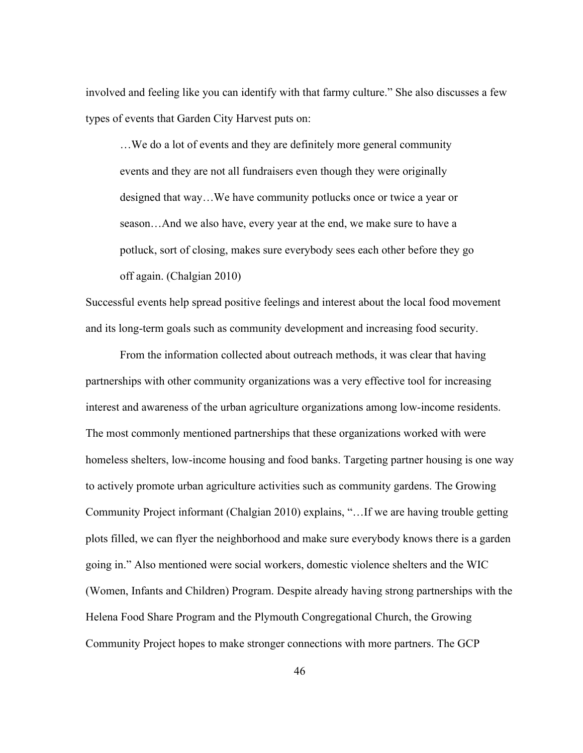involved and feeling like you can identify with that farmy culture." She also discusses a few types of events that Garden City Harvest puts on:

…We do a lot of events and they are definitely more general community events and they are not all fundraisers even though they were originally designed that way…We have community potlucks once or twice a year or season…And we also have, every year at the end, we make sure to have a potluck, sort of closing, makes sure everybody sees each other before they go off again. (Chalgian 2010)

Successful events help spread positive feelings and interest about the local food movement and its long-term goals such as community development and increasing food security.

From the information collected about outreach methods, it was clear that having partnerships with other community organizations was a very effective tool for increasing interest and awareness of the urban agriculture organizations among low-income residents. The most commonly mentioned partnerships that these organizations worked with were homeless shelters, low-income housing and food banks. Targeting partner housing is one way to actively promote urban agriculture activities such as community gardens. The Growing Community Project informant (Chalgian 2010) explains, "…If we are having trouble getting plots filled, we can flyer the neighborhood and make sure everybody knows there is a garden going in." Also mentioned were social workers, domestic violence shelters and the WIC (Women, Infants and Children) Program. Despite already having strong partnerships with the Helena Food Share Program and the Plymouth Congregational Church, the Growing Community Project hopes to make stronger connections with more partners. The GCP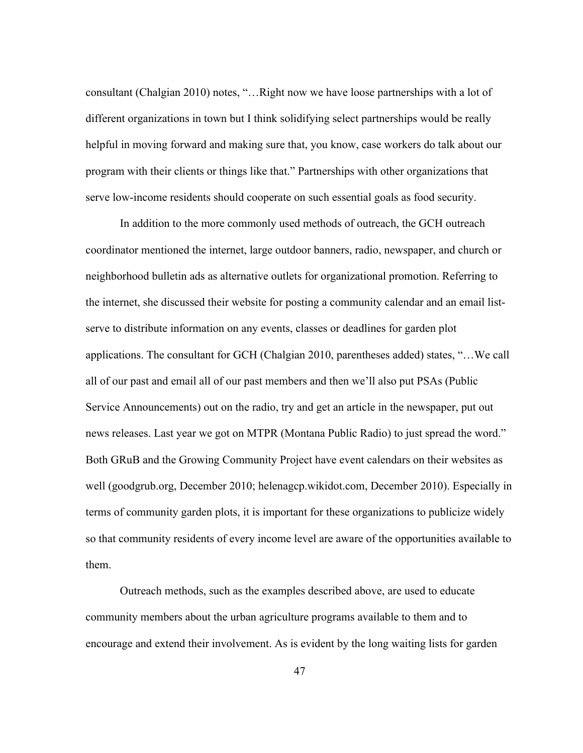consultant (Chalgian 2010) notes, "…Right now we have loose partnerships with a lot of different organizations in town but I think solidifying select partnerships would be really helpful in moving forward and making sure that, you know, case workers do talk about our program with their clients or things like that." Partnerships with other organizations that serve low-income residents should cooperate on such essential goals as food security.

In addition to the more commonly used methods of outreach, the GCH outreach coordinator mentioned the internet, large outdoor banners, radio, newspaper, and church or neighborhood bulletin ads as alternative outlets for organizational promotion. Referring to the internet, she discussed their website for posting a community calendar and an email listserve to distribute information on any events, classes or deadlines for garden plot applications. The consultant for GCH (Chalgian 2010, parentheses added) states, "…We call all of our past and email all of our past members and then we'll also put PSAs (Public Service Announcements) out on the radio, try and get an article in the newspaper, put out news releases. Last year we got on MTPR (Montana Public Radio) to just spread the word." Both GRuB and the Growing Community Project have event calendars on their websites as well (goodgrub.org, December 2010; helenagcp.wikidot.com, December 2010). Especially in terms of community garden plots, it is important for these organizations to publicize widely so that community residents of every income level are aware of the opportunities available to them.

Outreach methods, such as the examples described above, are used to educate community members about the urban agriculture programs available to them and to encourage and extend their involvement. As is evident by the long waiting lists for garden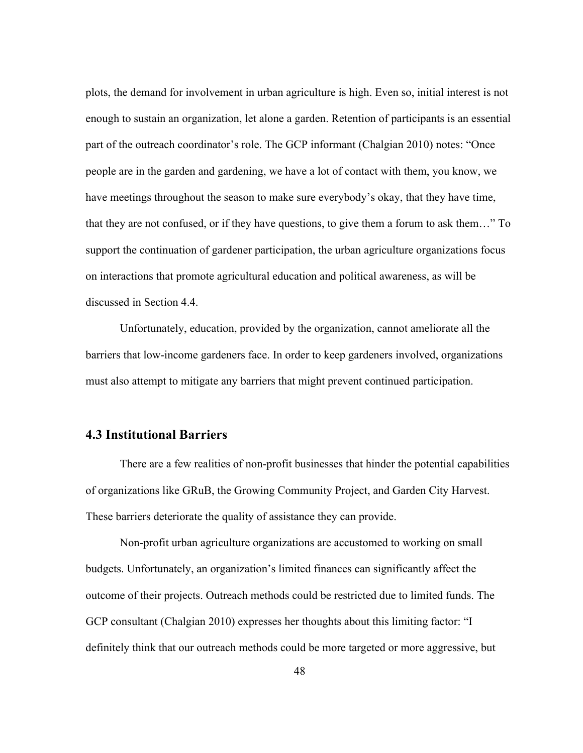plots, the demand for involvement in urban agriculture is high. Even so, initial interest is not enough to sustain an organization, let alone a garden. Retention of participants is an essential part of the outreach coordinator's role. The GCP informant (Chalgian 2010) notes: "Once people are in the garden and gardening, we have a lot of contact with them, you know, we have meetings throughout the season to make sure everybody's okay, that they have time, that they are not confused, or if they have questions, to give them a forum to ask them…" To support the continuation of gardener participation, the urban agriculture organizations focus on interactions that promote agricultural education and political awareness, as will be discussed in Section 4.4.

Unfortunately, education, provided by the organization, cannot ameliorate all the barriers that low-income gardeners face. In order to keep gardeners involved, organizations must also attempt to mitigate any barriers that might prevent continued participation.

# **4.3 Institutional Barriers**

There are a few realities of non-profit businesses that hinder the potential capabilities of organizations like GRuB, the Growing Community Project, and Garden City Harvest. These barriers deteriorate the quality of assistance they can provide.

Non-profit urban agriculture organizations are accustomed to working on small budgets. Unfortunately, an organization's limited finances can significantly affect the outcome of their projects. Outreach methods could be restricted due to limited funds. The GCP consultant (Chalgian 2010) expresses her thoughts about this limiting factor: "I definitely think that our outreach methods could be more targeted or more aggressive, but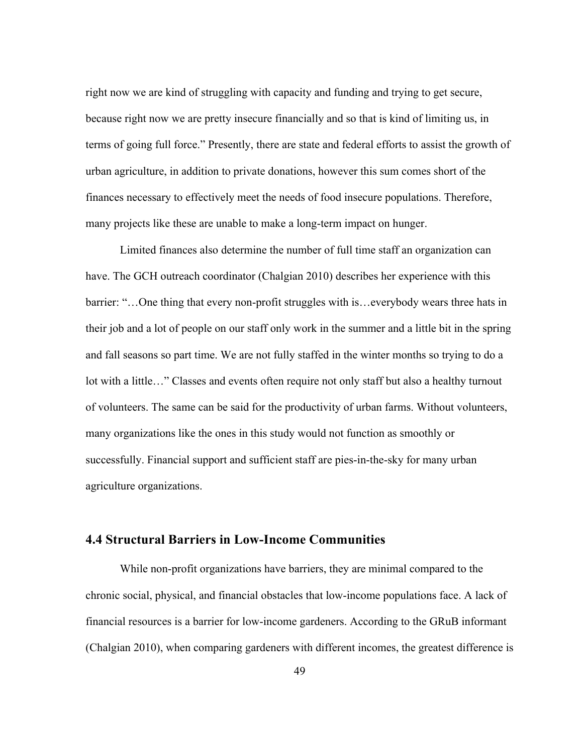right now we are kind of struggling with capacity and funding and trying to get secure, because right now we are pretty insecure financially and so that is kind of limiting us, in terms of going full force." Presently, there are state and federal efforts to assist the growth of urban agriculture, in addition to private donations, however this sum comes short of the finances necessary to effectively meet the needs of food insecure populations. Therefore, many projects like these are unable to make a long-term impact on hunger.

Limited finances also determine the number of full time staff an organization can have. The GCH outreach coordinator (Chalgian 2010) describes her experience with this barrier: "…One thing that every non-profit struggles with is…everybody wears three hats in their job and a lot of people on our staff only work in the summer and a little bit in the spring and fall seasons so part time. We are not fully staffed in the winter months so trying to do a lot with a little…" Classes and events often require not only staff but also a healthy turnout of volunteers. The same can be said for the productivity of urban farms. Without volunteers, many organizations like the ones in this study would not function as smoothly or successfully. Financial support and sufficient staff are pies-in-the-sky for many urban agriculture organizations.

# **4.4 Structural Barriers in Low-Income Communities**

While non-profit organizations have barriers, they are minimal compared to the chronic social, physical, and financial obstacles that low-income populations face. A lack of financial resources is a barrier for low-income gardeners. According to the GRuB informant (Chalgian 2010), when comparing gardeners with different incomes, the greatest difference is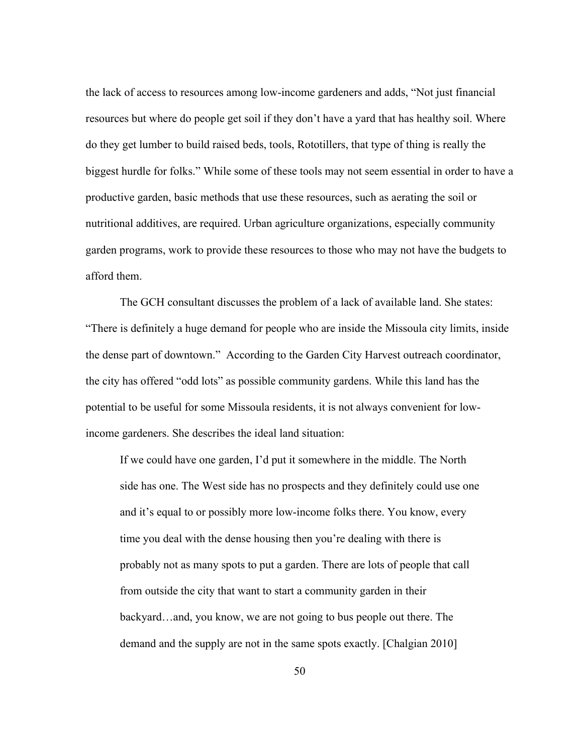the lack of access to resources among low-income gardeners and adds, "Not just financial resources but where do people get soil if they don't have a yard that has healthy soil. Where do they get lumber to build raised beds, tools, Rototillers, that type of thing is really the biggest hurdle for folks." While some of these tools may not seem essential in order to have a productive garden, basic methods that use these resources, such as aerating the soil or nutritional additives, are required. Urban agriculture organizations, especially community garden programs, work to provide these resources to those who may not have the budgets to afford them.

The GCH consultant discusses the problem of a lack of available land. She states: "There is definitely a huge demand for people who are inside the Missoula city limits, inside the dense part of downtown." According to the Garden City Harvest outreach coordinator, the city has offered "odd lots" as possible community gardens. While this land has the potential to be useful for some Missoula residents, it is not always convenient for lowincome gardeners. She describes the ideal land situation:

If we could have one garden, I'd put it somewhere in the middle. The North side has one. The West side has no prospects and they definitely could use one and it's equal to or possibly more low-income folks there. You know, every time you deal with the dense housing then you're dealing with there is probably not as many spots to put a garden. There are lots of people that call from outside the city that want to start a community garden in their backyard…and, you know, we are not going to bus people out there. The demand and the supply are not in the same spots exactly. [Chalgian 2010]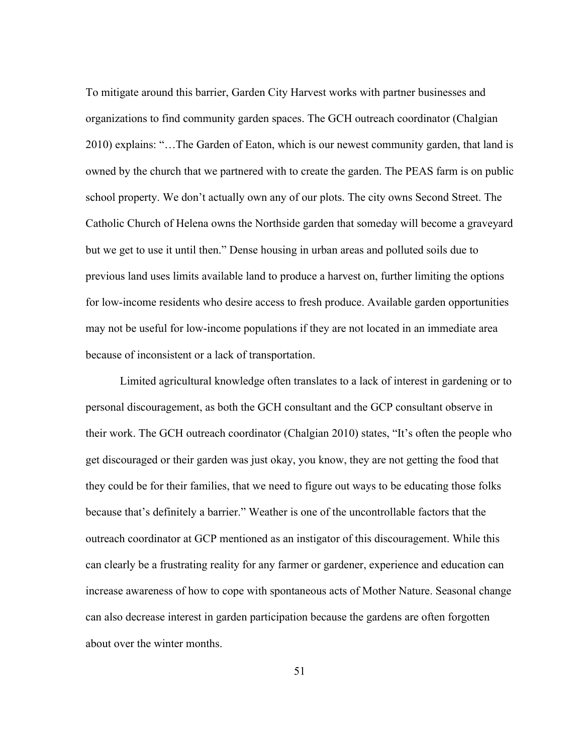To mitigate around this barrier, Garden City Harvest works with partner businesses and organizations to find community garden spaces. The GCH outreach coordinator (Chalgian 2010) explains: "…The Garden of Eaton, which is our newest community garden, that land is owned by the church that we partnered with to create the garden. The PEAS farm is on public school property. We don't actually own any of our plots. The city owns Second Street. The Catholic Church of Helena owns the Northside garden that someday will become a graveyard but we get to use it until then." Dense housing in urban areas and polluted soils due to previous land uses limits available land to produce a harvest on, further limiting the options for low-income residents who desire access to fresh produce. Available garden opportunities may not be useful for low-income populations if they are not located in an immediate area because of inconsistent or a lack of transportation.

Limited agricultural knowledge often translates to a lack of interest in gardening or to personal discouragement, as both the GCH consultant and the GCP consultant observe in their work. The GCH outreach coordinator (Chalgian 2010) states, "It's often the people who get discouraged or their garden was just okay, you know, they are not getting the food that they could be for their families, that we need to figure out ways to be educating those folks because that's definitely a barrier." Weather is one of the uncontrollable factors that the outreach coordinator at GCP mentioned as an instigator of this discouragement. While this can clearly be a frustrating reality for any farmer or gardener, experience and education can increase awareness of how to cope with spontaneous acts of Mother Nature. Seasonal change can also decrease interest in garden participation because the gardens are often forgotten about over the winter months.

51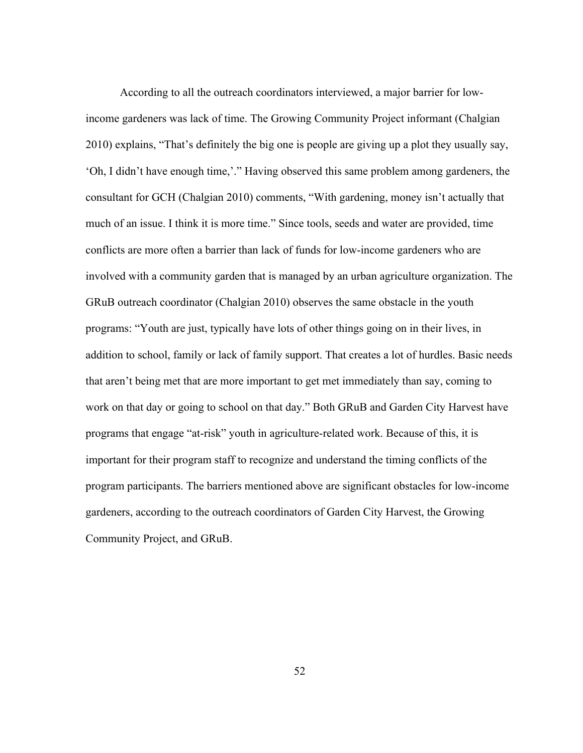According to all the outreach coordinators interviewed, a major barrier for lowincome gardeners was lack of time. The Growing Community Project informant (Chalgian 2010) explains, "That's definitely the big one is people are giving up a plot they usually say, 'Oh, I didn't have enough time,'." Having observed this same problem among gardeners, the consultant for GCH (Chalgian 2010) comments, "With gardening, money isn't actually that much of an issue. I think it is more time." Since tools, seeds and water are provided, time conflicts are more often a barrier than lack of funds for low-income gardeners who are involved with a community garden that is managed by an urban agriculture organization. The GRuB outreach coordinator (Chalgian 2010) observes the same obstacle in the youth programs: "Youth are just, typically have lots of other things going on in their lives, in addition to school, family or lack of family support. That creates a lot of hurdles. Basic needs that aren't being met that are more important to get met immediately than say, coming to work on that day or going to school on that day." Both GRuB and Garden City Harvest have programs that engage "at-risk" youth in agriculture-related work. Because of this, it is important for their program staff to recognize and understand the timing conflicts of the program participants. The barriers mentioned above are significant obstacles for low-income gardeners, according to the outreach coordinators of Garden City Harvest, the Growing Community Project, and GRuB.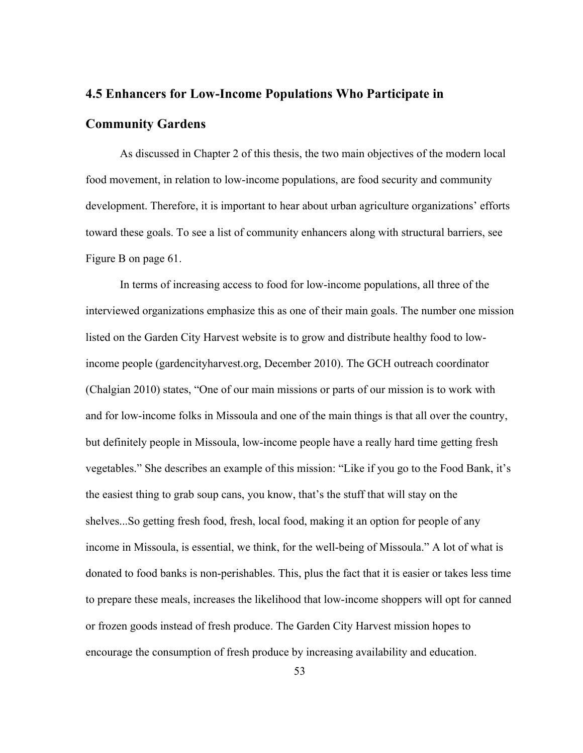# **4.5 Enhancers for Low-Income Populations Who Participate in Community Gardens**

As discussed in Chapter 2 of this thesis, the two main objectives of the modern local food movement, in relation to low-income populations, are food security and community development. Therefore, it is important to hear about urban agriculture organizations' efforts toward these goals. To see a list of community enhancers along with structural barriers, see Figure B on page 61.

In terms of increasing access to food for low-income populations, all three of the interviewed organizations emphasize this as one of their main goals. The number one mission listed on the Garden City Harvest website is to grow and distribute healthy food to lowincome people (gardencityharvest.org, December 2010). The GCH outreach coordinator (Chalgian 2010) states, "One of our main missions or parts of our mission is to work with and for low-income folks in Missoula and one of the main things is that all over the country, but definitely people in Missoula, low-income people have a really hard time getting fresh vegetables." She describes an example of this mission: "Like if you go to the Food Bank, it's the easiest thing to grab soup cans, you know, that's the stuff that will stay on the shelves...So getting fresh food, fresh, local food, making it an option for people of any income in Missoula, is essential, we think, for the well-being of Missoula." A lot of what is donated to food banks is non-perishables. This, plus the fact that it is easier or takes less time to prepare these meals, increases the likelihood that low-income shoppers will opt for canned or frozen goods instead of fresh produce. The Garden City Harvest mission hopes to encourage the consumption of fresh produce by increasing availability and education.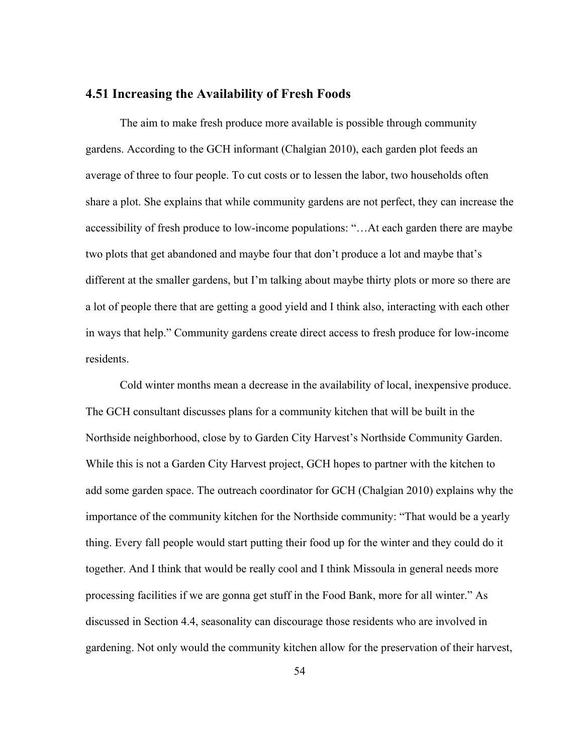### **4.51 Increasing the Availability of Fresh Foods**

The aim to make fresh produce more available is possible through community gardens. According to the GCH informant (Chalgian 2010), each garden plot feeds an average of three to four people. To cut costs or to lessen the labor, two households often share a plot. She explains that while community gardens are not perfect, they can increase the accessibility of fresh produce to low-income populations: "…At each garden there are maybe two plots that get abandoned and maybe four that don't produce a lot and maybe that's different at the smaller gardens, but I'm talking about maybe thirty plots or more so there are a lot of people there that are getting a good yield and I think also, interacting with each other in ways that help." Community gardens create direct access to fresh produce for low-income residents.

Cold winter months mean a decrease in the availability of local, inexpensive produce. The GCH consultant discusses plans for a community kitchen that will be built in the Northside neighborhood, close by to Garden City Harvest's Northside Community Garden. While this is not a Garden City Harvest project, GCH hopes to partner with the kitchen to add some garden space. The outreach coordinator for GCH (Chalgian 2010) explains why the importance of the community kitchen for the Northside community: "That would be a yearly thing. Every fall people would start putting their food up for the winter and they could do it together. And I think that would be really cool and I think Missoula in general needs more processing facilities if we are gonna get stuff in the Food Bank, more for all winter." As discussed in Section 4.4, seasonality can discourage those residents who are involved in gardening. Not only would the community kitchen allow for the preservation of their harvest,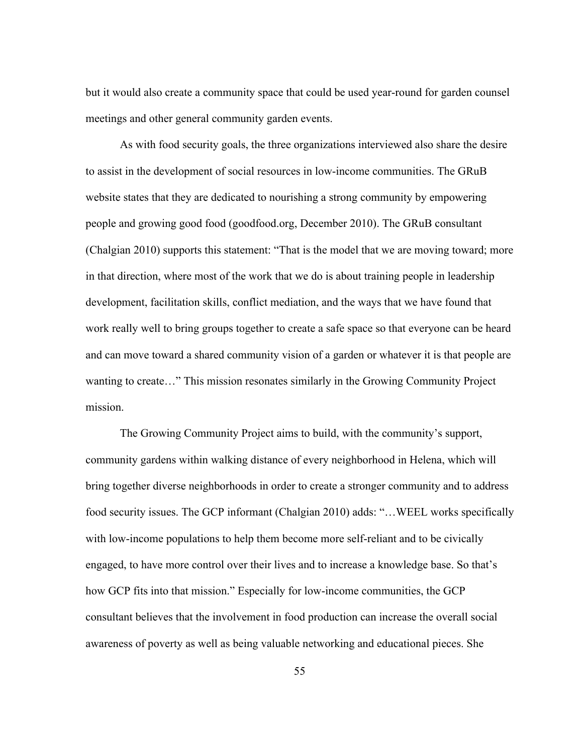but it would also create a community space that could be used year-round for garden counsel meetings and other general community garden events.

As with food security goals, the three organizations interviewed also share the desire to assist in the development of social resources in low-income communities. The GRuB website states that they are dedicated to nourishing a strong community by empowering people and growing good food (goodfood.org, December 2010). The GRuB consultant (Chalgian 2010) supports this statement: "That is the model that we are moving toward; more in that direction, where most of the work that we do is about training people in leadership development, facilitation skills, conflict mediation, and the ways that we have found that work really well to bring groups together to create a safe space so that everyone can be heard and can move toward a shared community vision of a garden or whatever it is that people are wanting to create…" This mission resonates similarly in the Growing Community Project mission.

The Growing Community Project aims to build, with the community's support, community gardens within walking distance of every neighborhood in Helena, which will bring together diverse neighborhoods in order to create a stronger community and to address food security issues. The GCP informant (Chalgian 2010) adds: "…WEEL works specifically with low-income populations to help them become more self-reliant and to be civically engaged, to have more control over their lives and to increase a knowledge base. So that's how GCP fits into that mission." Especially for low-income communities, the GCP consultant believes that the involvement in food production can increase the overall social awareness of poverty as well as being valuable networking and educational pieces. She

55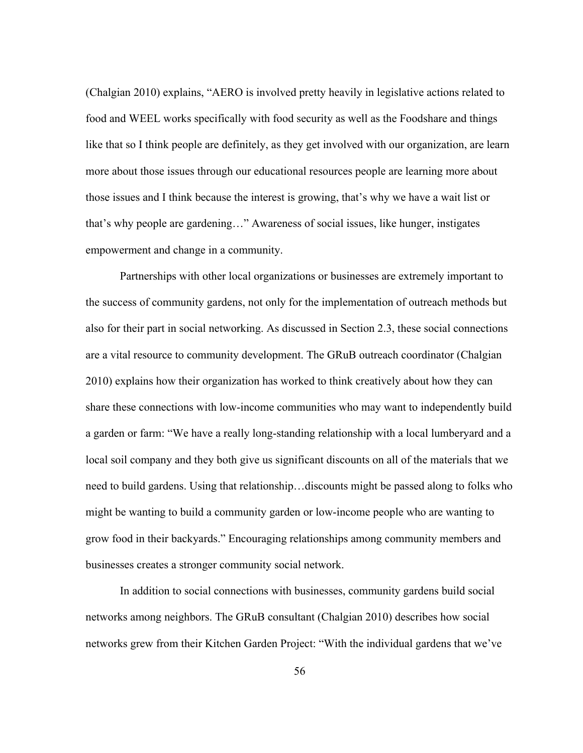(Chalgian 2010) explains, "AERO is involved pretty heavily in legislative actions related to food and WEEL works specifically with food security as well as the Foodshare and things like that so I think people are definitely, as they get involved with our organization, are learn more about those issues through our educational resources people are learning more about those issues and I think because the interest is growing, that's why we have a wait list or that's why people are gardening…" Awareness of social issues, like hunger, instigates empowerment and change in a community.

Partnerships with other local organizations or businesses are extremely important to the success of community gardens, not only for the implementation of outreach methods but also for their part in social networking. As discussed in Section 2.3, these social connections are a vital resource to community development. The GRuB outreach coordinator (Chalgian 2010) explains how their organization has worked to think creatively about how they can share these connections with low-income communities who may want to independently build a garden or farm: "We have a really long-standing relationship with a local lumberyard and a local soil company and they both give us significant discounts on all of the materials that we need to build gardens. Using that relationship…discounts might be passed along to folks who might be wanting to build a community garden or low-income people who are wanting to grow food in their backyards." Encouraging relationships among community members and businesses creates a stronger community social network.

In addition to social connections with businesses, community gardens build social networks among neighbors. The GRuB consultant (Chalgian 2010) describes how social networks grew from their Kitchen Garden Project: "With the individual gardens that we've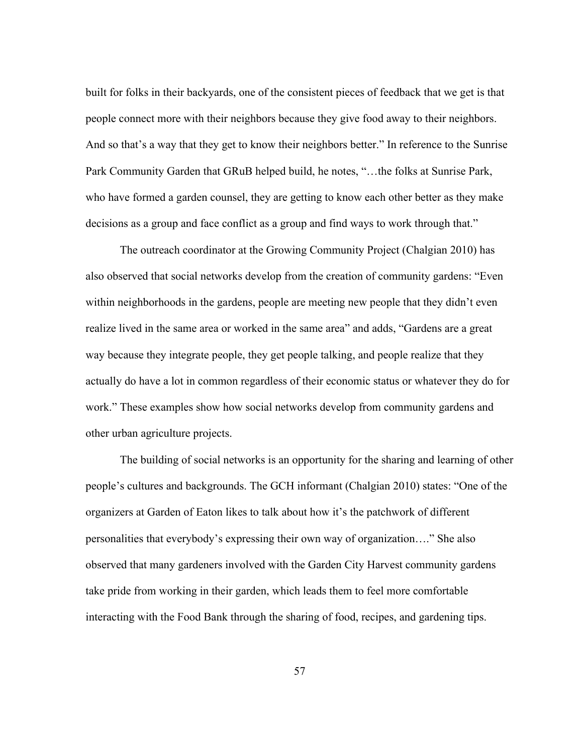built for folks in their backyards, one of the consistent pieces of feedback that we get is that people connect more with their neighbors because they give food away to their neighbors. And so that's a way that they get to know their neighbors better." In reference to the Sunrise Park Community Garden that GRuB helped build, he notes, "…the folks at Sunrise Park, who have formed a garden counsel, they are getting to know each other better as they make decisions as a group and face conflict as a group and find ways to work through that."

The outreach coordinator at the Growing Community Project (Chalgian 2010) has also observed that social networks develop from the creation of community gardens: "Even within neighborhoods in the gardens, people are meeting new people that they didn't even realize lived in the same area or worked in the same area" and adds, "Gardens are a great way because they integrate people, they get people talking, and people realize that they actually do have a lot in common regardless of their economic status or whatever they do for work." These examples show how social networks develop from community gardens and other urban agriculture projects.

The building of social networks is an opportunity for the sharing and learning of other people's cultures and backgrounds. The GCH informant (Chalgian 2010) states: "One of the organizers at Garden of Eaton likes to talk about how it's the patchwork of different personalities that everybody's expressing their own way of organization…." She also observed that many gardeners involved with the Garden City Harvest community gardens take pride from working in their garden, which leads them to feel more comfortable interacting with the Food Bank through the sharing of food, recipes, and gardening tips.

57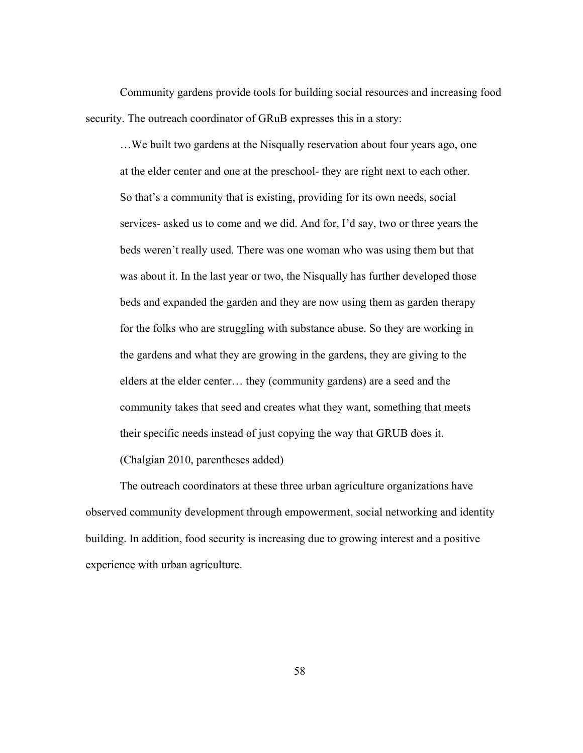Community gardens provide tools for building social resources and increasing food security. The outreach coordinator of GRuB expresses this in a story:

…We built two gardens at the Nisqually reservation about four years ago, one at the elder center and one at the preschool- they are right next to each other. So that's a community that is existing, providing for its own needs, social services- asked us to come and we did. And for, I'd say, two or three years the beds weren't really used. There was one woman who was using them but that was about it. In the last year or two, the Nisqually has further developed those beds and expanded the garden and they are now using them as garden therapy for the folks who are struggling with substance abuse. So they are working in the gardens and what they are growing in the gardens, they are giving to the elders at the elder center… they (community gardens) are a seed and the community takes that seed and creates what they want, something that meets their specific needs instead of just copying the way that GRUB does it. (Chalgian 2010, parentheses added)

The outreach coordinators at these three urban agriculture organizations have observed community development through empowerment, social networking and identity building. In addition, food security is increasing due to growing interest and a positive experience with urban agriculture.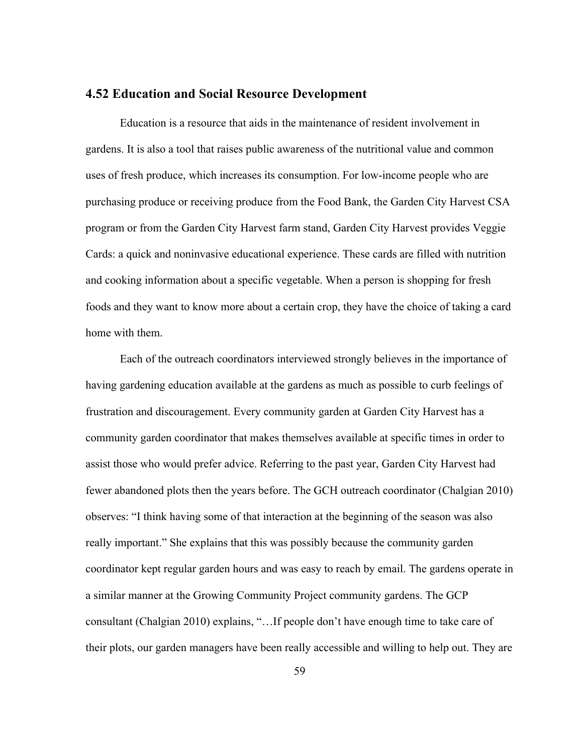### **4.52 Education and Social Resource Development**

Education is a resource that aids in the maintenance of resident involvement in gardens. It is also a tool that raises public awareness of the nutritional value and common uses of fresh produce, which increases its consumption. For low-income people who are purchasing produce or receiving produce from the Food Bank, the Garden City Harvest CSA program or from the Garden City Harvest farm stand, Garden City Harvest provides Veggie Cards: a quick and noninvasive educational experience. These cards are filled with nutrition and cooking information about a specific vegetable. When a person is shopping for fresh foods and they want to know more about a certain crop, they have the choice of taking a card home with them.

Each of the outreach coordinators interviewed strongly believes in the importance of having gardening education available at the gardens as much as possible to curb feelings of frustration and discouragement. Every community garden at Garden City Harvest has a community garden coordinator that makes themselves available at specific times in order to assist those who would prefer advice. Referring to the past year, Garden City Harvest had fewer abandoned plots then the years before. The GCH outreach coordinator (Chalgian 2010) observes: "I think having some of that interaction at the beginning of the season was also really important." She explains that this was possibly because the community garden coordinator kept regular garden hours and was easy to reach by email. The gardens operate in a similar manner at the Growing Community Project community gardens. The GCP consultant (Chalgian 2010) explains, "…If people don't have enough time to take care of their plots, our garden managers have been really accessible and willing to help out. They are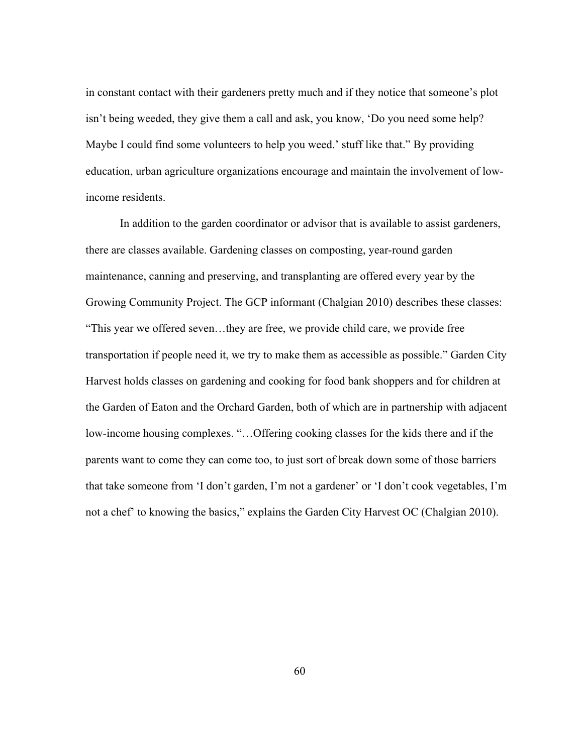in constant contact with their gardeners pretty much and if they notice that someone's plot isn't being weeded, they give them a call and ask, you know, 'Do you need some help? Maybe I could find some volunteers to help you weed.' stuff like that." By providing education, urban agriculture organizations encourage and maintain the involvement of lowincome residents.

In addition to the garden coordinator or advisor that is available to assist gardeners, there are classes available. Gardening classes on composting, year-round garden maintenance, canning and preserving, and transplanting are offered every year by the Growing Community Project. The GCP informant (Chalgian 2010) describes these classes: "This year we offered seven…they are free, we provide child care, we provide free transportation if people need it, we try to make them as accessible as possible." Garden City Harvest holds classes on gardening and cooking for food bank shoppers and for children at the Garden of Eaton and the Orchard Garden, both of which are in partnership with adjacent low-income housing complexes. "…Offering cooking classes for the kids there and if the parents want to come they can come too, to just sort of break down some of those barriers that take someone from 'I don't garden, I'm not a gardener' or 'I don't cook vegetables, I'm not a chef' to knowing the basics," explains the Garden City Harvest OC (Chalgian 2010).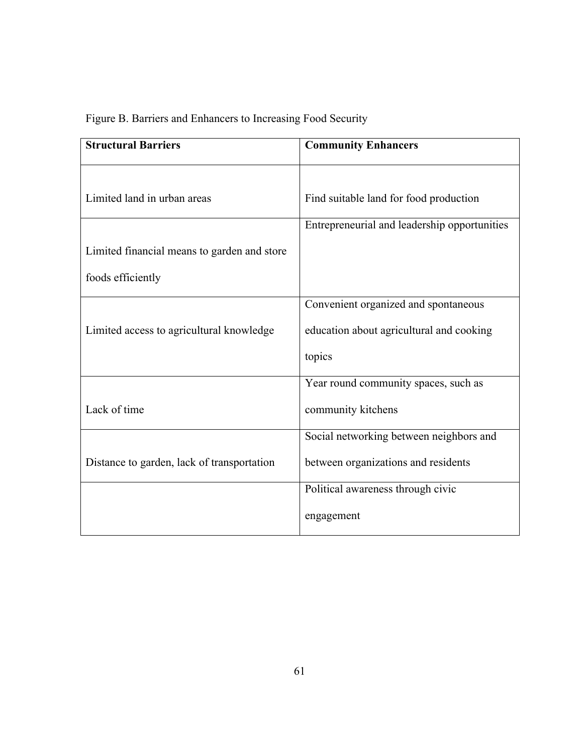|  | Figure B. Barriers and Enhancers to Increasing Food Security |  |  |
|--|--------------------------------------------------------------|--|--|
|  |                                                              |  |  |

| <b>Structural Barriers</b>                  | <b>Community Enhancers</b>                   |  |  |  |
|---------------------------------------------|----------------------------------------------|--|--|--|
|                                             |                                              |  |  |  |
| Limited land in urban areas                 | Find suitable land for food production       |  |  |  |
|                                             | Entrepreneurial and leadership opportunities |  |  |  |
| Limited financial means to garden and store |                                              |  |  |  |
| foods efficiently                           |                                              |  |  |  |
|                                             | Convenient organized and spontaneous         |  |  |  |
| Limited access to agricultural knowledge    | education about agricultural and cooking     |  |  |  |
|                                             | topics                                       |  |  |  |
|                                             | Year round community spaces, such as         |  |  |  |
| Lack of time                                | community kitchens                           |  |  |  |
|                                             | Social networking between neighbors and      |  |  |  |
| Distance to garden, lack of transportation  | between organizations and residents          |  |  |  |
|                                             | Political awareness through civic            |  |  |  |
|                                             | engagement                                   |  |  |  |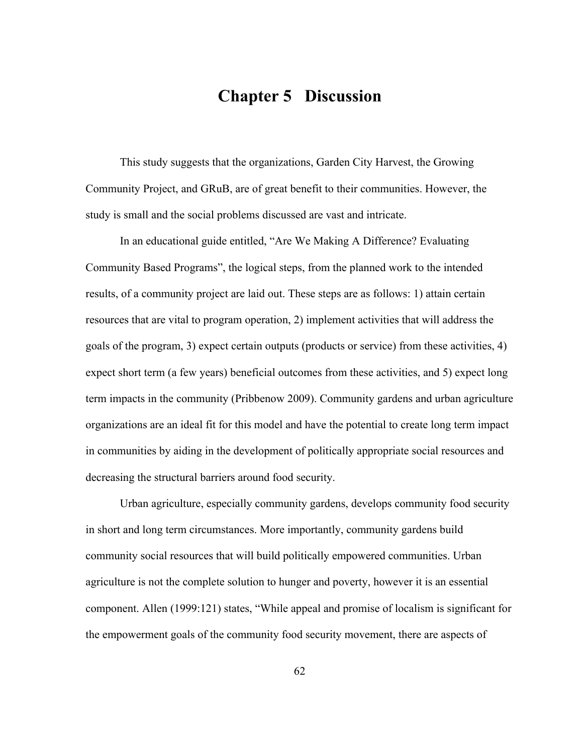# **Chapter 5 Discussion**

This study suggests that the organizations, Garden City Harvest, the Growing Community Project, and GRuB, are of great benefit to their communities. However, the study is small and the social problems discussed are vast and intricate.

In an educational guide entitled, "Are We Making A Difference? Evaluating Community Based Programs", the logical steps, from the planned work to the intended results, of a community project are laid out. These steps are as follows: 1) attain certain resources that are vital to program operation, 2) implement activities that will address the goals of the program, 3) expect certain outputs (products or service) from these activities, 4) expect short term (a few years) beneficial outcomes from these activities, and 5) expect long term impacts in the community (Pribbenow 2009). Community gardens and urban agriculture organizations are an ideal fit for this model and have the potential to create long term impact in communities by aiding in the development of politically appropriate social resources and decreasing the structural barriers around food security.

Urban agriculture, especially community gardens, develops community food security in short and long term circumstances. More importantly, community gardens build community social resources that will build politically empowered communities. Urban agriculture is not the complete solution to hunger and poverty, however it is an essential component. Allen (1999:121) states, "While appeal and promise of localism is significant for the empowerment goals of the community food security movement, there are aspects of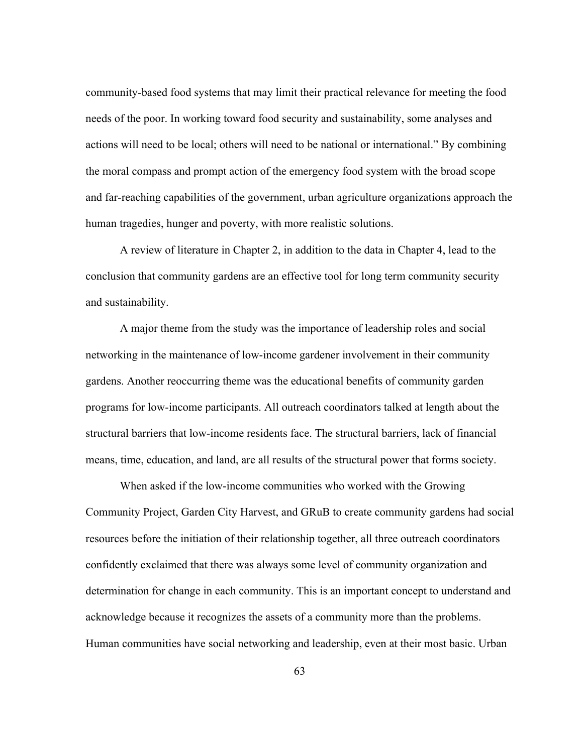community-based food systems that may limit their practical relevance for meeting the food needs of the poor. In working toward food security and sustainability, some analyses and actions will need to be local; others will need to be national or international." By combining the moral compass and prompt action of the emergency food system with the broad scope and far-reaching capabilities of the government, urban agriculture organizations approach the human tragedies, hunger and poverty, with more realistic solutions.

A review of literature in Chapter 2, in addition to the data in Chapter 4, lead to the conclusion that community gardens are an effective tool for long term community security and sustainability.

A major theme from the study was the importance of leadership roles and social networking in the maintenance of low-income gardener involvement in their community gardens. Another reoccurring theme was the educational benefits of community garden programs for low-income participants. All outreach coordinators talked at length about the structural barriers that low-income residents face. The structural barriers, lack of financial means, time, education, and land, are all results of the structural power that forms society.

When asked if the low-income communities who worked with the Growing Community Project, Garden City Harvest, and GRuB to create community gardens had social resources before the initiation of their relationship together, all three outreach coordinators confidently exclaimed that there was always some level of community organization and determination for change in each community. This is an important concept to understand and acknowledge because it recognizes the assets of a community more than the problems. Human communities have social networking and leadership, even at their most basic. Urban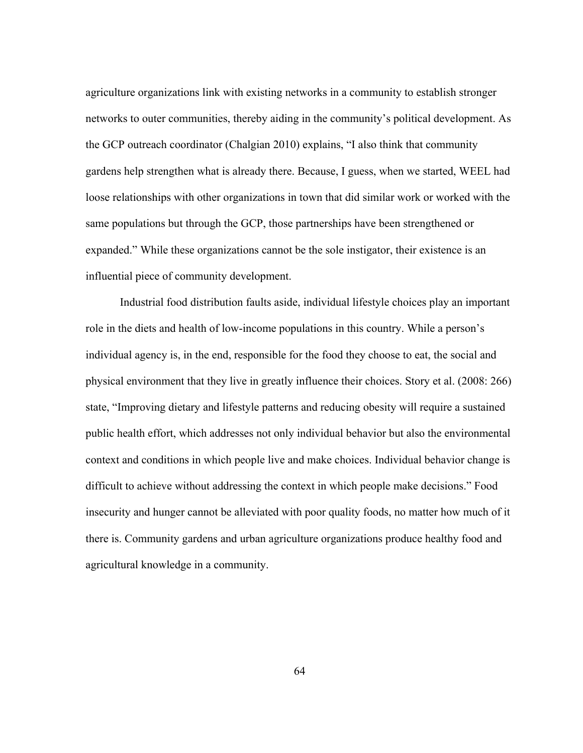agriculture organizations link with existing networks in a community to establish stronger networks to outer communities, thereby aiding in the community's political development. As the GCP outreach coordinator (Chalgian 2010) explains, "I also think that community gardens help strengthen what is already there. Because, I guess, when we started, WEEL had loose relationships with other organizations in town that did similar work or worked with the same populations but through the GCP, those partnerships have been strengthened or expanded." While these organizations cannot be the sole instigator, their existence is an influential piece of community development.

Industrial food distribution faults aside, individual lifestyle choices play an important role in the diets and health of low-income populations in this country. While a person's individual agency is, in the end, responsible for the food they choose to eat, the social and physical environment that they live in greatly influence their choices. Story et al. (2008: 266) state, "Improving dietary and lifestyle patterns and reducing obesity will require a sustained public health effort, which addresses not only individual behavior but also the environmental context and conditions in which people live and make choices. Individual behavior change is difficult to achieve without addressing the context in which people make decisions." Food insecurity and hunger cannot be alleviated with poor quality foods, no matter how much of it there is. Community gardens and urban agriculture organizations produce healthy food and agricultural knowledge in a community.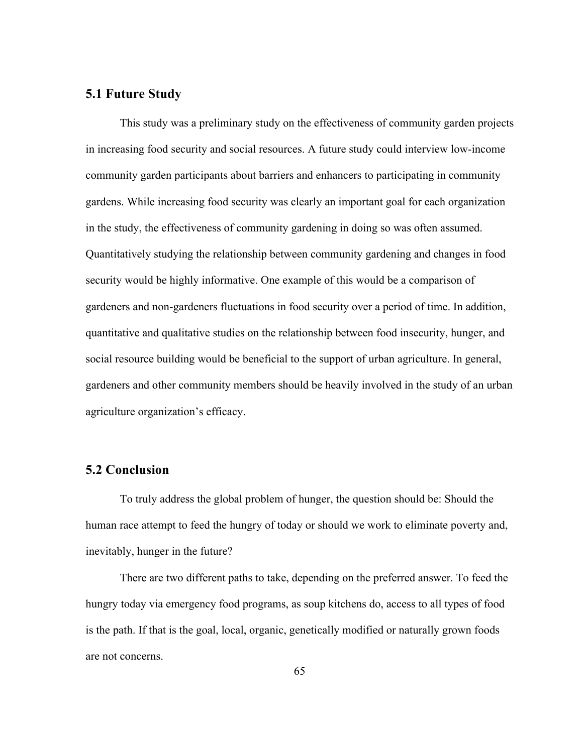## **5.1 Future Study**

This study was a preliminary study on the effectiveness of community garden projects in increasing food security and social resources. A future study could interview low-income community garden participants about barriers and enhancers to participating in community gardens. While increasing food security was clearly an important goal for each organization in the study, the effectiveness of community gardening in doing so was often assumed. Quantitatively studying the relationship between community gardening and changes in food security would be highly informative. One example of this would be a comparison of gardeners and non-gardeners fluctuations in food security over a period of time. In addition, quantitative and qualitative studies on the relationship between food insecurity, hunger, and social resource building would be beneficial to the support of urban agriculture. In general, gardeners and other community members should be heavily involved in the study of an urban agriculture organization's efficacy.

## **5.2 Conclusion**

To truly address the global problem of hunger, the question should be: Should the human race attempt to feed the hungry of today or should we work to eliminate poverty and, inevitably, hunger in the future?

There are two different paths to take, depending on the preferred answer. To feed the hungry today via emergency food programs, as soup kitchens do, access to all types of food is the path. If that is the goal, local, organic, genetically modified or naturally grown foods are not concerns.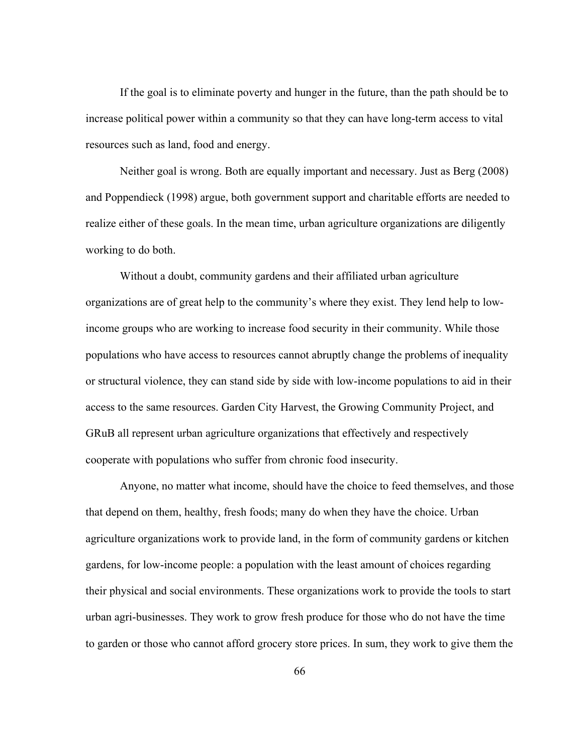If the goal is to eliminate poverty and hunger in the future, than the path should be to increase political power within a community so that they can have long-term access to vital resources such as land, food and energy.

Neither goal is wrong. Both are equally important and necessary. Just as Berg (2008) and Poppendieck (1998) argue, both government support and charitable efforts are needed to realize either of these goals. In the mean time, urban agriculture organizations are diligently working to do both.

Without a doubt, community gardens and their affiliated urban agriculture organizations are of great help to the community's where they exist. They lend help to lowincome groups who are working to increase food security in their community. While those populations who have access to resources cannot abruptly change the problems of inequality or structural violence, they can stand side by side with low-income populations to aid in their access to the same resources. Garden City Harvest, the Growing Community Project, and GRuB all represent urban agriculture organizations that effectively and respectively cooperate with populations who suffer from chronic food insecurity.

Anyone, no matter what income, should have the choice to feed themselves, and those that depend on them, healthy, fresh foods; many do when they have the choice. Urban agriculture organizations work to provide land, in the form of community gardens or kitchen gardens, for low-income people: a population with the least amount of choices regarding their physical and social environments. These organizations work to provide the tools to start urban agri-businesses. They work to grow fresh produce for those who do not have the time to garden or those who cannot afford grocery store prices. In sum, they work to give them the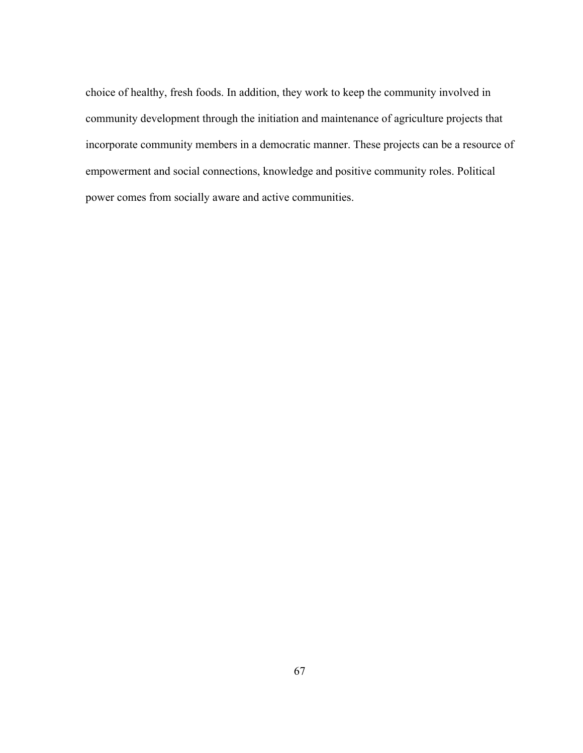choice of healthy, fresh foods. In addition, they work to keep the community involved in community development through the initiation and maintenance of agriculture projects that incorporate community members in a democratic manner. These projects can be a resource of empowerment and social connections, knowledge and positive community roles. Political power comes from socially aware and active communities.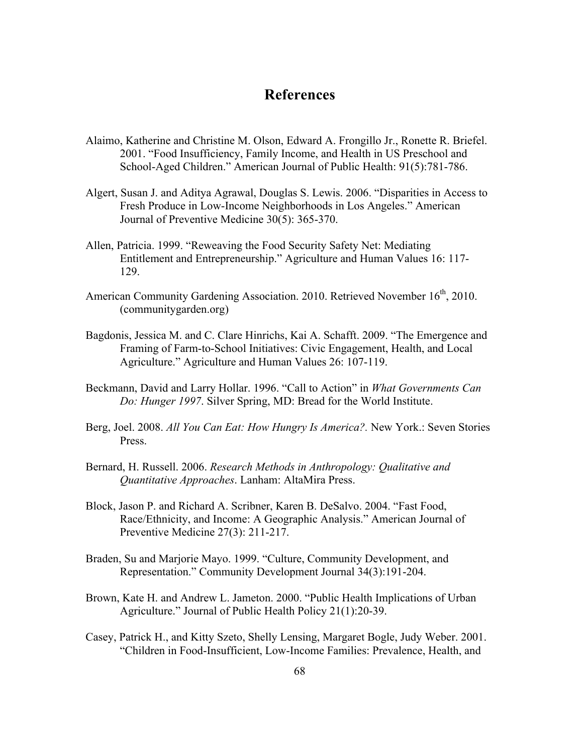## **References**

- Alaimo, Katherine and Christine M. Olson, Edward A. Frongillo Jr., Ronette R. Briefel. 2001. "Food Insufficiency, Family Income, and Health in US Preschool and School-Aged Children." American Journal of Public Health: 91(5):781-786.
- Algert, Susan J. and Aditya Agrawal, Douglas S. Lewis. 2006. "Disparities in Access to Fresh Produce in Low-Income Neighborhoods in Los Angeles." American Journal of Preventive Medicine 30(5): 365-370.
- Allen, Patricia. 1999. "Reweaving the Food Security Safety Net: Mediating Entitlement and Entrepreneurship." Agriculture and Human Values 16: 117- 129.
- American Community Gardening Association. 2010. Retrieved November 16<sup>th</sup>, 2010. (communitygarden.org)
- Bagdonis, Jessica M. and C. Clare Hinrichs, Kai A. Schafft. 2009. "The Emergence and Framing of Farm-to-School Initiatives: Civic Engagement, Health, and Local Agriculture." Agriculture and Human Values 26: 107-119.
- Beckmann, David and Larry Hollar. 1996. "Call to Action" in *What Governments Can Do: Hunger 1997*. Silver Spring, MD: Bread for the World Institute.
- Berg, Joel. 2008. *All You Can Eat: How Hungry Is America?.* New York.: Seven Stories Press.
- Bernard, H. Russell. 2006. *Research Methods in Anthropology: Qualitative and Quantitative Approaches*. Lanham: AltaMira Press.
- Block, Jason P. and Richard A. Scribner, Karen B. DeSalvo. 2004. "Fast Food, Race/Ethnicity, and Income: A Geographic Analysis." American Journal of Preventive Medicine 27(3): 211-217.
- Braden, Su and Marjorie Mayo. 1999. "Culture, Community Development, and Representation." Community Development Journal 34(3):191-204.
- Brown, Kate H. and Andrew L. Jameton. 2000. "Public Health Implications of Urban Agriculture." Journal of Public Health Policy 21(1):20-39.
- Casey, Patrick H., and Kitty Szeto, Shelly Lensing, Margaret Bogle, Judy Weber. 2001. "Children in Food-Insufficient, Low-Income Families: Prevalence, Health, and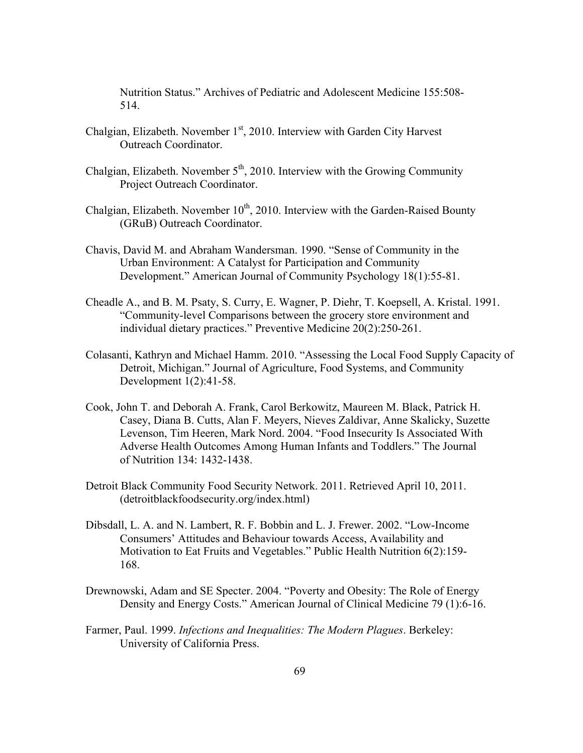Nutrition Status." Archives of Pediatric and Adolescent Medicine 155:508- 514.

- Chalgian, Elizabeth. November  $1<sup>st</sup>$ , 2010. Interview with Garden City Harvest Outreach Coordinator.
- Chalgian, Elizabeth. November  $5<sup>th</sup>$ , 2010. Interview with the Growing Community Project Outreach Coordinator.
- Chalgian, Elizabeth. November  $10^{th}$ , 2010. Interview with the Garden-Raised Bounty (GRuB) Outreach Coordinator.
- Chavis, David M. and Abraham Wandersman. 1990. "Sense of Community in the Urban Environment: A Catalyst for Participation and Community Development." American Journal of Community Psychology 18(1):55-81.
- Cheadle A., and B. M. Psaty, S. Curry, E. Wagner, P. Diehr, T. Koepsell, A. Kristal. 1991. "Community-level Comparisons between the grocery store environment and individual dietary practices." Preventive Medicine 20(2):250-261.
- Colasanti, Kathryn and Michael Hamm. 2010. "Assessing the Local Food Supply Capacity of Detroit, Michigan." Journal of Agriculture, Food Systems, and Community Development 1(2):41-58.
- Cook, John T. and Deborah A. Frank, Carol Berkowitz, Maureen M. Black, Patrick H. Casey, Diana B. Cutts, Alan F. Meyers, Nieves Zaldivar, Anne Skalicky, Suzette Levenson, Tim Heeren, Mark Nord. 2004. "Food Insecurity Is Associated With Adverse Health Outcomes Among Human Infants and Toddlers." The Journal of Nutrition 134: 1432-1438.
- Detroit Black Community Food Security Network. 2011. Retrieved April 10, 2011. (detroitblackfoodsecurity.org/index.html)
- Dibsdall, L. A. and N. Lambert, R. F. Bobbin and L. J. Frewer. 2002. "Low-Income Consumers' Attitudes and Behaviour towards Access, Availability and Motivation to Eat Fruits and Vegetables." Public Health Nutrition 6(2):159- 168.
- Drewnowski, Adam and SE Specter. 2004. "Poverty and Obesity: The Role of Energy Density and Energy Costs." American Journal of Clinical Medicine 79 (1):6-16.
- Farmer, Paul. 1999. *Infections and Inequalities: The Modern Plagues*. Berkeley: University of California Press.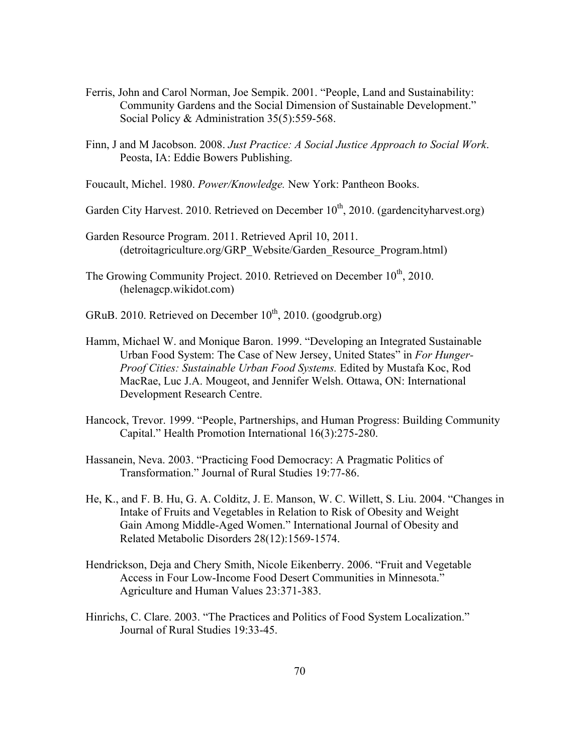- Ferris, John and Carol Norman, Joe Sempik. 2001. "People, Land and Sustainability: Community Gardens and the Social Dimension of Sustainable Development." Social Policy & Administration 35(5):559-568.
- Finn, J and M Jacobson. 2008. *Just Practice: A Social Justice Approach to Social Work*. Peosta, IA: Eddie Bowers Publishing.
- Foucault, Michel. 1980. *Power/Knowledge.* New York: Pantheon Books.
- Garden City Harvest. 2010. Retrieved on December  $10^{th}$ , 2010. (gardencityharvest.org)
- Garden Resource Program. 2011. Retrieved April 10, 2011. (detroitagriculture.org/GRP\_Website/Garden\_Resource\_Program.html)
- The Growing Community Project. 2010. Retrieved on December 10<sup>th</sup>, 2010. (helenagcp.wikidot.com)
- GRuB. 2010. Retrieved on December  $10^{th}$ , 2010. (goodgrub.org)
- Hamm, Michael W. and Monique Baron. 1999. "Developing an Integrated Sustainable Urban Food System: The Case of New Jersey, United States" in *For Hunger-Proof Cities: Sustainable Urban Food Systems.* Edited by Mustafa Koc, Rod MacRae, Luc J.A. Mougeot, and Jennifer Welsh. Ottawa, ON: International Development Research Centre.
- Hancock, Trevor. 1999. "People, Partnerships, and Human Progress: Building Community Capital." Health Promotion International 16(3):275-280.
- Hassanein, Neva. 2003. "Practicing Food Democracy: A Pragmatic Politics of Transformation." Journal of Rural Studies 19:77-86.
- He, K., and F. B. Hu, G. A. Colditz, J. E. Manson, W. C. Willett, S. Liu. 2004. "Changes in Intake of Fruits and Vegetables in Relation to Risk of Obesity and Weight Gain Among Middle-Aged Women." International Journal of Obesity and Related Metabolic Disorders 28(12):1569-1574.
- Hendrickson, Deja and Chery Smith, Nicole Eikenberry. 2006. "Fruit and Vegetable Access in Four Low-Income Food Desert Communities in Minnesota." Agriculture and Human Values 23:371-383.
- Hinrichs, C. Clare. 2003. "The Practices and Politics of Food System Localization." Journal of Rural Studies 19:33-45.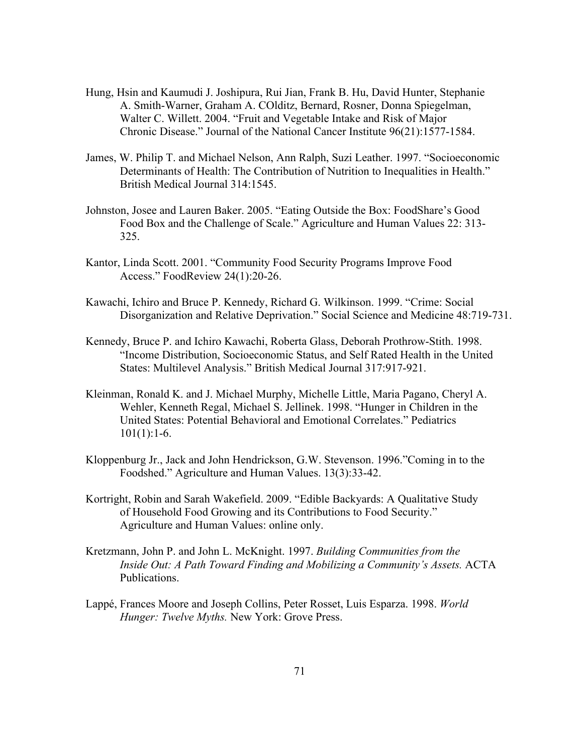- Hung, Hsin and Kaumudi J. Joshipura, Rui Jian, Frank B. Hu, David Hunter, Stephanie A. Smith-Warner, Graham A. COlditz, Bernard, Rosner, Donna Spiegelman, Walter C. Willett. 2004. "Fruit and Vegetable Intake and Risk of Major Chronic Disease." Journal of the National Cancer Institute 96(21):1577-1584.
- James, W. Philip T. and Michael Nelson, Ann Ralph, Suzi Leather. 1997. "Socioeconomic Determinants of Health: The Contribution of Nutrition to Inequalities in Health." British Medical Journal 314:1545.
- Johnston, Josee and Lauren Baker. 2005. "Eating Outside the Box: FoodShare's Good Food Box and the Challenge of Scale." Agriculture and Human Values 22: 313- 325.
- Kantor, Linda Scott. 2001. "Community Food Security Programs Improve Food Access." FoodReview 24(1):20-26.
- Kawachi, Ichiro and Bruce P. Kennedy, Richard G. Wilkinson. 1999. "Crime: Social Disorganization and Relative Deprivation." Social Science and Medicine 48:719-731.
- Kennedy, Bruce P. and Ichiro Kawachi, Roberta Glass, Deborah Prothrow-Stith. 1998. "Income Distribution, Socioeconomic Status, and Self Rated Health in the United States: Multilevel Analysis." British Medical Journal 317:917-921.
- Kleinman, Ronald K. and J. Michael Murphy, Michelle Little, Maria Pagano, Cheryl A. Wehler, Kenneth Regal, Michael S. Jellinek. 1998. "Hunger in Children in the United States: Potential Behavioral and Emotional Correlates." Pediatrics  $101(1):1-6.$
- Kloppenburg Jr., Jack and John Hendrickson, G.W. Stevenson. 1996."Coming in to the Foodshed." Agriculture and Human Values. 13(3):33-42.
- Kortright, Robin and Sarah Wakefield. 2009. "Edible Backyards: A Qualitative Study of Household Food Growing and its Contributions to Food Security." Agriculture and Human Values: online only.
- Kretzmann, John P. and John L. McKnight. 1997. *Building Communities from the Inside Out: A Path Toward Finding and Mobilizing a Community's Assets.* ACTA Publications.
- Lappé, Frances Moore and Joseph Collins, Peter Rosset, Luis Esparza. 1998. *World Hunger: Twelve Myths.* New York: Grove Press.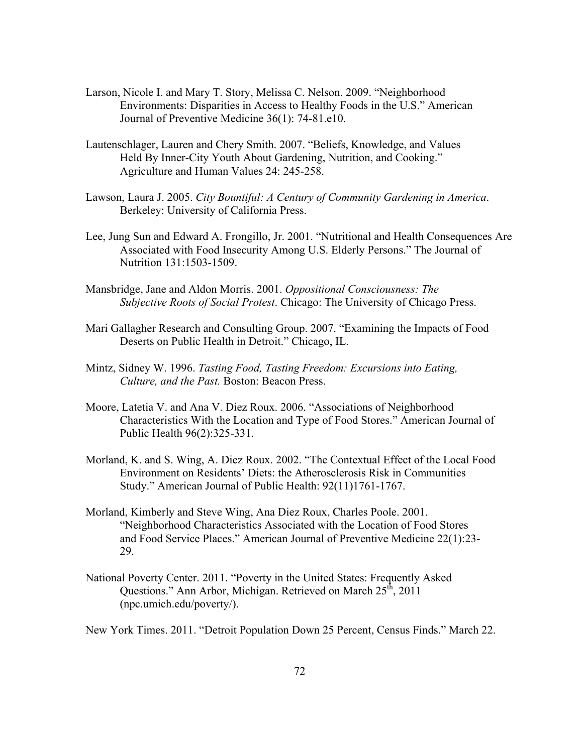- Larson, Nicole I. and Mary T. Story, Melissa C. Nelson. 2009. "Neighborhood Environments: Disparities in Access to Healthy Foods in the U.S." American Journal of Preventive Medicine 36(1): 74-81.e10.
- Lautenschlager, Lauren and Chery Smith. 2007. "Beliefs, Knowledge, and Values Held By Inner-City Youth About Gardening, Nutrition, and Cooking." Agriculture and Human Values 24: 245-258.
- Lawson, Laura J. 2005. *City Bountiful: A Century of Community Gardening in America*. Berkeley: University of California Press.
- Lee, Jung Sun and Edward A. Frongillo, Jr. 2001. "Nutritional and Health Consequences Are Associated with Food Insecurity Among U.S. Elderly Persons." The Journal of Nutrition 131:1503-1509.
- Mansbridge, Jane and Aldon Morris. 2001. *Oppositional Consciousness: The Subjective Roots of Social Protest*. Chicago: The University of Chicago Press.
- Mari Gallagher Research and Consulting Group. 2007. "Examining the Impacts of Food Deserts on Public Health in Detroit." Chicago, IL.
- Mintz, Sidney W. 1996. *Tasting Food, Tasting Freedom: Excursions into Eating, Culture, and the Past.* Boston: Beacon Press.
- Moore, Latetia V. and Ana V. Diez Roux. 2006. "Associations of Neighborhood Characteristics With the Location and Type of Food Stores." American Journal of Public Health 96(2):325-331.
- Morland, K. and S. Wing, A. Diez Roux. 2002. "The Contextual Effect of the Local Food Environment on Residents' Diets: the Atherosclerosis Risk in Communities Study." American Journal of Public Health: 92(11)1761-1767.
- Morland, Kimberly and Steve Wing, Ana Diez Roux, Charles Poole. 2001. "Neighborhood Characteristics Associated with the Location of Food Stores and Food Service Places." American Journal of Preventive Medicine 22(1):23- 29.
- National Poverty Center. 2011. "Poverty in the United States: Frequently Asked Questions." Ann Arbor, Michigan. Retrieved on March  $25<sup>th</sup>$ , 2011 (npc.umich.edu/poverty/).

New York Times. 2011. "Detroit Population Down 25 Percent, Census Finds." March 22.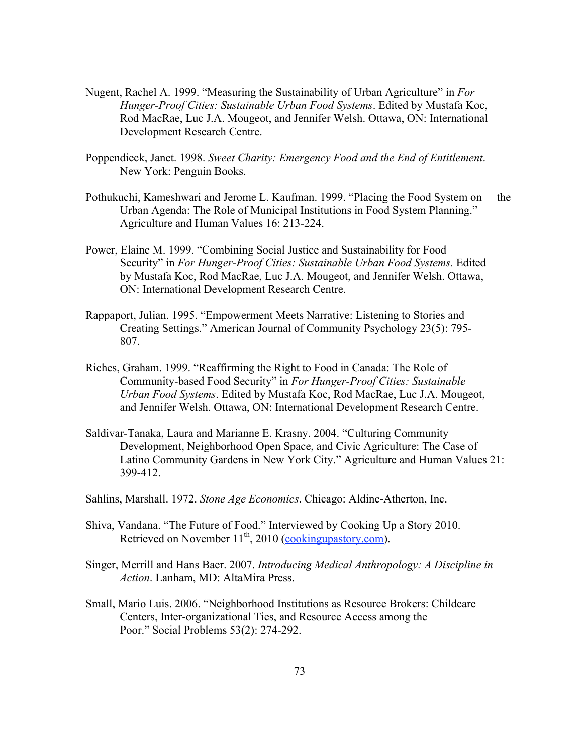- Nugent, Rachel A. 1999. "Measuring the Sustainability of Urban Agriculture" in *For Hunger-Proof Cities: Sustainable Urban Food Systems*. Edited by Mustafa Koc, Rod MacRae, Luc J.A. Mougeot, and Jennifer Welsh. Ottawa, ON: International Development Research Centre.
- Poppendieck, Janet. 1998. *Sweet Charity: Emergency Food and the End of Entitlement*. New York: Penguin Books.
- Pothukuchi, Kameshwari and Jerome L. Kaufman. 1999. "Placing the Food System on the Urban Agenda: The Role of Municipal Institutions in Food System Planning." Agriculture and Human Values 16: 213-224.
- Power, Elaine M. 1999. "Combining Social Justice and Sustainability for Food Security" in *For Hunger-Proof Cities: Sustainable Urban Food Systems.* Edited by Mustafa Koc, Rod MacRae, Luc J.A. Mougeot, and Jennifer Welsh. Ottawa, ON: International Development Research Centre.
- Rappaport, Julian. 1995. "Empowerment Meets Narrative: Listening to Stories and Creating Settings." American Journal of Community Psychology 23(5): 795- 807.
- Riches, Graham. 1999. "Reaffirming the Right to Food in Canada: The Role of Community-based Food Security" in *For Hunger-Proof Cities: Sustainable Urban Food Systems*. Edited by Mustafa Koc, Rod MacRae, Luc J.A. Mougeot, and Jennifer Welsh. Ottawa, ON: International Development Research Centre.
- Saldivar-Tanaka, Laura and Marianne E. Krasny. 2004. "Culturing Community Development, Neighborhood Open Space, and Civic Agriculture: The Case of Latino Community Gardens in New York City." Agriculture and Human Values 21: 399-412.
- Sahlins, Marshall. 1972. *Stone Age Economics*. Chicago: Aldine-Atherton, Inc.
- Shiva, Vandana. "The Future of Food." Interviewed by Cooking Up a Story 2010. Retrieved on November  $11^{th}$ , 2010 (cookingupastory.com).
- Singer, Merrill and Hans Baer. 2007. *Introducing Medical Anthropology: A Discipline in Action*. Lanham, MD: AltaMira Press.
- Small, Mario Luis. 2006. "Neighborhood Institutions as Resource Brokers: Childcare Centers, Inter-organizational Ties, and Resource Access among the Poor." Social Problems 53(2): 274-292.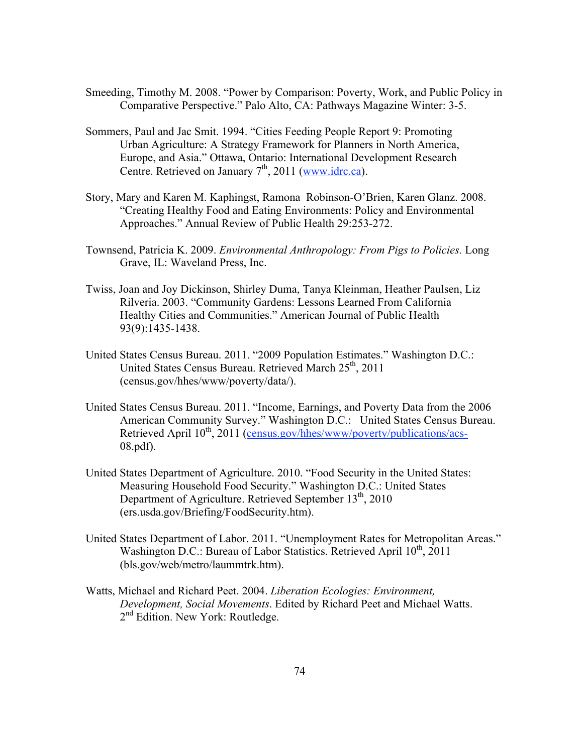- Smeeding, Timothy M. 2008. "Power by Comparison: Poverty, Work, and Public Policy in Comparative Perspective." Palo Alto, CA: Pathways Magazine Winter: 3-5.
- Sommers, Paul and Jac Smit. 1994. "Cities Feeding People Report 9: Promoting Urban Agriculture: A Strategy Framework for Planners in North America, Europe, and Asia." Ottawa, Ontario: International Development Research Centre. Retrieved on January  $7<sup>th</sup>$ , 2011 (www.idrc.ca).
- Story, Mary and Karen M. Kaphingst, Ramona Robinson-O'Brien, Karen Glanz. 2008. "Creating Healthy Food and Eating Environments: Policy and Environmental Approaches." Annual Review of Public Health 29:253-272.
- Townsend, Patricia K. 2009. *Environmental Anthropology: From Pigs to Policies.* Long Grave, IL: Waveland Press, Inc.
- Twiss, Joan and Joy Dickinson, Shirley Duma, Tanya Kleinman, Heather Paulsen, Liz Rilveria. 2003. "Community Gardens: Lessons Learned From California Healthy Cities and Communities." American Journal of Public Health 93(9):1435-1438.
- United States Census Bureau. 2011. "2009 Population Estimates." Washington D.C.: United States Census Bureau. Retrieved March 25<sup>th</sup>, 2011 (census.gov/hhes/www/poverty/data/).
- United States Census Bureau. 2011. "Income, Earnings, and Poverty Data from the 2006 American Community Survey." Washington D.C.: United States Census Bureau. Retrieved April 10<sup>th</sup>, 2011 (census.gov/hhes/www/poverty/publications/acs-08.pdf).
- United States Department of Agriculture. 2010. "Food Security in the United States: Measuring Household Food Security." Washington D.C.: United States Department of Agriculture. Retrieved September  $13<sup>th</sup>$ , 2010 (ers.usda.gov/Briefing/FoodSecurity.htm).
- United States Department of Labor. 2011. "Unemployment Rates for Metropolitan Areas." Washington D.C.: Bureau of Labor Statistics. Retrieved April 10<sup>th</sup>, 2011 (bls.gov/web/metro/laummtrk.htm).
- Watts, Michael and Richard Peet. 2004. *Liberation Ecologies: Environment, Development, Social Movements*. Edited by Richard Peet and Michael Watts. 2<sup>nd</sup> Edition. New York: Routledge.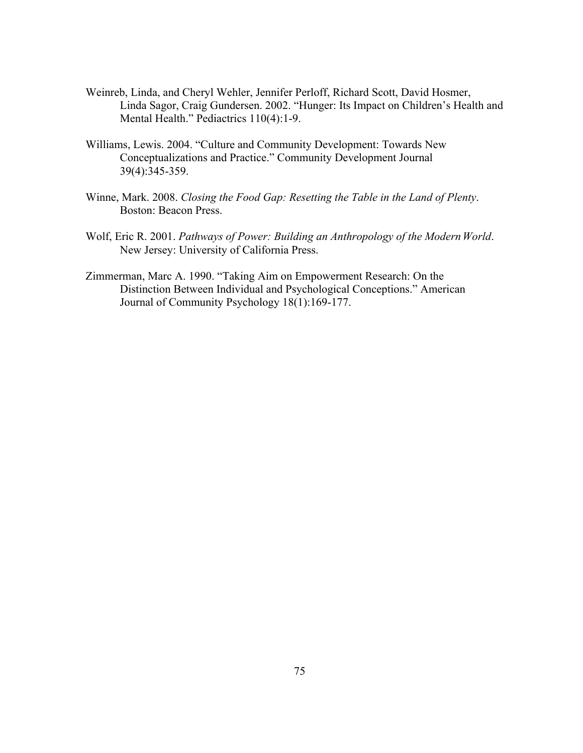- Weinreb, Linda, and Cheryl Wehler, Jennifer Perloff, Richard Scott, David Hosmer, Linda Sagor, Craig Gundersen. 2002. "Hunger: Its Impact on Children's Health and Mental Health." Pediactrics 110(4):1-9.
- Williams, Lewis. 2004. "Culture and Community Development: Towards New Conceptualizations and Practice." Community Development Journal 39(4):345-359.
- Winne, Mark. 2008. *Closing the Food Gap: Resetting the Table in the Land of Plenty*. Boston: Beacon Press.
- Wolf, Eric R. 2001. *Pathways of Power: Building an Anthropology of the Modern World*. New Jersey: University of California Press.
- Zimmerman, Marc A. 1990. "Taking Aim on Empowerment Research: On the Distinction Between Individual and Psychological Conceptions." American Journal of Community Psychology 18(1):169-177.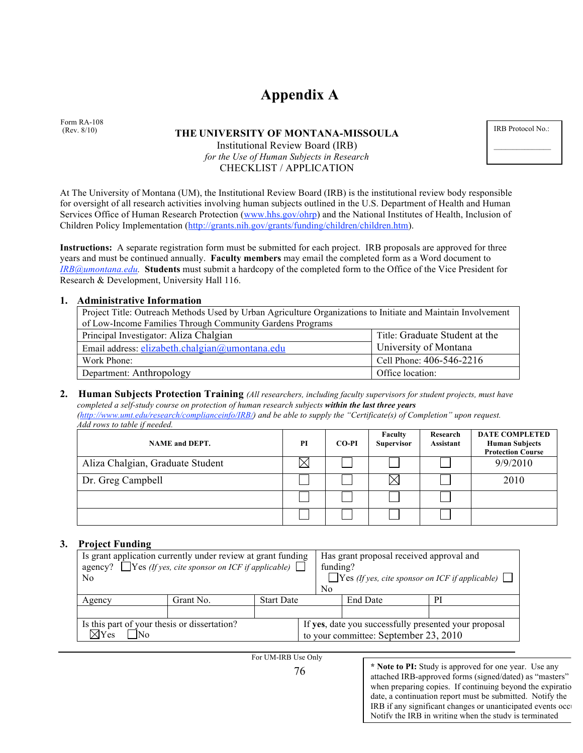# **Appendix A**

Form RA-108 (Rev. 8/10)

#### **THE UNIVERSITY OF MONTANA-MISSOULA**

### Institutional Review Board (IRB) *for the Use of Human Subjects in Research* CHECKLIST / APPLICATION

IRB Protocol No.:

At The University of Montana (UM), the Institutional Review Board (IRB) is the institutional review body responsible for oversight of all research activities involving human subjects outlined in the U.S. Department of Health and Human Services Office of Human Research Protection (www.hhs.gov/ohrp) and the National Institutes of Health, Inclusion of Children Policy Implementation (http://grants.nih.gov/grants/funding/children/children.htm).

**Instructions:** A separate registration form must be submitted for each project. IRB proposals are approved for three years and must be continued annually. **Faculty members** may email the completed form as a Word document to *IRB@umontana.edu.* **Students** must submit a hardcopy of the completed form to the Office of the Vice President for Research & Development, University Hall 116.

#### **1. Administrative Information**

| Project Title: Outreach Methods Used by Urban Agriculture Organizations to Initiate and Maintain Involvement |                                |  |  |  |
|--------------------------------------------------------------------------------------------------------------|--------------------------------|--|--|--|
| of Low-Income Families Through Community Gardens Programs                                                    |                                |  |  |  |
| Principal Investigator: Aliza Chalgian                                                                       | Title: Graduate Student at the |  |  |  |
| Email address: elizabeth.chalgian@umontana.edu                                                               | University of Montana          |  |  |  |
| Work Phone:                                                                                                  | Cell Phone: 406-546-2216       |  |  |  |
| Department: Anthropology<br>Office location:                                                                 |                                |  |  |  |

### **2. Human Subjects Protection Training** *(All researchers, including faculty supervisors for student projects, must have completed a self-study course on protection of human research subjects within the last three years*

*(http://www.umt.edu/research/complianceinfo/IRB/) and be able to supply the "Certificate(s) of Completion" upon request. Add rows to table if needed.* 

| <b>NAME</b> and DEPT.            | PI | CO-PI | Faculty<br><b>Supervisor</b> | Research<br>Assistant | <b>DATE COMPLETED</b><br><b>Human Subjects</b><br><b>Protection Course</b> |
|----------------------------------|----|-------|------------------------------|-----------------------|----------------------------------------------------------------------------|
| Aliza Chalgian, Graduate Student |    |       |                              |                       | 9/9/2010                                                                   |
| Dr. Greg Campbell                |    |       |                              |                       | 2010                                                                       |
|                                  |    |       |                              |                       |                                                                            |
|                                  |    |       |                              |                       |                                                                            |

#### **3. Project Funding**

| Is grant application currently under review at grant funding<br>agency? $\Box$ Yes (If yes, cite sponsor on ICF if applicable) $\Box$<br>No. |           | N <sub>0</sub>    | Has grant proposal received approval and<br>funding?<br>$\Box$ Yes (If yes, cite sponsor on ICF if applicable) $\Box$ |                                                                                                |           |  |  |
|----------------------------------------------------------------------------------------------------------------------------------------------|-----------|-------------------|-----------------------------------------------------------------------------------------------------------------------|------------------------------------------------------------------------------------------------|-----------|--|--|
| Agency                                                                                                                                       | Grant No. | <b>Start Date</b> |                                                                                                                       | <b>End Date</b>                                                                                | <b>PI</b> |  |  |
|                                                                                                                                              |           |                   |                                                                                                                       |                                                                                                |           |  |  |
| Is this part of your thesis or dissertation?<br>$\boxtimes$ Yes<br>N0                                                                        |           |                   |                                                                                                                       | If yes, date you successfully presented your proposal<br>to your committee: September 23, 2010 |           |  |  |

For UM-IRB Use Only

**\* Note to PI:** Study is approved for one year. Use any attached IRB-approved forms (signed/dated) as "masters" when preparing copies. If continuing beyond the expiration date, a continuation report must be submitted. Notify the IRB if any significant changes or unanticipated events occur Notify the IRB in writing when the study is terminated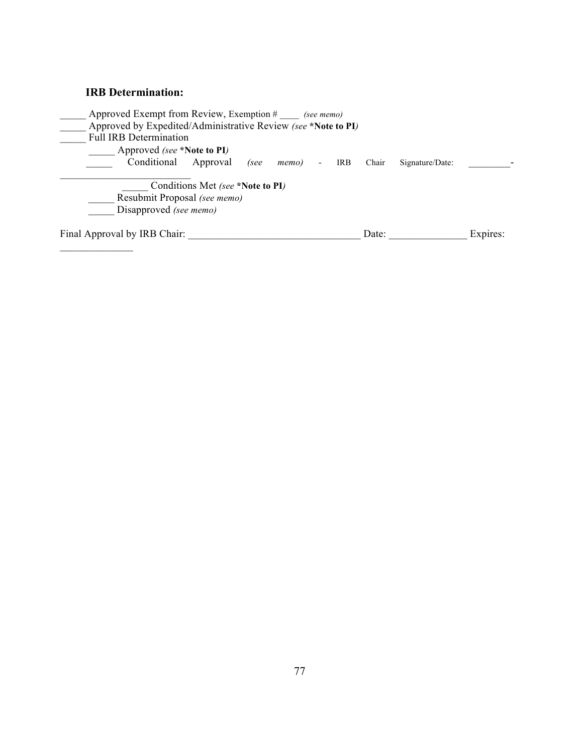### **IRB Determination:**

| Approved Exempt from Review, Exemption # (see memo)           |                                  |      |       |      |       |                 |          |
|---------------------------------------------------------------|----------------------------------|------|-------|------|-------|-----------------|----------|
| Approved by Expedited/Administrative Review (see *Note to PI) |                                  |      |       |      |       |                 |          |
| <b>Full IRB Determination</b>                                 |                                  |      |       |      |       |                 |          |
| Approved (see *Note to PI)                                    |                                  |      |       |      |       |                 |          |
| Conditional Approval                                          |                                  | (see | memo) | IRB. | Chair | Signature/Date: |          |
|                                                               |                                  |      |       |      |       |                 |          |
|                                                               | Conditions Met (see *Note to PI) |      |       |      |       |                 |          |
| Resubmit Proposal (see memo)                                  |                                  |      |       |      |       |                 |          |
| Disapproved (see memo)                                        |                                  |      |       |      |       |                 |          |
| Final Approval by IRB Chair:                                  |                                  |      |       |      | Date: |                 | Expires: |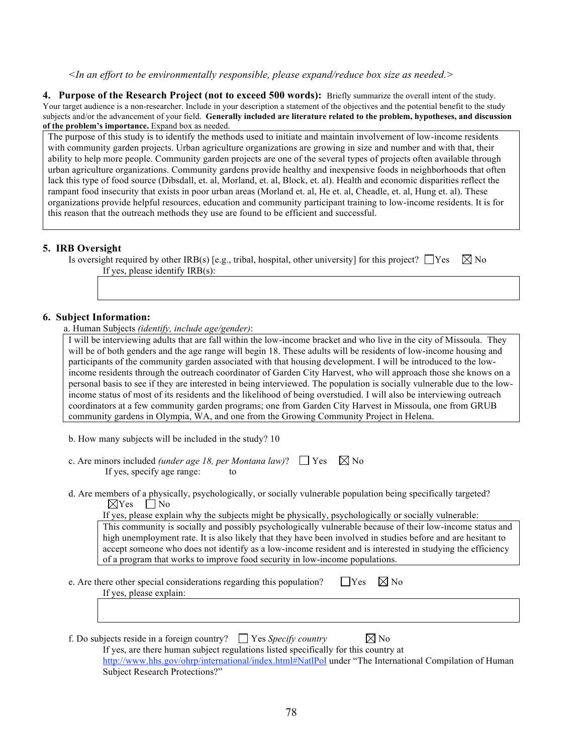#### *<In an effort to be environmentally responsible, please expand/reduce box size as needed.>*

**4. Purpose of the Research Project (not to exceed 500 words):** Briefly summarize the overall intent of the study. Your target audience is a non-researcher. Include in your description a statement of the objectives and the potential benefit to the study subjects and/or the advancement of your field. **Generally included are literature related to the problem, hypotheses, and discussion of the problem's importance.** Expand box as needed.

The purpose of this study is to identify the methods used to initiate and maintain involvement of low-income residents with community garden projects. Urban agriculture organizations are growing in size and number and with that, their ability to help more people. Community garden projects are one of the several types of projects often available through urban agriculture organizations. Community gardens provide healthy and inexpensive foods in neighborhoods that often lack this type of food source (Dibsdall, et. al, Morland, et. al, Block, et. al). Health and economic disparities reflect the rampant food insecurity that exists in poor urban areas (Morland et. al, He et. al, Cheadle, et. al, Hung et. al). These organizations provide helpful resources, education and community participant training to low-income residents. It is for this reason that the outreach methods they use are found to be efficient and successful.

#### **5. IRB Oversight**

| <sup>1</sup> s oversight required by other IRB(s) [e.g., tribal, hospital, other university] for this project? $\Box$ Yes $\Box$ No |  |
|-------------------------------------------------------------------------------------------------------------------------------------|--|
| If yes, please identify IRB(s):                                                                                                     |  |

#### **6. Subject Information:**

a. Human Subjects *(identify, include age/gender)*:

I will be interviewing adults that are fall within the low-income bracket and who live in the city of Missoula. They will be of both genders and the age range will begin 18. These adults will be residents of low-income housing and participants of the community garden associated with that housing development. I will be introduced to the lowincome residents through the outreach coordinator of Garden City Harvest, who will approach those she knows on a personal basis to see if they are interested in being interviewed. The population is socially vulnerable due to the lowincome status of most of its residents and the likelihood of being overstudied. I will also be interviewing outreach coordinators at a few community garden programs; one from Garden City Harvest in Missoula, one from GRUB community gardens in Olympia, WA, and one from the Growing Community Project in Helena.

b. How many subjects will be included in the study? 10

| c. Are minors included <i>(under age 18, per Montana law)</i> ? $\Box$ Yes $\boxtimes$ No |  |
|-------------------------------------------------------------------------------------------|--|
| If yes, specify age range:                                                                |  |

d. Are members of a physically, psychologically, or socially vulnerable population being specifically targeted?  $\boxtimes$ Yes  $\Box$  No

If yes, please explain why the subjects might be physically, psychologically or socially vulnerable:

This community is socially and possibly psychologically vulnerable because of their low-income status and high unemployment rate. It is also likely that they have been involved in studies before and are hesitant to accept someone who does not identify as a low-income resident and is interested in studying the efficiency of a program that works to improve food security in low-income populations.

e. Are there other special considerations regarding this population?  $\Box$  Yes  $\Box$  No If yes, please explain:

f. Do subjects reside in a foreign country?  $\Box$  Yes *Specify country*  $\boxtimes$  No

If yes, are there human subject regulations listed specifically for this country at

http://www.hhs.gov/ohrp/international/index.html#NatlPol under "The International Compilation of Human Subject Research Protections?"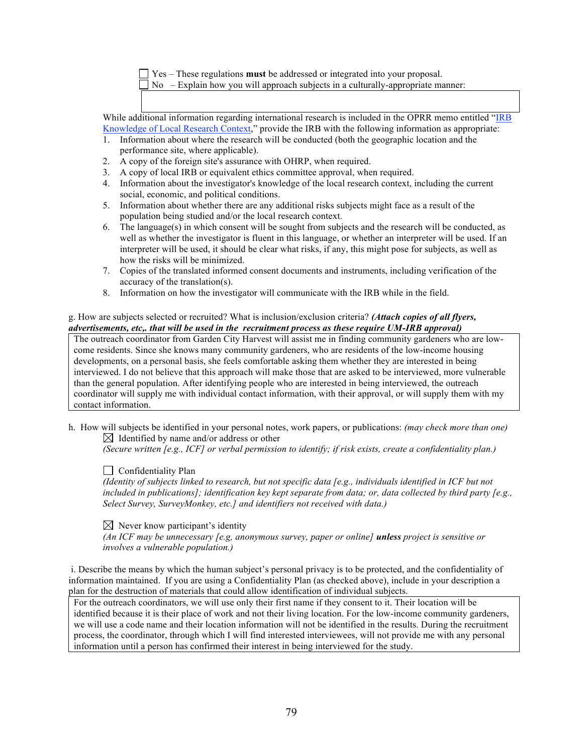Yes – These regulations **must** be addressed or integrated into your proposal.

 $\nabla$  No – Explain how you will approach subjects in a culturally-appropriate manner:

While additional information regarding international research is included in the OPRR memo entitled "IRB Knowledge of Local Research Context," provide the IRB with the following information as appropriate:

- 1. Information about where the research will be conducted (both the geographic location and the performance site, where applicable).
- 2. A copy of the foreign site's assurance with OHRP, when required.
- 3. A copy of local IRB or equivalent ethics committee approval, when required.
- 4. Information about the investigator's knowledge of the local research context, including the current social, economic, and political conditions.
- 5. Information about whether there are any additional risks subjects might face as a result of the population being studied and/or the local research context.
- 6. The language(s) in which consent will be sought from subjects and the research will be conducted, as well as whether the investigator is fluent in this language, or whether an interpreter will be used. If an interpreter will be used, it should be clear what risks, if any, this might pose for subjects, as well as how the risks will be minimized.
- 7. Copies of the translated informed consent documents and instruments, including verification of the accuracy of the translation(s).
- 8. Information on how the investigator will communicate with the IRB while in the field.

#### g. How are subjects selected or recruited? What is inclusion/exclusion criteria? *(Attach copies of all flyers, advertisements, etc,. that will be used in the recruitment process as these require UM-IRB approval)*

The outreach coordinator from Garden City Harvest will assist me in finding community gardeners who are lowcome residents. Since she knows many community gardeners, who are residents of the low-income housing developments, on a personal basis, she feels comfortable asking them whether they are interested in being interviewed. I do not believe that this approach will make those that are asked to be interviewed, more vulnerable than the general population. After identifying people who are interested in being interviewed, the outreach coordinator will supply me with individual contact information, with their approval, or will supply them with my contact information.

h. How will subjects be identified in your personal notes, work papers, or publications: *(may check more than one)*  $\boxtimes$  Identified by name and/or address or other

*(Secure written [e.g., ICF] or verbal permission to identify; if risk exists, create a confidentiality plan.)*

#### $\Box$  Confidentiality Plan

*(Identity of subjects linked to research, but not specific data [e.g., individuals identified in ICF but not included in publications]; identification key kept separate from data; or, data collected by third party [e.g., Select Survey, SurveyMonkey, etc.] and identifiers not received with data.)*

 $\boxtimes$  Never know participant's identity

*(An ICF may be unnecessary [e.g, anonymous survey, paper or online] unless project is sensitive or involves a vulnerable population.)*

 i. Describe the means by which the human subject's personal privacy is to be protected, and the confidentiality of information maintained. If you are using a Confidentiality Plan (as checked above), include in your description a plan for the destruction of materials that could allow identification of individual subjects.

For the outreach coordinators, we will use only their first name if they consent to it. Their location will be identified because it is their place of work and not their living location. For the low-income community gardeners, we will use a code name and their location information will not be identified in the results. During the recruitment process, the coordinator, through which I will find interested interviewees, will not provide me with any personal information until a person has confirmed their interest in being interviewed for the study.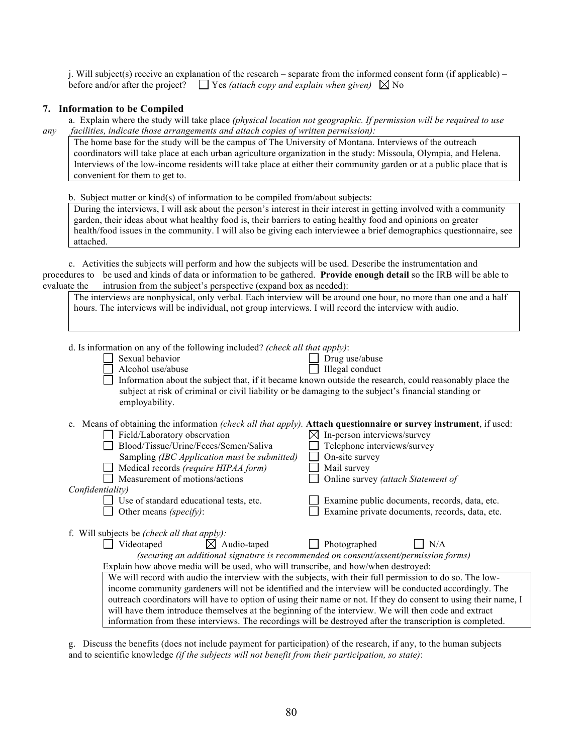j. Will subject(s) receive an explanation of the research – separate from the informed consent form (if applicable) – before and/or after the project?  $\Box$  Yes *(attach copy and explain when given)*  $\Box$  No

#### **7. Information to be Compiled**

a. Explain where the study will take place *(physical location not geographic. If permission will be required to use any facilities, indicate those arrangements and attach copies of written permission):*

The home base for the study will be the campus of The University of Montana. Interviews of the outreach coordinators will take place at each urban agriculture organization in the study: Missoula, Olympia, and Helena. Interviews of the low-income residents will take place at either their community garden or at a public place that is convenient for them to get to.

b. Subject matter or kind(s) of information to be compiled from/about subjects:

During the interviews, I will ask about the person's interest in their interest in getting involved with a community garden, their ideas about what healthy food is, their barriers to eating healthy food and opinions on greater health/food issues in the community. I will also be giving each interviewee a brief demographics questionnaire, see attached.

c. Activities the subjects will perform and how the subjects will be used. Describe the instrumentation and procedures to be used and kinds of data or information to be gathered. **Provide enough detail** so the IRB will be able to evaluate the intrusion from the subject's perspective (expand box as needed):

| The interviews are nonphysical, only verbal. Each interview will be around one hour, no more than one and a half |
|------------------------------------------------------------------------------------------------------------------|
| hours. The interviews will be individual, not group interviews. I will record the interview with audio.          |

| d. Is information on any of the following included? (check all that apply):<br>Sexual behavior<br>Drug use/abuse<br>Alcohol use/abuse<br>Illegal conduct<br>Information about the subject that, if it became known outside the research, could reasonably place the<br>subject at risk of criminal or civil liability or be damaging to the subject's financial standing or<br>employability.                                                                                                                                                                                                                                                                                                                                        |                                                                                                                                                                                                     |
|--------------------------------------------------------------------------------------------------------------------------------------------------------------------------------------------------------------------------------------------------------------------------------------------------------------------------------------------------------------------------------------------------------------------------------------------------------------------------------------------------------------------------------------------------------------------------------------------------------------------------------------------------------------------------------------------------------------------------------------|-----------------------------------------------------------------------------------------------------------------------------------------------------------------------------------------------------|
| e. Means of obtaining the information (check all that apply). Attach questionnaire or survey instrument, if used:<br>Field/Laboratory observation<br>⊠<br>Blood/Tissue/Urine/Feces/Semen/Saliva<br>On-site survey<br>Sampling (IBC Application must be submitted)<br>Medical records (require HIPAA form)<br>Mail survey<br>Measurement of motions/actions<br>Confidentiality)<br>Use of standard educational tests, etc.<br>Other means (specify):                                                                                                                                                                                                                                                                                  | In-person interviews/survey<br>Telephone interviews/survey<br>Online survey (attach Statement of<br>Examine public documents, records, data, etc.<br>Examine private documents, records, data, etc. |
| f. Will subjects be <i>(check all that apply)</i> :<br>Audio-taped<br>Videotaped<br>⊠<br>Photographed<br>(securing an additional signature is recommended on consent/assent/permission forms)<br>Explain how above media will be used, who will transcribe, and how/when destroyed:<br>We will record with audio the interview with the subjects, with their full permission to do so. The low-<br>income community gardeners will not be identified and the interview will be conducted accordingly. The<br>outreach coordinators will have to option of using their name or not. If they do consent to using their name, I<br>will have them introduce themselves at the beginning of the interview. We will then code and extract | N/A                                                                                                                                                                                                 |
| information from these interviews. The recordings will be destroyed after the transcription is completed.                                                                                                                                                                                                                                                                                                                                                                                                                                                                                                                                                                                                                            |                                                                                                                                                                                                     |

g. Discuss the benefits (does not include payment for participation) of the research, if any, to the human subjects and to scientific knowledge *(if the subjects will not benefit from their participation, so state)*: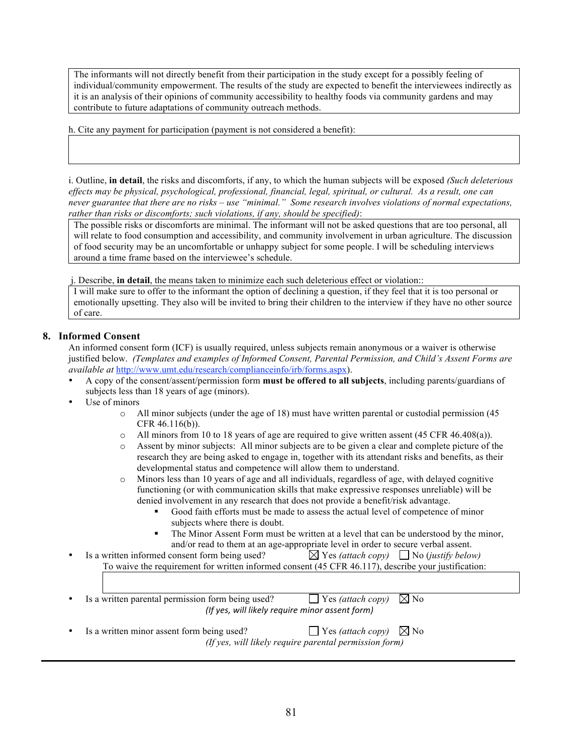The informants will not directly benefit from their participation in the study except for a possibly feeling of individual/community empowerment. The results of the study are expected to benefit the interviewees indirectly as it is an analysis of their opinions of community accessibility to healthy foods via community gardens and may contribute to future adaptations of community outreach methods.

h. Cite any payment for participation (payment is not considered a benefit):

i. Outline, **in detail**, the risks and discomforts, if any, to which the human subjects will be exposed *(Such deleterious effects may be physical, psychological, professional, financial, legal, spiritual, or cultural. As a result, one can never guarantee that there are no risks – use "minimal." Some research involves violations of normal expectations, rather than risks or discomforts; such violations, if any, should be specified)*:

The possible risks or discomforts are minimal. The informant will not be asked questions that are too personal, all will relate to food consumption and accessibility, and community involvement in urban agriculture. The discussion of food security may be an uncomfortable or unhappy subject for some people. I will be scheduling interviews around a time frame based on the interviewee's schedule.

j. Describe, **in detail**, the means taken to minimize each such deleterious effect or violation::

I will make sure to offer to the informant the option of declining a question, if they feel that it is too personal or emotionally upsetting. They also will be invited to bring their children to the interview if they have no other source of care.

#### **8. Informed Consent**

An informed consent form (ICF) is usually required, unless subjects remain anonymous or a waiver is otherwise justified below. *(Templates and examples of Informed Consent, Parental Permission, and Child's Assent Forms are available at* http://www.umt.edu/research/complianceinfo/irb/forms.aspx).

- A copy of the consent/assent/permission form **must be offered to all subjects**, including parents/guardians of subjects less than 18 years of age (minors).
- Use of minors
	- o All minor subjects (under the age of 18) must have written parental or custodial permission (45 CFR 46.116(b)).
	- $\circ$  All minors from 10 to 18 years of age are required to give written assent (45 CFR 46.408(a)).
	- o Assent by minor subjects: All minor subjects are to be given a clear and complete picture of the research they are being asked to engage in, together with its attendant risks and benefits, as their developmental status and competence will allow them to understand.
	- Minors less than 10 years of age and all individuals, regardless of age, with delayed cognitive functioning (or with communication skills that make expressive responses unreliable) will be denied involvement in any research that does not provide a benefit/risk advantage.
		- Good faith efforts must be made to assess the actual level of competence of minor subjects where there is doubt.
		- The Minor Assent Form must be written at a level that can be understood by the minor, and/or read to them at an age-appropriate level in order to secure verbal assent.
- Is a written informed consent form being used?  $\boxtimes$  Yes *(attach copy)*  $\Box$  No *(justify below)* To waive the requirement for written informed consent (45 CFR 46.117), describe your justification:

Is a written parental permission form being used?  $\Box$  Yes *(attach copy)*  $\Box$  No *(If
yes,
will
likely
require
minor
assent
form)*

Is a written minor assent form being used?  $\Box$  Yes *(attach copy)*  $\Box$  No *(If yes, will likely require parental permission form)*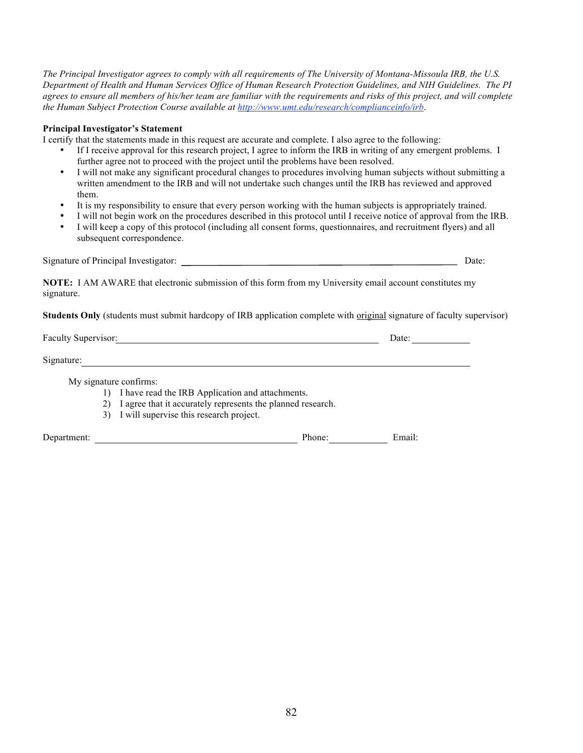*The Principal Investigator agrees to comply with all requirements of The University of Montana-Missoula IRB, the U.S. Department of Health and Human Services Office of Human Research Protection Guidelines, and NIH Guidelines. The PI agrees to ensure all members of his/her team are familiar with the requirements and risks of this project, and will complete the Human Subject Protection Course available at http://www.umt.edu/research/complianceinfo/irb*.

#### **Principal Investigator's Statement**

I certify that the statements made in this request are accurate and complete. I also agree to the following:

- If I receive approval for this research project, I agree to inform the IRB in writing of any emergent problems. I further agree not to proceed with the project until the problems have been resolved.
- I will not make any significant procedural changes to procedures involving human subjects without submitting a written amendment to the IRB and will not undertake such changes until the IRB has reviewed and approved them.
- It is my responsibility to ensure that every person working with the human subjects is appropriately trained.
- I will not begin work on the procedures described in this protocol until I receive notice of approval from the IRB.<br>• I will keep a copy of this protocol (including all consent forms, questionnaires, and recruitment flye
- I will keep a copy of this protocol (including all consent forms, questionnaires, and recruitment flyers) and all subsequent correspondence.

Signature of Principal Investigator: Date:

**NOTE:** I AM AWARE that electronic submission of this form from my University email account constitutes my signature.

**Students Only** (students must submit hardcopy of IRB application complete with original signature of faculty supervisor)

Faculty Supervisor: Date: Date: Date: Date: Date: Date: Date: Date: Date: Date: Date: Date: Date: Date: Date: Date: Date: Date: Date: Date: Date: Date: Date: Date: Date: Date: Date: Date: Date: Date: Date: Date: Date: Date Signature:

My signature confirms:

- 1) I have read the IRB Application and attachments.
- 2) I agree that it accurately represents the planned research.
- 3) I will supervise this research project.

Department: Phone: Email: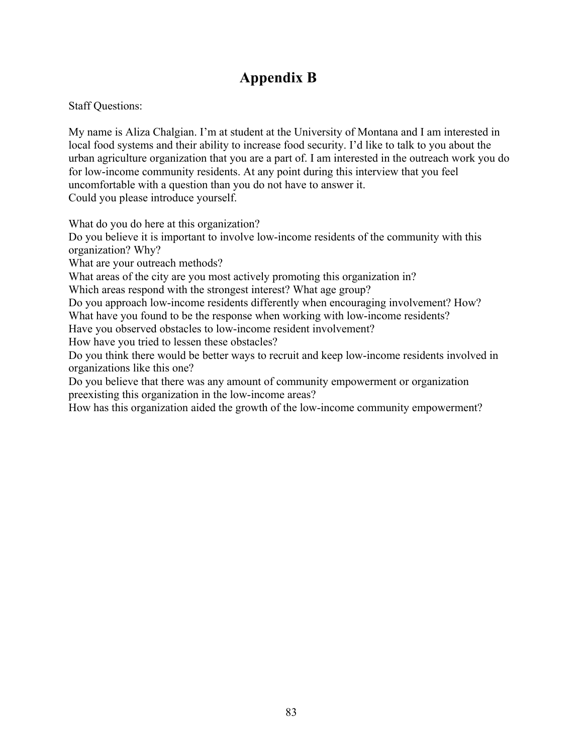# **Appendix B**

Staff Questions:

My name is Aliza Chalgian. I'm at student at the University of Montana and I am interested in local food systems and their ability to increase food security. I'd like to talk to you about the urban agriculture organization that you are a part of. I am interested in the outreach work you do for low-income community residents. At any point during this interview that you feel uncomfortable with a question than you do not have to answer it. Could you please introduce yourself.

What do you do here at this organization?

Do you believe it is important to involve low-income residents of the community with this organization? Why?

What are your outreach methods?

What areas of the city are you most actively promoting this organization in?

Which areas respond with the strongest interest? What age group?

Do you approach low-income residents differently when encouraging involvement? How? What have you found to be the response when working with low-income residents?

Have you observed obstacles to low-income resident involvement?

How have you tried to lessen these obstacles?

Do you think there would be better ways to recruit and keep low-income residents involved in organizations like this one?

Do you believe that there was any amount of community empowerment or organization preexisting this organization in the low-income areas?

How has this organization aided the growth of the low-income community empowerment?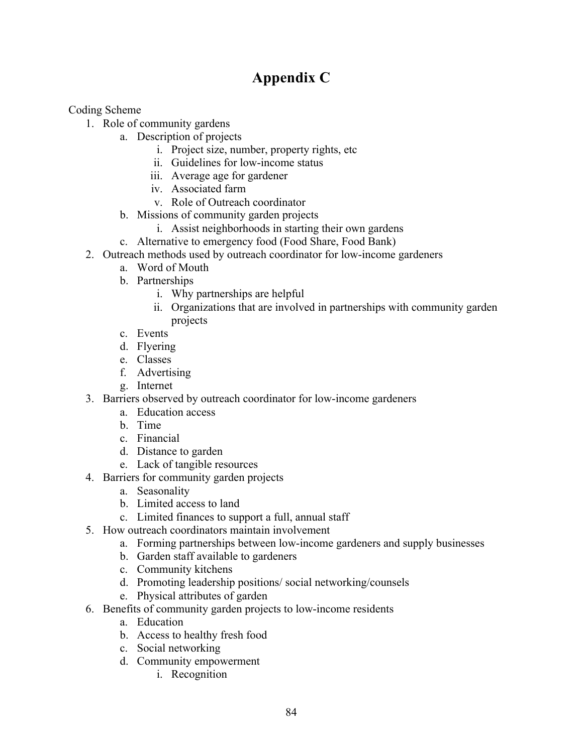# **Appendix C**

Coding Scheme

- 1. Role of community gardens
	- a. Description of projects
		- i. Project size, number, property rights, etc
		- ii. Guidelines for low-income status
		- iii. Average age for gardener
		- iv. Associated farm
		- v. Role of Outreach coordinator
		- b. Missions of community garden projects
			- i. Assist neighborhoods in starting their own gardens
		- c. Alternative to emergency food (Food Share, Food Bank)
- 2. Outreach methods used by outreach coordinator for low-income gardeners
	- a. Word of Mouth
	- b. Partnerships
		- i. Why partnerships are helpful
		- ii. Organizations that are involved in partnerships with community garden projects
	- c. Events
	- d. Flyering
	- e. Classes
	- f. Advertising
	- g. Internet
- 3. Barriers observed by outreach coordinator for low-income gardeners
	- a. Education access
	- b. Time
	- c. Financial
	- d. Distance to garden
	- e. Lack of tangible resources
- 4. Barriers for community garden projects
	- a. Seasonality
	- b. Limited access to land
	- c. Limited finances to support a full, annual staff
- 5. How outreach coordinators maintain involvement
	- a. Forming partnerships between low-income gardeners and supply businesses
	- b. Garden staff available to gardeners
	- c. Community kitchens
	- d. Promoting leadership positions/ social networking/counsels
	- e. Physical attributes of garden
- 6. Benefits of community garden projects to low-income residents
	- a. Education
	- b. Access to healthy fresh food
	- c. Social networking
	- d. Community empowerment
		- i. Recognition